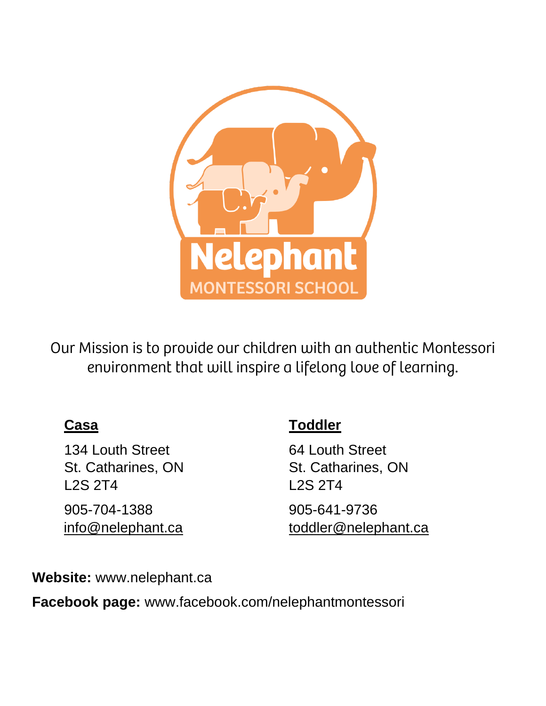

Our Mission is to provide our children with an authentic Montessori environment that will inspire a lifelong love of learning.

134 Louth Street 64 Louth Street L2S 2T4 L2S 2T4 905-704-1388 905-641-9736

## **Casa Toddler**

St. Catharines, ON St. Catharines, ON

[info@nelephant.ca](mailto:info@nelephant.ca) [toddler@nelephant.ca](mailto:toddler@nelephant.ca)

**Website:** [www.nelephant.ca](http://www.nelephant.ca/)

**Facebook page:** www.facebook.com/nelephantmontessori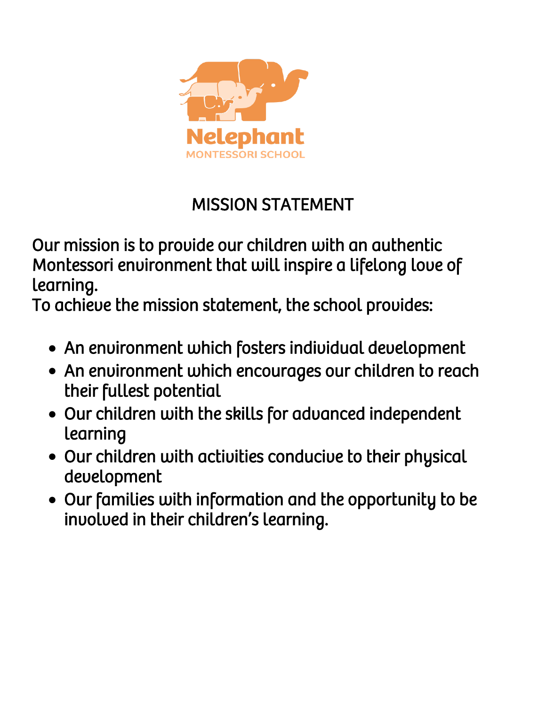

## MISSION STATEMENT

Our mission is to provide our children with an authentic Montessori environment that will inspire a lifelong love of learning.

To achieve the mission statement, the school provides:

- An environment which fosters individual development
- An environment which encourages our children to reach their fullest potential
- Our children with the skills for advanced independent learning
- Our children with activities conducive to their physical development
- Our families with information and the opportunity to be involved in their children's learning.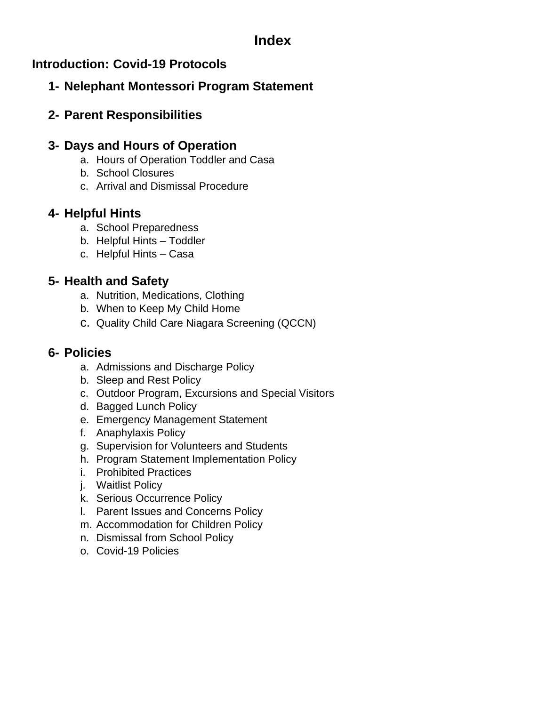### **Index**

#### **Introduction: Covid-19 Protocols**

#### **1- Nelephant Montessori Program Statement**

#### **2- Parent Responsibilities**

#### **3- Days and Hours of Operation**

- a. Hours of Operation Toddler and Casa
- b. School Closures
- c. Arrival and Dismissal Procedure

#### **4- Helpful Hints**

- a. School Preparedness
- b. Helpful Hints Toddler
- c. Helpful Hints Casa

#### **5- Health and Safety**

- a. Nutrition, Medications, Clothing
- b. When to Keep My Child Home
- c. Quality Child Care Niagara Screening (QCCN)

#### **6- Policies**

- a. Admissions and Discharge Policy
- b. Sleep and Rest Policy
- c. Outdoor Program, Excursions and Special Visitors
- d. Bagged Lunch Policy
- e. Emergency Management Statement
- f. Anaphylaxis Policy
- g. Supervision for Volunteers and Students
- h. Program Statement Implementation Policy
- i. Prohibited Practices
- j. Waitlist Policy
- k. Serious Occurrence Policy
- l. Parent Issues and Concerns Policy
- m. Accommodation for Children Policy
- n. Dismissal from School Policy
- o. Covid-19 Policies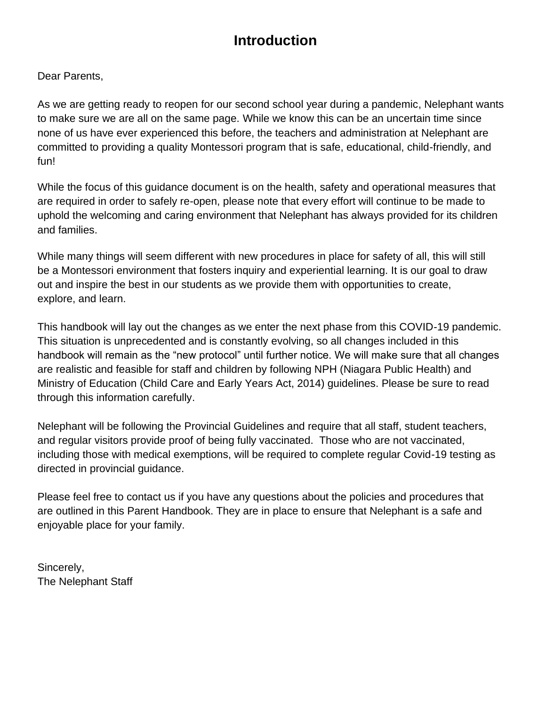## **Introduction**

Dear Parents,

As we are getting ready to reopen for our second school year during a pandemic, Nelephant wants to make sure we are all on the same page. While we know this can be an uncertain time since none of us have ever experienced this before, the teachers and administration at Nelephant are committed to providing a quality Montessori program that is safe, educational, child-friendly, and fun!

While the focus of this guidance document is on the health, safety and operational measures that are required in order to safely re-open, please note that every effort will continue to be made to uphold the welcoming and caring environment that Nelephant has always provided for its children and families.

While many things will seem different with new procedures in place for safety of all, this will still be a Montessori environment that fosters inquiry and experiential learning. It is our goal to draw out and inspire the best in our students as we provide them with opportunities to create, explore, and learn.

This handbook will lay out the changes as we enter the next phase from this COVID-19 pandemic. This situation is unprecedented and is constantly evolving, so all changes included in this handbook will remain as the "new protocol" until further notice. We will make sure that all changes are realistic and feasible for staff and children by following NPH (Niagara Public Health) and Ministry of Education (Child Care and Early Years Act, 2014) guidelines. Please be sure to read through this information carefully.

Nelephant will be following the Provincial Guidelines and require that all staff, student teachers, and regular visitors provide proof of being fully vaccinated. Those who are not vaccinated, including those with medical exemptions, will be required to complete regular Covid-19 testing as directed in provincial guidance.

Please feel free to contact us if you have any questions about the policies and procedures that are outlined in this Parent Handbook. They are in place to ensure that Nelephant is a safe and enjoyable place for your family.

Sincerely, The Nelephant Staff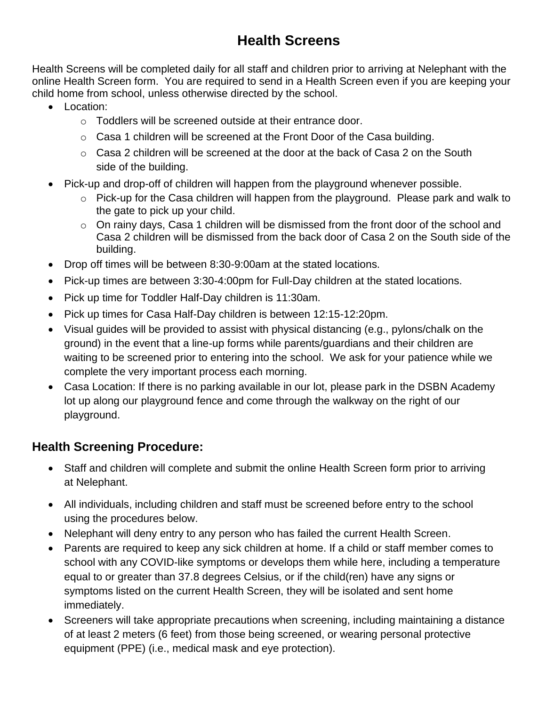## **Health Screens**

Health Screens will be completed daily for all staff and children prior to arriving at Nelephant with the online Health Screen form. You are required to send in a Health Screen even if you are keeping your child home from school, unless otherwise directed by the school.

- Location:
	- o Toddlers will be screened outside at their entrance door.
	- o Casa 1 children will be screened at the Front Door of the Casa building.
	- $\circ$  Casa 2 children will be screened at the door at the back of Casa 2 on the South side of the building.
- Pick-up and drop-off of children will happen from the playground whenever possible.
	- o Pick-up for the Casa children will happen from the playground. Please park and walk to the gate to pick up your child.
	- o On rainy days, Casa 1 children will be dismissed from the front door of the school and Casa 2 children will be dismissed from the back door of Casa 2 on the South side of the building.
- Drop off times will be between 8:30-9:00am at the stated locations.
- Pick-up times are between 3:30-4:00pm for Full-Day children at the stated locations.
- Pick up time for Toddler Half-Day children is 11:30am.
- Pick up times for Casa Half-Day children is between 12:15-12:20pm.
- Visual guides will be provided to assist with physical distancing (e.g., pylons/chalk on the ground) in the event that a line-up forms while parents/guardians and their children are waiting to be screened prior to entering into the school. We ask for your patience while we complete the very important process each morning.
- Casa Location: If there is no parking available in our lot, please park in the DSBN Academy lot up along our playground fence and come through the walkway on the right of our playground.

#### **Health Screening Procedure:**

- Staff and children will complete and submit the online Health Screen form prior to arriving at Nelephant.
- All individuals, including children and staff must be screened before entry to the school using the procedures below.
- Nelephant will deny entry to any person who has failed the current Health Screen.
- Parents are required to keep any sick children at home. If a child or staff member comes to school with any COVID-like symptoms or develops them while here, including a temperature equal to or greater than 37.8 degrees Celsius, or if the child(ren) have any signs or symptoms listed on the current Health Screen, they will be isolated and sent home immediately.
- Screeners will take appropriate precautions when screening, including maintaining a distance of at least 2 meters (6 feet) from those being screened, or wearing personal protective equipment (PPE) (i.e., medical mask and eye protection).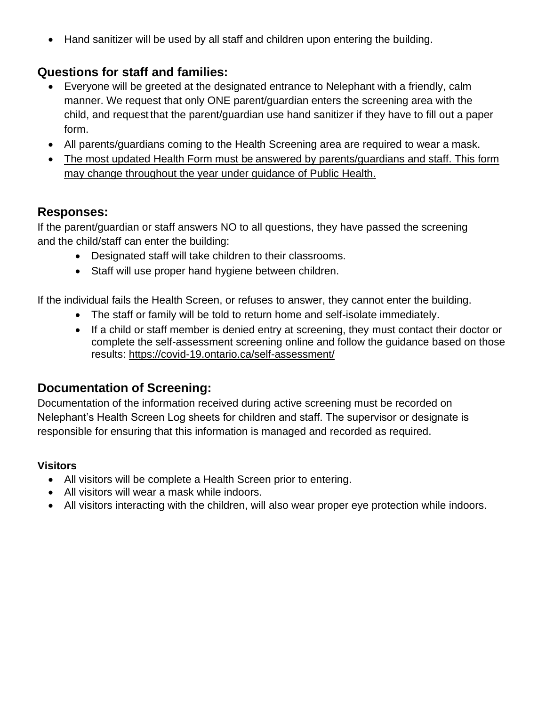• Hand sanitizer will be used by all staff and children upon entering the building.

#### **Questions for staff and families:**

- Everyone will be greeted at the designated entrance to Nelephant with a friendly, calm manner. We request that only ONE parent/guardian enters the screening area with the child, and request that the parent/guardian use hand sanitizer if they have to fill out a paper form.
- All parents/guardians coming to the Health Screening area are required to wear a mask.
- The most updated Health Form must be answered by parents/guardians and staff. This form may change throughout the year under guidance of Public Health.

#### **Responses:**

If the parent/guardian or staff answers NO to all questions, they have passed the screening and the child/staff can enter the building:

- Designated staff will take children to their classrooms.
- Staff will use proper hand hygiene between children.

If the individual fails the Health Screen, or refuses to answer, they cannot enter the building.

- The staff or family will be told to return home and self-isolate immediately.
- If a child or staff member is denied entry at screening, they must contact their doctor or complete the self-assessment screening online and follow the guidance based on those results:<https://covid-19.ontario.ca/self-assessment/>

#### **Documentation of Screening:**

Documentation of the information received during active screening must be recorded on Nelephant's Health Screen Log sheets for children and staff. The supervisor or designate is responsible for ensuring that this information is managed and recorded as required.

#### **Visitors**

- All visitors will be complete a Health Screen prior to entering.
- All visitors will wear a mask while indoors.
- All visitors interacting with the children, will also wear proper eye protection while indoors.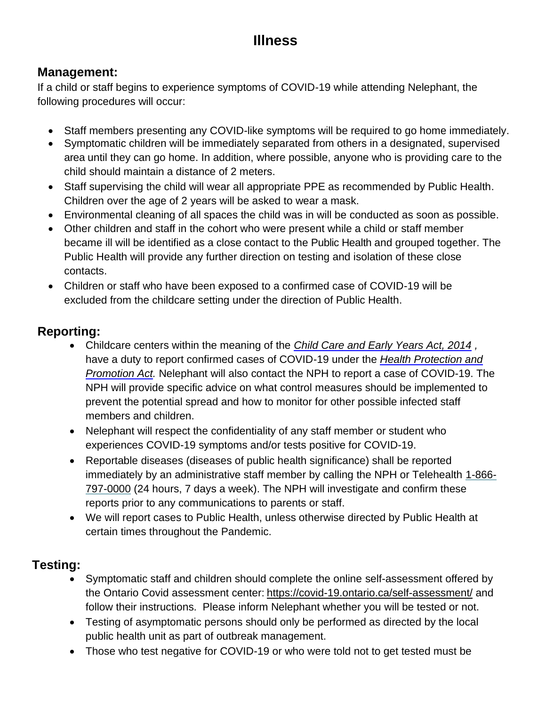## **Illness**

#### **Management:**

If a child or staff begins to experience symptoms of COVID-19 while attending Nelephant, the following procedures will occur:

- Staff members presenting any COVID-like symptoms will be required to go home immediately.
- Symptomatic children will be immediately separated from others in a designated, supervised area until they can go home. In addition, where possible, anyone who is providing care to the child should maintain a distance of 2 meters.
- Staff supervising the child will wear all appropriate PPE as recommended by Public Health. Children over the age of 2 years will be asked to wear a mask.
- Environmental cleaning of all spaces the child was in will be conducted as soon as possible.
- Other children and staff in the cohort who were present while a child or staff member became ill will be identified as a close contact to the Public Health and grouped together. The Public Health will provide any further direction on testing and isolation of these close contacts.
- Children or staff who have been exposed to a confirmed case of COVID-19 will be excluded from the childcare setting under the direction of Public Health.

#### **Reporting:**

- Childcare centers within the meaning of the *Child Care and Early Years Act, 2014 ,*  have a duty to report confirmed cases of COVID-19 under the *Health Protection and Promotion Act.* Nelephant will also contact the NPH to report a case of COVID-19. The NPH will provide specific advice on what control measures should be implemented to prevent the potential spread and how to monitor for other possible infected staff members and children.
- Nelephant will respect the confidentiality of any staff member or student who experiences COVID-19 symptoms and/or tests positive for COVID-19.
- Reportable diseases (diseases of public health significance) shall be reported immediately by an administrative staff member by calling the NPH or Telehealth 1-866- 797-0000 (24 hours, 7 days a week). The NPH will investigate and confirm these reports prior to any communications to parents or staff.
- We will report cases to Public Health, unless otherwise directed by Public Health at certain times throughout the Pandemic.

#### **Testing:**

- Symptomatic staff and children should complete the online self-assessment offered by the Ontario Covid assessment center: <https://covid-19.ontario.ca/self-assessment/> and follow their instructions. Please inform Nelephant whether you will be tested or not.
- Testing of asymptomatic persons should only be performed as directed by the local public health unit as part of outbreak management.
- Those who test negative for COVID-19 or who were told not to get tested must be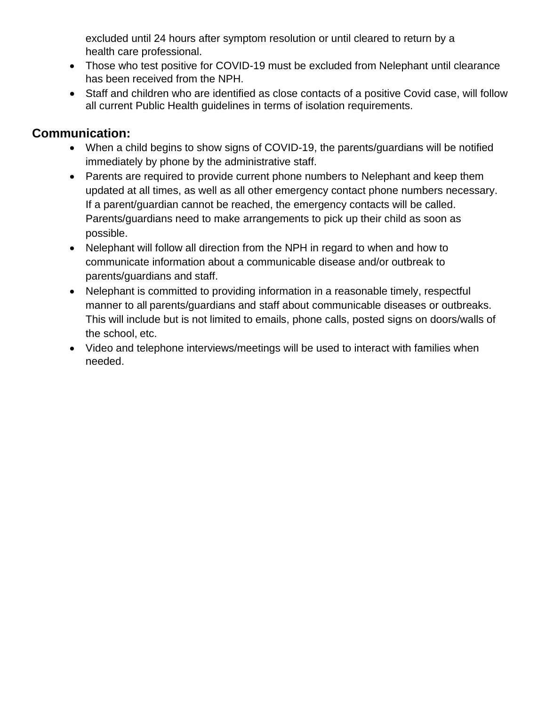excluded until 24 hours after symptom resolution or until cleared to return by a health care professional.

- Those who test positive for COVID-19 must be excluded from Nelephant until clearance has been received from the NPH.
- Staff and children who are identified as close contacts of a positive Covid case, will follow all current Public Health guidelines in terms of isolation requirements.

#### **Communication:**

- When a child begins to show signs of COVID-19, the parents/guardians will be notified immediately by phone by the administrative staff.
- Parents are required to provide current phone numbers to Nelephant and keep them updated at all times, as well as all other emergency contact phone numbers necessary. If a parent/guardian cannot be reached, the emergency contacts will be called. Parents/guardians need to make arrangements to pick up their child as soon as possible.
- Nelephant will follow all direction from the NPH in regard to when and how to communicate information about a communicable disease and/or outbreak to parents/guardians and staff.
- Nelephant is committed to providing information in a reasonable timely, respectful manner to all parents/guardians and staff about communicable diseases or outbreaks. This will include but is not limited to emails, phone calls, posted signs on doors/walls of the school, etc.
- Video and telephone interviews/meetings will be used to interact with families when needed.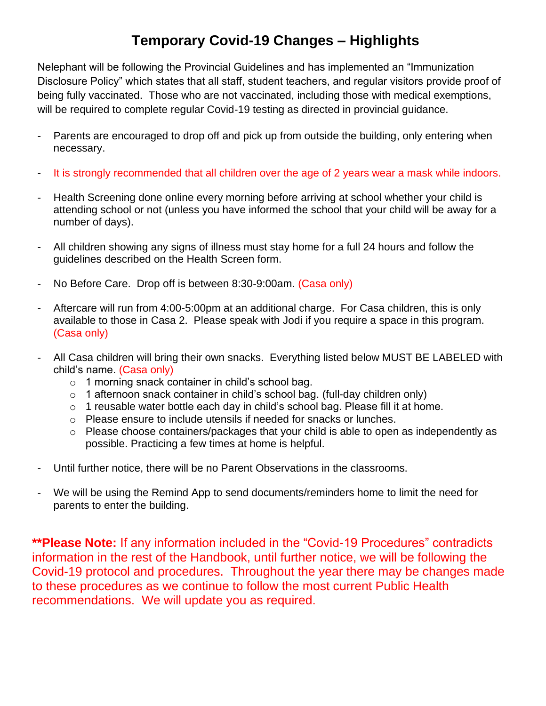## **Temporary Covid-19 Changes – Highlights**

Nelephant will be following the Provincial Guidelines and has implemented an "Immunization Disclosure Policy" which states that all staff, student teachers, and regular visitors provide proof of being fully vaccinated. Those who are not vaccinated, including those with medical exemptions, will be required to complete regular Covid-19 testing as directed in provincial guidance.

- Parents are encouraged to drop off and pick up from outside the building, only entering when necessary.
- It is strongly recommended that all children over the age of 2 years wear a mask while indoors.
- Health Screening done online every morning before arriving at school whether your child is attending school or not (unless you have informed the school that your child will be away for a number of days).
- All children showing any signs of illness must stay home for a full 24 hours and follow the guidelines described on the Health Screen form.
- No Before Care. Drop off is between 8:30-9:00am. (Casa only)
- Aftercare will run from 4:00-5:00pm at an additional charge. For Casa children, this is only available to those in Casa 2. Please speak with Jodi if you require a space in this program. (Casa only)
- All Casa children will bring their own snacks. Everything listed below MUST BE LABELED with child's name. (Casa only)
	- o 1 morning snack container in child's school bag.
	- o 1 afternoon snack container in child's school bag. (full-day children only)
	- o 1 reusable water bottle each day in child's school bag. Please fill it at home.
	- o Please ensure to include utensils if needed for snacks or lunches.
	- o Please choose containers/packages that your child is able to open as independently as possible. Practicing a few times at home is helpful.
- Until further notice, there will be no Parent Observations in the classrooms.
- We will be using the Remind App to send documents/reminders home to limit the need for parents to enter the building.

**\*\*Please Note:** If any information included in the "Covid-19 Procedures" contradicts information in the rest of the Handbook, until further notice, we will be following the Covid-19 protocol and procedures. Throughout the year there may be changes made to these procedures as we continue to follow the most current Public Health recommendations. We will update you as required.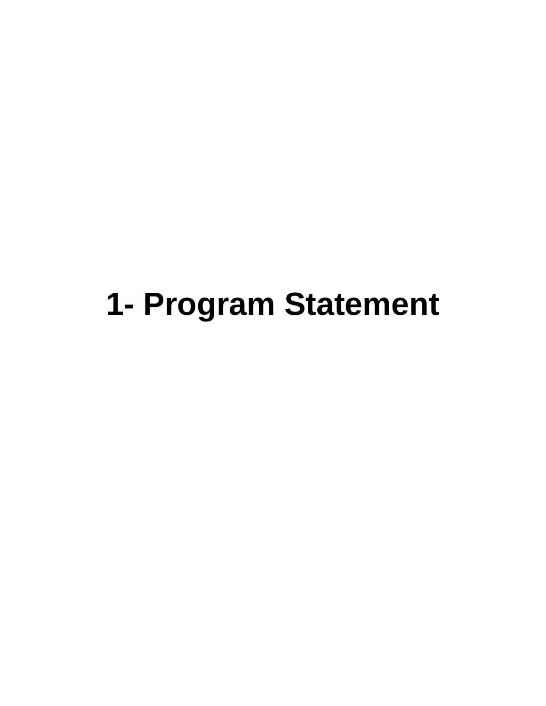## **1- Program Statement**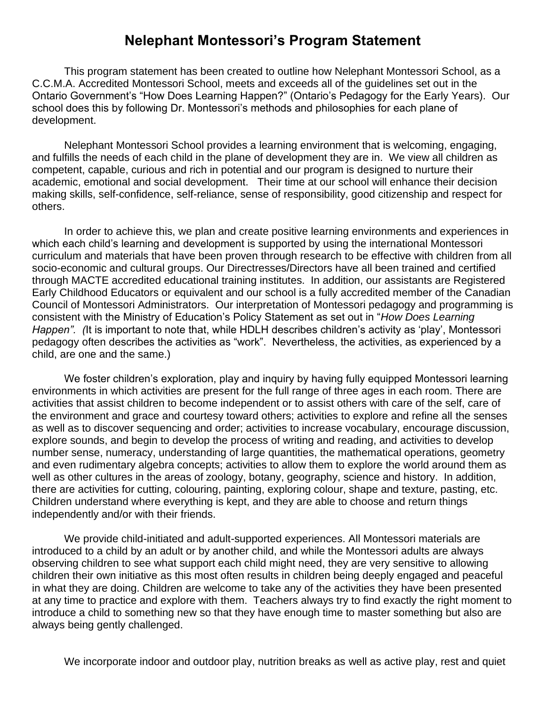### **Nelephant Montessori's Program Statement**

This program statement has been created to outline how Nelephant Montessori School, as a C.C.M.A. Accredited Montessori School, meets and exceeds all of the guidelines set out in the Ontario Government's "How Does Learning Happen?" (Ontario's Pedagogy for the Early Years). Our school does this by following Dr. Montessori's methods and philosophies for each plane of development.

Nelephant Montessori School provides a learning environment that is welcoming, engaging, and fulfills the needs of each child in the plane of development they are in. We view all children as competent, capable, curious and rich in potential and our program is designed to nurture their academic, emotional and social development. Their time at our school will enhance their decision making skills, self-confidence, self-reliance, sense of responsibility, good citizenship and respect for others.

In order to achieve this, we plan and create positive learning environments and experiences in which each child's learning and development is supported by using the international Montessori curriculum and materials that have been proven through research to be effective with children from all socio-economic and cultural groups. Our Directresses/Directors have all been trained and certified through MACTE accredited educational training institutes. In addition, our assistants are Registered Early Childhood Educators or equivalent and our school is a fully accredited member of the Canadian Council of Montessori Administrators. Our interpretation of Montessori pedagogy and programming is consistent with the Ministry of Education's Policy Statement as set out in "*How Does Learning Happen". (*It is important to note that, while HDLH describes children's activity as 'play', Montessori pedagogy often describes the activities as "work". Nevertheless, the activities, as experienced by a child, are one and the same.)

We foster children's exploration, play and inquiry by having fully equipped Montessori learning environments in which activities are present for the full range of three ages in each room. There are activities that assist children to become independent or to assist others with care of the self, care of the environment and grace and courtesy toward others; activities to explore and refine all the senses as well as to discover sequencing and order; activities to increase vocabulary, encourage discussion, explore sounds, and begin to develop the process of writing and reading, and activities to develop number sense, numeracy, understanding of large quantities, the mathematical operations, geometry and even rudimentary algebra concepts; activities to allow them to explore the world around them as well as other cultures in the areas of zoology, botany, geography, science and history. In addition, there are activities for cutting, colouring, painting, exploring colour, shape and texture, pasting, etc. Children understand where everything is kept, and they are able to choose and return things independently and/or with their friends.

We provide child-initiated and adult-supported experiences. All Montessori materials are introduced to a child by an adult or by another child, and while the Montessori adults are always observing children to see what support each child might need, they are very sensitive to allowing children their own initiative as this most often results in children being deeply engaged and peaceful in what they are doing. Children are welcome to take any of the activities they have been presented at any time to practice and explore with them. Teachers always try to find exactly the right moment to introduce a child to something new so that they have enough time to master something but also are always being gently challenged.

We incorporate indoor and outdoor play, nutrition breaks as well as active play, rest and quiet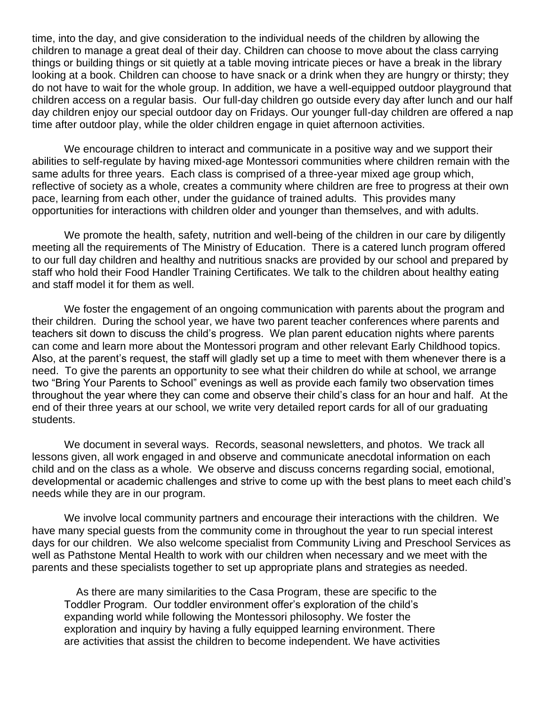time, into the day, and give consideration to the individual needs of the children by allowing the children to manage a great deal of their day. Children can choose to move about the class carrying things or building things or sit quietly at a table moving intricate pieces or have a break in the library looking at a book. Children can choose to have snack or a drink when they are hungry or thirsty; they do not have to wait for the whole group. In addition, we have a well-equipped outdoor playground that children access on a regular basis. Our full-day children go outside every day after lunch and our half day children enjoy our special outdoor day on Fridays. Our younger full-day children are offered a nap time after outdoor play, while the older children engage in quiet afternoon activities.

We encourage children to interact and communicate in a positive way and we support their abilities to self-regulate by having mixed-age Montessori communities where children remain with the same adults for three years. Each class is comprised of a three-year mixed age group which, reflective of society as a whole, creates a community where children are free to progress at their own pace, learning from each other, under the guidance of trained adults. This provides many opportunities for interactions with children older and younger than themselves, and with adults.

We promote the health, safety, nutrition and well-being of the children in our care by diligently meeting all the requirements of The Ministry of Education. There is a catered lunch program offered to our full day children and healthy and nutritious snacks are provided by our school and prepared by staff who hold their Food Handler Training Certificates. We talk to the children about healthy eating and staff model it for them as well.

We foster the engagement of an ongoing communication with parents about the program and their children. During the school year, we have two parent teacher conferences where parents and teachers sit down to discuss the child's progress. We plan parent education nights where parents can come and learn more about the Montessori program and other relevant Early Childhood topics. Also, at the parent's request, the staff will gladly set up a time to meet with them whenever there is a need. To give the parents an opportunity to see what their children do while at school, we arrange two "Bring Your Parents to School" evenings as well as provide each family two observation times throughout the year where they can come and observe their child's class for an hour and half. At the end of their three years at our school, we write very detailed report cards for all of our graduating students.

We document in several ways. Records, seasonal newsletters, and photos. We track all lessons given, all work engaged in and observe and communicate anecdotal information on each child and on the class as a whole. We observe and discuss concerns regarding social, emotional, developmental or academic challenges and strive to come up with the best plans to meet each child's needs while they are in our program.

We involve local community partners and encourage their interactions with the children. We have many special guests from the community come in throughout the year to run special interest days for our children. We also welcome specialist from Community Living and Preschool Services as well as Pathstone Mental Health to work with our children when necessary and we meet with the parents and these specialists together to set up appropriate plans and strategies as needed.

 As there are many similarities to the Casa Program, these are specific to the Toddler Program. Our toddler environment offer's exploration of the child's expanding world while following the Montessori philosophy. We foster the exploration and inquiry by having a fully equipped learning environment. There are activities that assist the children to become independent. We have activities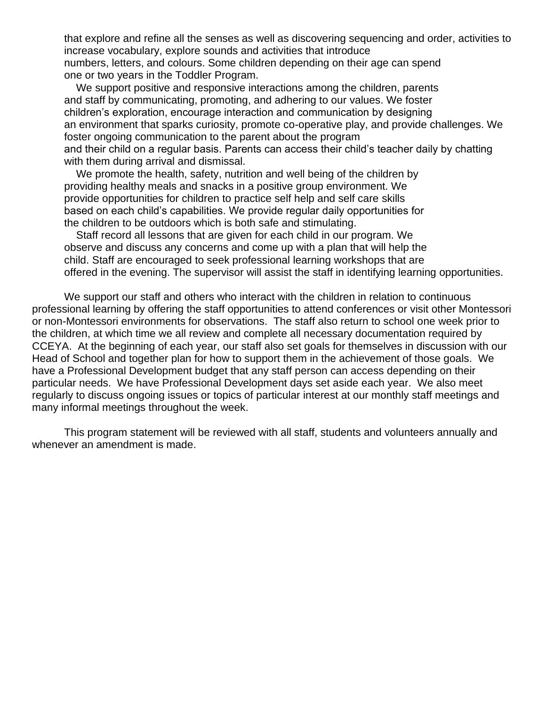that explore and refine all the senses as well as discovering sequencing and order, activities to increase vocabulary, explore sounds and activities that introduce numbers, letters, and colours. Some children depending on their age can spend one or two years in the Toddler Program.

We support positive and responsive interactions among the children, parents and staff by communicating, promoting, and adhering to our values. We foster children's exploration, encourage interaction and communication by designing an environment that sparks curiosity, promote co-operative play, and provide challenges. We foster ongoing communication to the parent about the program and their child on a regular basis. Parents can access their child's teacher daily by chatting with them during arrival and dismissal.

We promote the health, safety, nutrition and well being of the children by providing healthy meals and snacks in a positive group environment. We provide opportunities for children to practice self help and self care skills based on each child's capabilities. We provide regular daily opportunities for the children to be outdoors which is both safe and stimulating.

 Staff record all lessons that are given for each child in our program. We observe and discuss any concerns and come up with a plan that will help the child. Staff are encouraged to seek professional learning workshops that are offered in the evening. The supervisor will assist the staff in identifying learning opportunities.

We support our staff and others who interact with the children in relation to continuous professional learning by offering the staff opportunities to attend conferences or visit other Montessori or non-Montessori environments for observations. The staff also return to school one week prior to the children, at which time we all review and complete all necessary documentation required by CCEYA. At the beginning of each year, our staff also set goals for themselves in discussion with our Head of School and together plan for how to support them in the achievement of those goals. We have a Professional Development budget that any staff person can access depending on their particular needs. We have Professional Development days set aside each year. We also meet regularly to discuss ongoing issues or topics of particular interest at our monthly staff meetings and many informal meetings throughout the week.

This program statement will be reviewed with all staff, students and volunteers annually and whenever an amendment is made.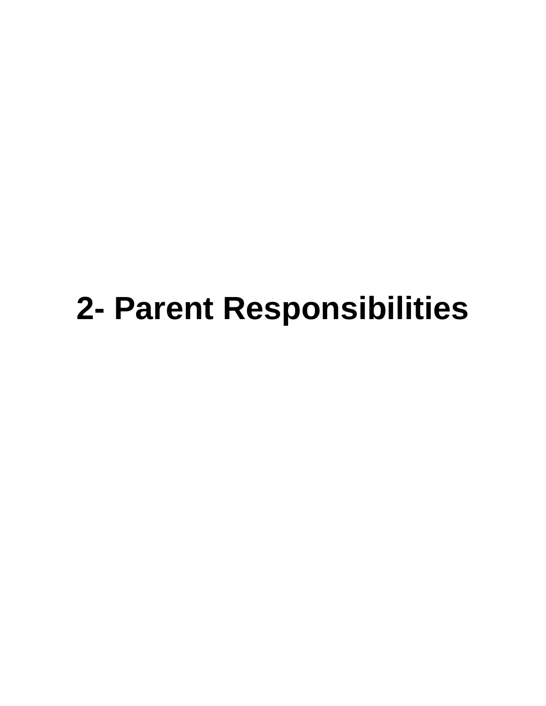## **2- Parent Responsibilities**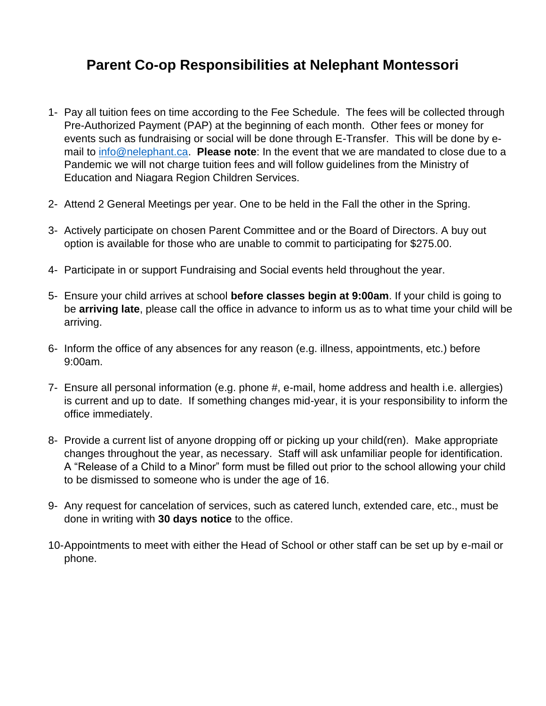## **Parent Co-op Responsibilities at Nelephant Montessori**

- 1- Pay all tuition fees on time according to the Fee Schedule. The fees will be collected through Pre-Authorized Payment (PAP) at the beginning of each month. Other fees or money for events such as fundraising or social will be done through E-Transfer. This will be done by email to [info@nelephant.ca.](mailto:info@nelephant.ca) **Please note**: In the event that we are mandated to close due to a Pandemic we will not charge tuition fees and will follow guidelines from the Ministry of Education and Niagara Region Children Services.
- 2- Attend 2 General Meetings per year. One to be held in the Fall the other in the Spring.
- 3- Actively participate on chosen Parent Committee and or the Board of Directors. A buy out option is available for those who are unable to commit to participating for \$275.00.
- 4- Participate in or support Fundraising and Social events held throughout the year.
- 5- Ensure your child arrives at school **before classes begin at 9:00am**. If your child is going to be **arriving late**, please call the office in advance to inform us as to what time your child will be arriving.
- 6- Inform the office of any absences for any reason (e.g. illness, appointments, etc.) before 9:00am.
- 7- Ensure all personal information (e.g. phone #, e-mail, home address and health i.e. allergies) is current and up to date. If something changes mid-year, it is your responsibility to inform the office immediately.
- 8- Provide a current list of anyone dropping off or picking up your child(ren). Make appropriate changes throughout the year, as necessary. Staff will ask unfamiliar people for identification. A "Release of a Child to a Minor" form must be filled out prior to the school allowing your child to be dismissed to someone who is under the age of 16.
- 9- Any request for cancelation of services, such as catered lunch, extended care, etc., must be done in writing with **30 days notice** to the office.
- 10-Appointments to meet with either the Head of School or other staff can be set up by e-mail or phone.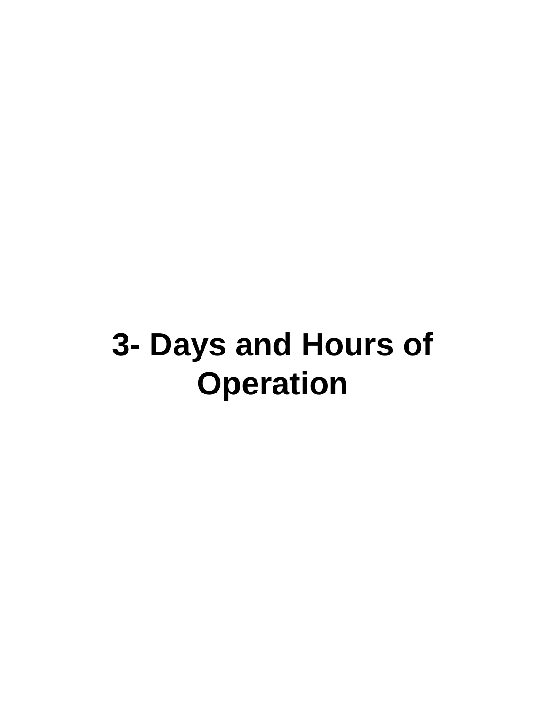## **3- Days and Hours of Operation**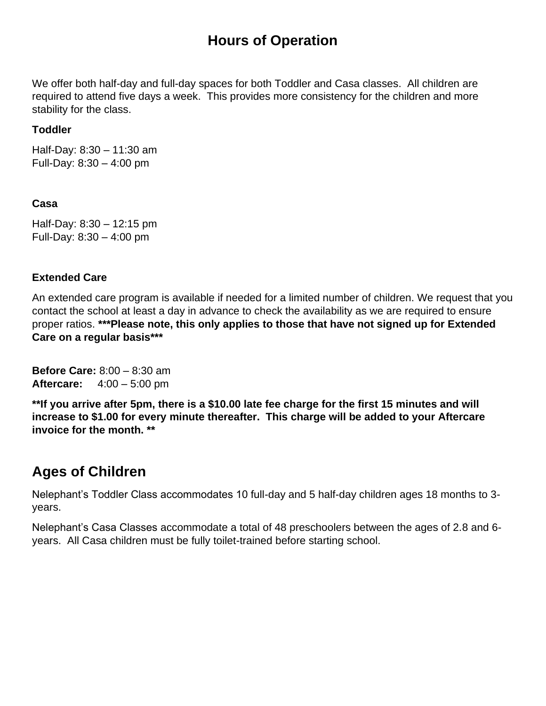## **Hours of Operation**

We offer both half-day and full-day spaces for both Toddler and Casa classes. All children are required to attend five days a week. This provides more consistency for the children and more stability for the class.

#### **Toddler**

Half-Day: 8:30 – 11:30 am Full-Day: 8:30 – 4:00 pm

#### **Casa**

Half-Day: 8:30 – 12:15 pm Full-Day: 8:30 – 4:00 pm

#### **Extended Care**

An extended care program is available if needed for a limited number of children. We request that you contact the school at least a day in advance to check the availability as we are required to ensure proper ratios. **\*\*\*Please note, this only applies to those that have not signed up for Extended Care on a regular basis\*\*\***

**Before Care:** 8:00 – 8:30 am **Aftercare:** 4:00 – 5:00 pm

**\*\*If you arrive after 5pm, there is a \$10.00 late fee charge for the first 15 minutes and will increase to \$1.00 for every minute thereafter. This charge will be added to your Aftercare invoice for the month. \*\***

## **Ages of Children**

Nelephant's Toddler Class accommodates 10 full-day and 5 half-day children ages 18 months to 3 years.

Nelephant's Casa Classes accommodate a total of 48 preschoolers between the ages of 2.8 and 6 years. All Casa children must be fully toilet-trained before starting school.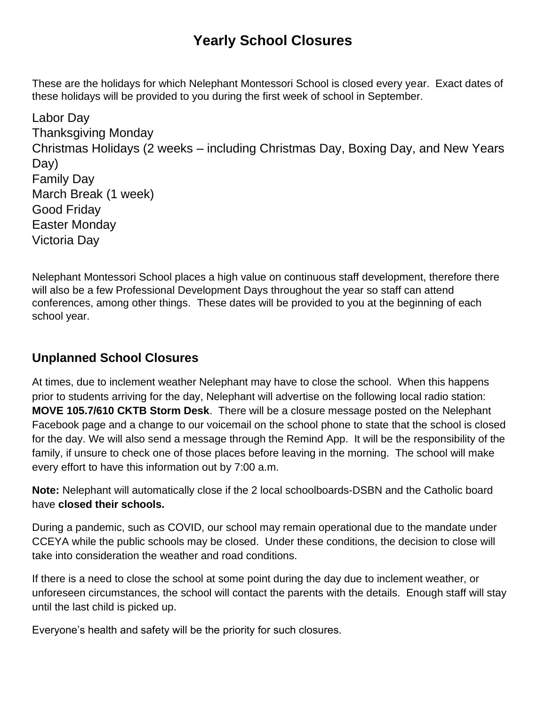## **Yearly School Closures**

These are the holidays for which Nelephant Montessori School is closed every year. Exact dates of these holidays will be provided to you during the first week of school in September.

Labor Day Thanksgiving Monday Christmas Holidays (2 weeks – including Christmas Day, Boxing Day, and New Years Day) Family Day March Break (1 week) Good Friday Easter Monday Victoria Day

Nelephant Montessori School places a high value on continuous staff development, therefore there will also be a few Professional Development Days throughout the year so staff can attend conferences, among other things. These dates will be provided to you at the beginning of each school year.

## **Unplanned School Closures**

At times, due to inclement weather Nelephant may have to close the school. When this happens prior to students arriving for the day, Nelephant will advertise on the following local radio station: **MOVE 105.7/610 CKTB Storm Desk**. There will be a closure message posted on the Nelephant Facebook page and a change to our voicemail on the school phone to state that the school is closed for the day. We will also send a message through the Remind App. It will be the responsibility of the family, if unsure to check one of those places before leaving in the morning. The school will make every effort to have this information out by 7:00 a.m.

**Note:** Nelephant will automatically close if the 2 local schoolboards-DSBN and the Catholic board have **closed their schools.**

During a pandemic, such as COVID, our school may remain operational due to the mandate under CCEYA while the public schools may be closed. Under these conditions, the decision to close will take into consideration the weather and road conditions.

If there is a need to close the school at some point during the day due to inclement weather, or unforeseen circumstances, the school will contact the parents with the details. Enough staff will stay until the last child is picked up.

Everyone's health and safety will be the priority for such closures.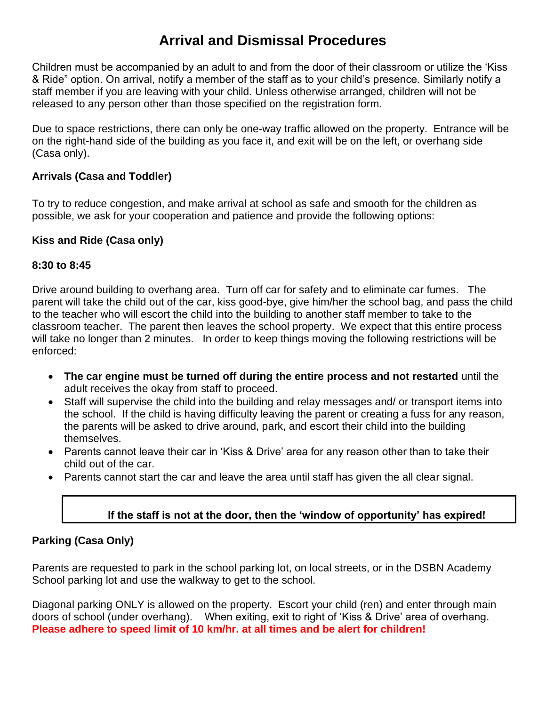## **Arrival and Dismissal Procedures**

Children must be accompanied by an adult to and from the door of their classroom or utilize the 'Kiss & Ride" option. On arrival, notify a member of the staff as to your child's presence. Similarly notify a staff member if you are leaving with your child. Unless otherwise arranged, children will not be released to any person other than those specified on the registration form.

Due to space restrictions, there can only be one-way traffic allowed on the property. Entrance will be on the right-hand side of the building as you face it, and exit will be on the left, or overhang side (Casa only).

#### **Arrivals (Casa and Toddler)**

To try to reduce congestion, and make arrival at school as safe and smooth for the children as possible, we ask for your cooperation and patience and provide the following options:

#### **Kiss and Ride (Casa only)**

#### **8:30 to 8:45**

Drive around building to overhang area. Turn off car for safety and to eliminate car fumes. The parent will take the child out of the car, kiss good-bye, give him/her the school bag, and pass the child to the teacher who will escort the child into the building to another staff member to take to the classroom teacher. The parent then leaves the school property. We expect that this entire process will take no longer than 2 minutes. In order to keep things moving the following restrictions will be enforced:

- **The car engine must be turned off during the entire process and not restarted** until the adult receives the okay from staff to proceed.
- Staff will supervise the child into the building and relay messages and/ or transport items into the school. If the child is having difficulty leaving the parent or creating a fuss for any reason, the parents will be asked to drive around, park, and escort their child into the building themselves.
- Parents cannot leave their car in 'Kiss & Drive' area for any reason other than to take their child out of the car.
- Parents cannot start the car and leave the area until staff has given the all clear signal.

#### **If the staff is not at the door, then the 'window of opportunity' has expired!**

#### **Parking (Casa Only)**

Parents are requested to park in the school parking lot, on local streets, or in the DSBN Academy School parking lot and use the walkway to get to the school.

Diagonal parking ONLY is allowed on the property. Escort your child (ren) and enter through main doors of school (under overhang). When exiting, exit to right of 'Kiss & Drive' area of overhang. **Please adhere to speed limit of 10 km/hr. at all times and be alert for children!**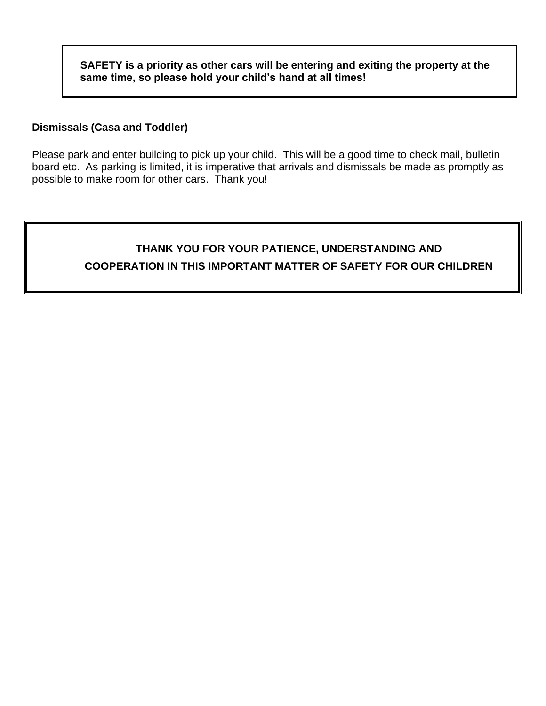**SAFETY is a priority as other cars will be entering and exiting the property at the same time, so please hold your child's hand at all times!**

#### **Dismissals (Casa and Toddler)**

Please park and enter building to pick up your child. This will be a good time to check mail, bulletin board etc. As parking is limited, it is imperative that arrivals and dismissals be made as promptly as possible to make room for other cars. Thank you!

### **THANK YOU FOR YOUR PATIENCE, UNDERSTANDING AND COOPERATION IN THIS IMPORTANT MATTER OF SAFETY FOR OUR CHILDREN**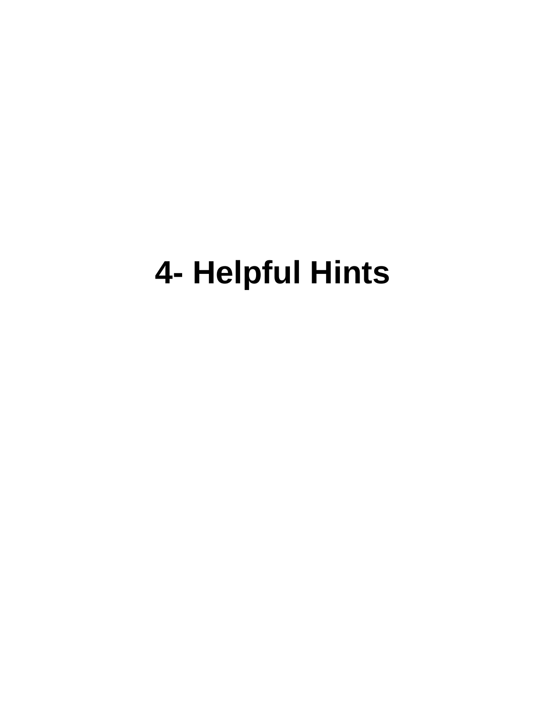# **4- Helpful Hints**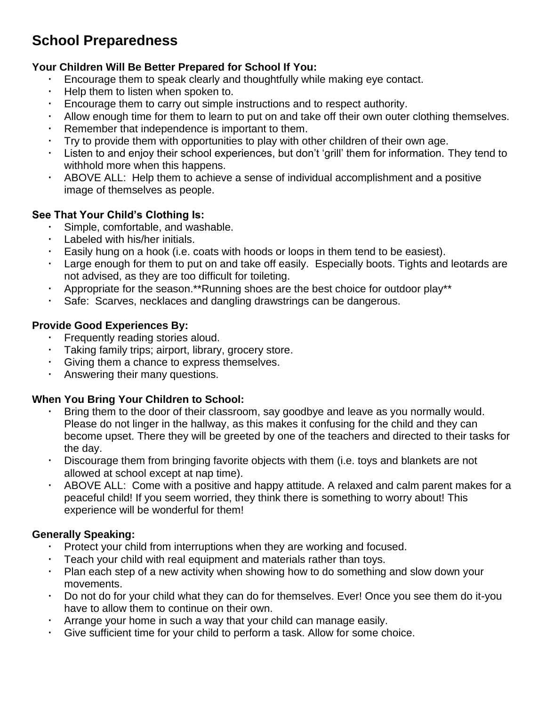## **School Preparedness**

#### **Your Children Will Be Better Prepared for School If You:**

- Encourage them to speak clearly and thoughtfully while making eye contact.
- $\cdot$  Help them to listen when spoken to.
- Encourage them to carry out simple instructions and to respect authority.
- Allow enough time for them to learn to put on and take off their own outer clothing themselves.
- Remember that independence is important to them.
- Try to provide them with opportunities to play with other children of their own age.
- Listen to and enjoy their school experiences, but don't 'grill' them for information. They tend to withhold more when this happens.
- ABOVE ALL: Help them to achieve a sense of individual accomplishment and a positive image of themselves as people.

#### **See That Your Child's Clothing Is:**

- Simple, comfortable, and washable.
- Labeled with his/her initials.
- Easily hung on a hook (i.e. coats with hoods or loops in them tend to be easiest).
- Large enough for them to put on and take off easily. Especially boots. Tights and leotards are not advised, as they are too difficult for toileting.
- Appropriate for the season.\*\*Running shoes are the best choice for outdoor play\*\*
- Safe: Scarves, necklaces and dangling drawstrings can be dangerous.

#### **Provide Good Experiences By:**

- Frequently reading stories aloud.
- Taking family trips; airport, library, grocery store.
- Giving them a chance to express themselves.
- Answering their many questions.

#### **When You Bring Your Children to School:**

- Bring them to the door of their classroom, say goodbye and leave as you normally would. Please do not linger in the hallway, as this makes it confusing for the child and they can become upset. There they will be greeted by one of the teachers and directed to their tasks for the day.
- Discourage them from bringing favorite objects with them (i.e. toys and blankets are not allowed at school except at nap time).
- ABOVE ALL: Come with a positive and happy attitude. A relaxed and calm parent makes for a peaceful child! If you seem worried, they think there is something to worry about! This experience will be wonderful for them!

#### **Generally Speaking:**

- Protect your child from interruptions when they are working and focused.
- Teach your child with real equipment and materials rather than toys.
- Plan each step of a new activity when showing how to do something and slow down your movements.
- Do not do for your child what they can do for themselves. Ever! Once you see them do it-you have to allow them to continue on their own.
- Arrange your home in such a way that your child can manage easily.
- Give sufficient time for your child to perform a task. Allow for some choice.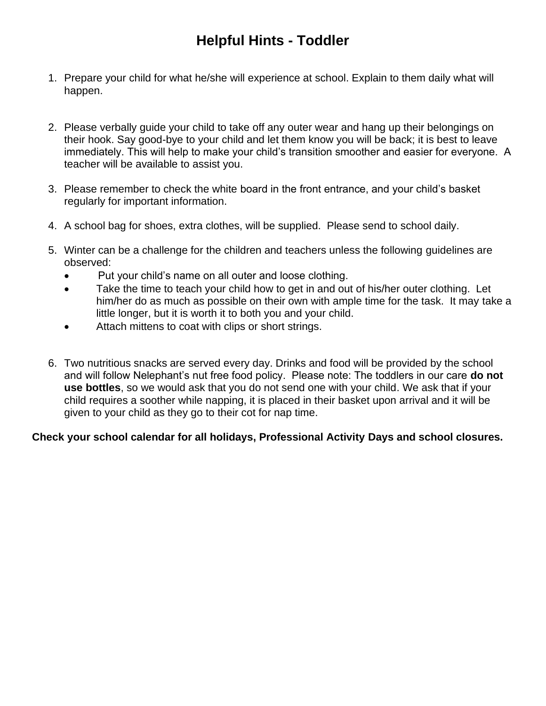## **Helpful Hints - Toddler**

- 1. Prepare your child for what he/she will experience at school. Explain to them daily what will happen.
- 2. Please verbally guide your child to take off any outer wear and hang up their belongings on their hook. Say good-bye to your child and let them know you will be back; it is best to leave immediately. This will help to make your child's transition smoother and easier for everyone. A teacher will be available to assist you.
- 3. Please remember to check the white board in the front entrance, and your child's basket regularly for important information.
- 4. A school bag for shoes, extra clothes, will be supplied. Please send to school daily.
- 5. Winter can be a challenge for the children and teachers unless the following guidelines are observed:
	- Put your child's name on all outer and loose clothing.
	- Take the time to teach your child how to get in and out of his/her outer clothing. Let him/her do as much as possible on their own with ample time for the task. It may take a little longer, but it is worth it to both you and your child.
	- Attach mittens to coat with clips or short strings.
- 6. Two nutritious snacks are served every day. Drinks and food will be provided by the school and will follow Nelephant's nut free food policy. Please note: The toddlers in our care **do not use bottles**, so we would ask that you do not send one with your child. We ask that if your child requires a soother while napping, it is placed in their basket upon arrival and it will be given to your child as they go to their cot for nap time.

#### **Check your school calendar for all holidays, Professional Activity Days and school closures.**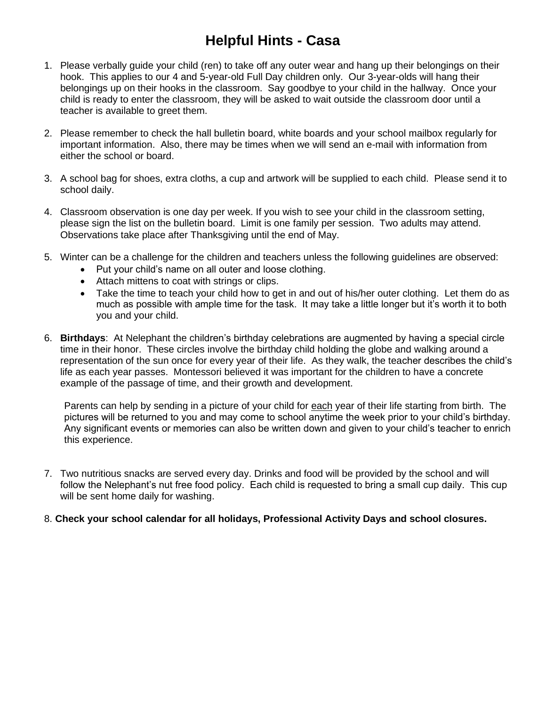## **Helpful Hints - Casa**

- 1. Please verbally guide your child (ren) to take off any outer wear and hang up their belongings on their hook. This applies to our 4 and 5-year-old Full Day children only. Our 3-year-olds will hang their belongings up on their hooks in the classroom. Say goodbye to your child in the hallway. Once your child is ready to enter the classroom, they will be asked to wait outside the classroom door until a teacher is available to greet them.
- 2. Please remember to check the hall bulletin board, white boards and your school mailbox regularly for important information. Also, there may be times when we will send an e-mail with information from either the school or board.
- 3. A school bag for shoes, extra cloths, a cup and artwork will be supplied to each child. Please send it to school daily.
- 4. Classroom observation is one day per week. If you wish to see your child in the classroom setting, please sign the list on the bulletin board. Limit is one family per session. Two adults may attend. Observations take place after Thanksgiving until the end of May.
- 5. Winter can be a challenge for the children and teachers unless the following guidelines are observed:
	- Put your child's name on all outer and loose clothing.
	- Attach mittens to coat with strings or clips.
	- Take the time to teach your child how to get in and out of his/her outer clothing. Let them do as much as possible with ample time for the task. It may take a little longer but it's worth it to both you and your child.
- 6. **Birthdays**: At Nelephant the children's birthday celebrations are augmented by having a special circle time in their honor. These circles involve the birthday child holding the globe and walking around a representation of the sun once for every year of their life. As they walk, the teacher describes the child's life as each year passes. Montessori believed it was important for the children to have a concrete example of the passage of time, and their growth and development.

Parents can help by sending in a picture of your child for each year of their life starting from birth. The pictures will be returned to you and may come to school anytime the week prior to your child's birthday. Any significant events or memories can also be written down and given to your child's teacher to enrich this experience.

- 7. Two nutritious snacks are served every day. Drinks and food will be provided by the school and will follow the Nelephant's nut free food policy. Each child is requested to bring a small cup daily. This cup will be sent home daily for washing.
- 8. **Check your school calendar for all holidays, Professional Activity Days and school closures.**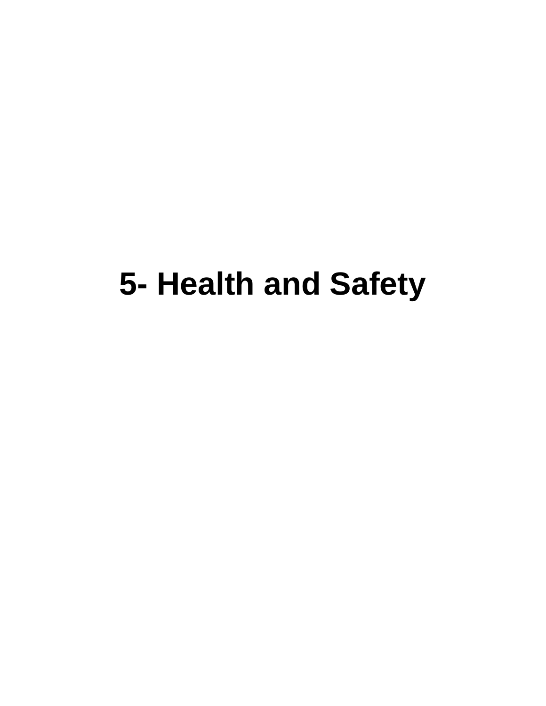# **5- Health and Safety**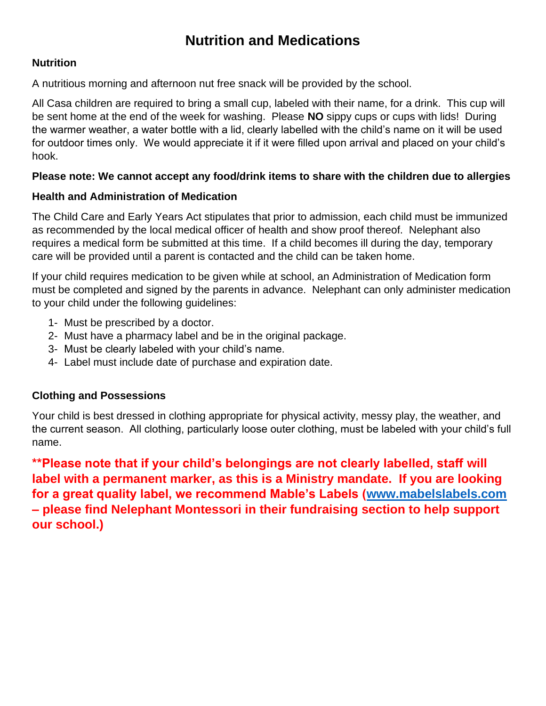## **Nutrition and Medications**

#### **Nutrition**

A nutritious morning and afternoon nut free snack will be provided by the school.

All Casa children are required to bring a small cup, labeled with their name, for a drink. This cup will be sent home at the end of the week for washing. Please **NO** sippy cups or cups with lids! During the warmer weather, a water bottle with a lid, clearly labelled with the child's name on it will be used for outdoor times only. We would appreciate it if it were filled upon arrival and placed on your child's hook.

#### **Please note: We cannot accept any food/drink items to share with the children due to allergies**

#### **Health and Administration of Medication**

The Child Care and Early Years Act stipulates that prior to admission, each child must be immunized as recommended by the local medical officer of health and show proof thereof. Nelephant also requires a medical form be submitted at this time. If a child becomes ill during the day, temporary care will be provided until a parent is contacted and the child can be taken home.

If your child requires medication to be given while at school, an Administration of Medication form must be completed and signed by the parents in advance. Nelephant can only administer medication to your child under the following guidelines:

- 1- Must be prescribed by a doctor.
- 2- Must have a pharmacy label and be in the original package.
- 3- Must be clearly labeled with your child's name.
- 4- Label must include date of purchase and expiration date.

#### **Clothing and Possessions**

Your child is best dressed in clothing appropriate for physical activity, messy play, the weather, and the current season. All clothing, particularly loose outer clothing, must be labeled with your child's full name.

**\*\*Please note that if your child's belongings are not clearly labelled, staff will label with a permanent marker, as this is a Ministry mandate. If you are looking for a great quality label, we recommend Mable's Labels [\(www.mabelslabels.com](http://www.mabelslabels.com/) – please find Nelephant Montessori in their fundraising section to help support our school.)**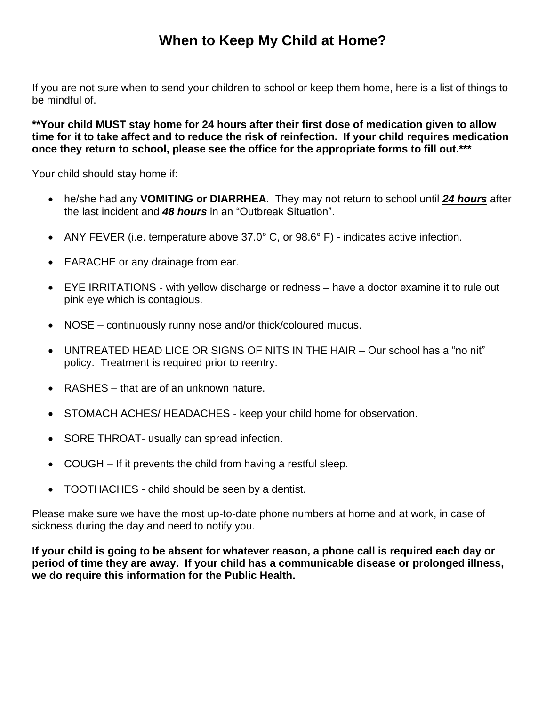## **When to Keep My Child at Home?**

If you are not sure when to send your children to school or keep them home, here is a list of things to be mindful of.

**\*\*Your child MUST stay home for 24 hours after their first dose of medication given to allow time for it to take affect and to reduce the risk of reinfection. If your child requires medication once they return to school, please see the office for the appropriate forms to fill out.\*\*\***

Your child should stay home if:

- he/she had any **VOMITING or DIARRHEA**. They may not return to school until *24 hours* after the last incident and *48 hours* in an "Outbreak Situation".
- ANY FEVER (i.e. temperature above 37.0° C, or 98.6° F) indicates active infection.
- EARACHE or any drainage from ear.
- EYE IRRITATIONS with yellow discharge or redness have a doctor examine it to rule out pink eye which is contagious.
- NOSE continuously runny nose and/or thick/coloured mucus.
- UNTREATED HEAD LICE OR SIGNS OF NITS IN THE HAIR Our school has a "no nit" policy. Treatment is required prior to reentry.
- RASHES that are of an unknown nature.
- STOMACH ACHES/ HEADACHES keep your child home for observation.
- SORE THROAT- usually can spread infection.
- COUGH If it prevents the child from having a restful sleep.
- TOOTHACHES child should be seen by a dentist.

Please make sure we have the most up-to-date phone numbers at home and at work, in case of sickness during the day and need to notify you.

**If your child is going to be absent for whatever reason, a phone call is required each day or period of time they are away. If your child has a communicable disease or prolonged illness, we do require this information for the Public Health.**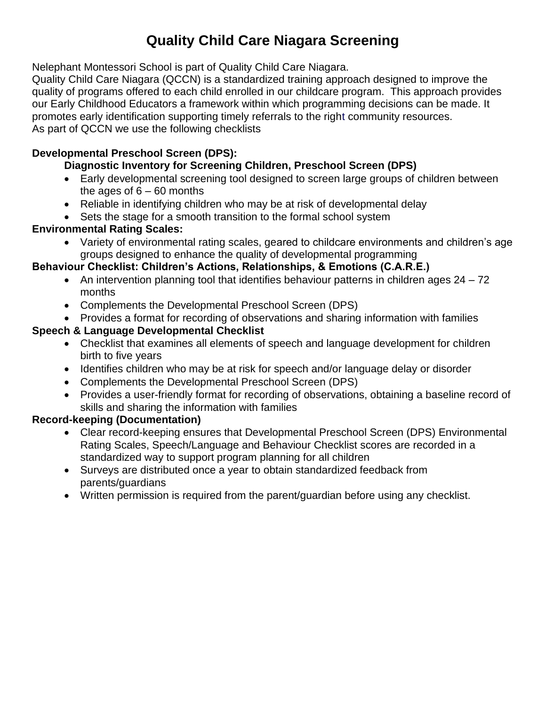## **Quality Child Care Niagara Screening**

Nelephant Montessori School is part of Quality Child Care Niagara.

Quality Child Care Niagara (QCCN) is a standardized training approach designed to improve the quality of programs offered to each child enrolled in our childcare program. This approach provides our Early Childhood Educators a framework within which programming decisions can be made. It promotes early identification supporting timely referrals to the right community resources. As part of QCCN we use the following checklists

#### **Developmental Preschool Screen (DPS):**

#### **Diagnostic Inventory for Screening Children, Preschool Screen (DPS)**

- Early developmental screening tool designed to screen large groups of children between the ages of  $6 - 60$  months
- Reliable in identifying children who may be at risk of developmental delay
- Sets the stage for a smooth transition to the formal school system

#### **Environmental Rating Scales:**

• Variety of environmental rating scales, geared to childcare environments and children's age groups designed to enhance the quality of developmental programming

#### **Behaviour Checklist: Children's Actions, Relationships, & Emotions (C.A.R.E.)**

- An intervention planning tool that identifies behaviour patterns in children ages  $24 72$ months
- Complements the Developmental Preschool Screen (DPS)
- Provides a format for recording of observations and sharing information with families

#### **Speech & Language Developmental Checklist**

- Checklist that examines all elements of speech and language development for children birth to five years
- Identifies children who may be at risk for speech and/or language delay or disorder
- Complements the Developmental Preschool Screen (DPS)
- Provides a user-friendly format for recording of observations, obtaining a baseline record of skills and sharing the information with families

#### **Record-keeping (Documentation)**

- Clear record-keeping ensures that Developmental Preschool Screen (DPS) Environmental Rating Scales, Speech/Language and Behaviour Checklist scores are recorded in a standardized way to support program planning for all children
- Surveys are distributed once a year to obtain standardized feedback from parents/guardians
- Written permission is required from the parent/guardian before using any checklist.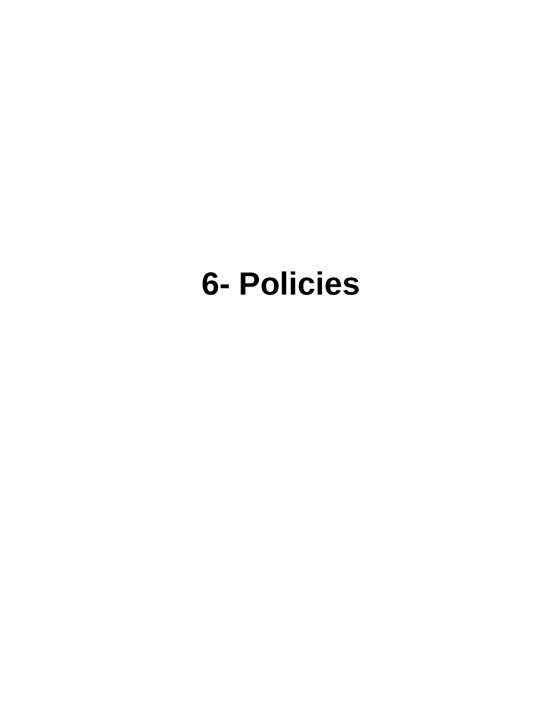## **6- Policies**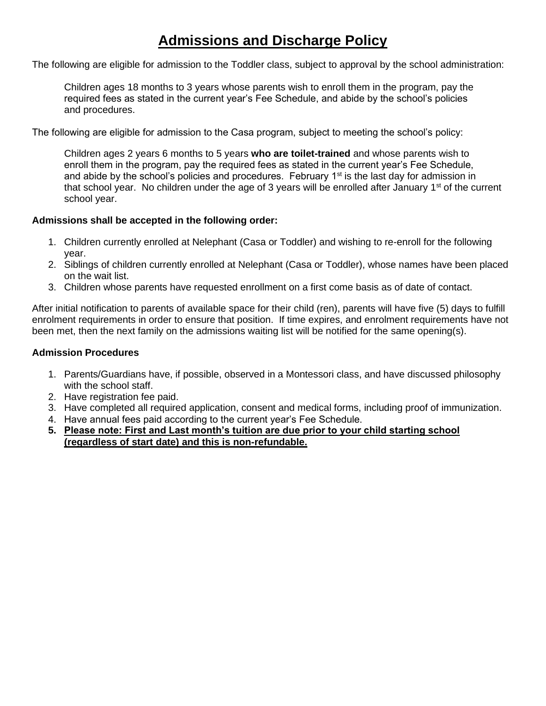## **Admissions and Discharge Policy**

The following are eligible for admission to the Toddler class, subject to approval by the school administration:

Children ages 18 months to 3 years whose parents wish to enroll them in the program, pay the required fees as stated in the current year's Fee Schedule, and abide by the school's policies and procedures.

The following are eligible for admission to the Casa program, subject to meeting the school's policy:

Children ages 2 years 6 months to 5 years **who are toilet-trained** and whose parents wish to enroll them in the program, pay the required fees as stated in the current year's Fee Schedule, and abide by the school's policies and procedures. February 1<sup>st</sup> is the last day for admission in that school year. No children under the age of 3 years will be enrolled after January  $1<sup>st</sup>$  of the current school year.

#### **Admissions shall be accepted in the following order:**

- 1. Children currently enrolled at Nelephant (Casa or Toddler) and wishing to re-enroll for the following year.
- 2. Siblings of children currently enrolled at Nelephant (Casa or Toddler), whose names have been placed on the wait list.
- 3. Children whose parents have requested enrollment on a first come basis as of date of contact.

After initial notification to parents of available space for their child (ren), parents will have five (5) days to fulfill enrolment requirements in order to ensure that position. If time expires, and enrolment requirements have not been met, then the next family on the admissions waiting list will be notified for the same opening(s).

#### **Admission Procedures**

- 1. Parents/Guardians have, if possible, observed in a Montessori class, and have discussed philosophy with the school staff.
- 2. Have registration fee paid.
- 3. Have completed all required application, consent and medical forms, including proof of immunization.
- 4. Have annual fees paid according to the current year's Fee Schedule.
- **5. Please note: First and Last month's tuition are due prior to your child starting school (regardless of start date) and this is non-refundable.**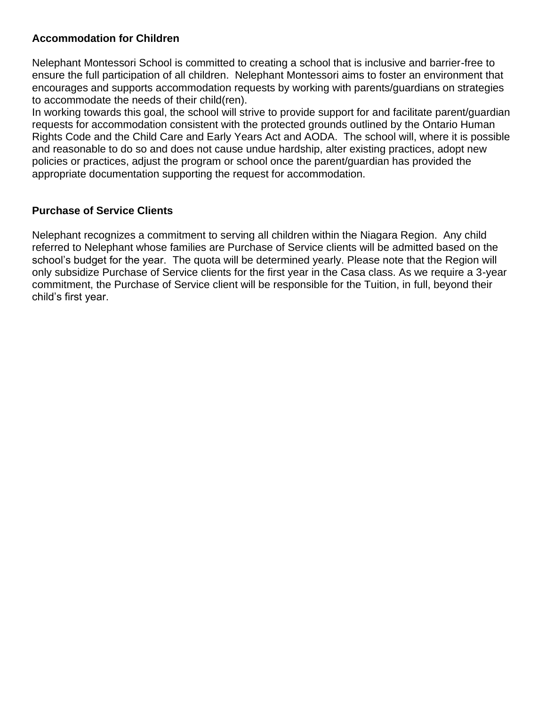#### **Accommodation for Children**

Nelephant Montessori School is committed to creating a school that is inclusive and barrier-free to ensure the full participation of all children. Nelephant Montessori aims to foster an environment that encourages and supports accommodation requests by working with parents/guardians on strategies to accommodate the needs of their child(ren).

In working towards this goal, the school will strive to provide support for and facilitate parent/guardian requests for accommodation consistent with the protected grounds outlined by the Ontario Human Rights Code and the Child Care and Early Years Act and AODA. The school will, where it is possible and reasonable to do so and does not cause undue hardship, alter existing practices, adopt new policies or practices, adjust the program or school once the parent/guardian has provided the appropriate documentation supporting the request for accommodation.

#### **Purchase of Service Clients**

Nelephant recognizes a commitment to serving all children within the Niagara Region. Any child referred to Nelephant whose families are Purchase of Service clients will be admitted based on the school's budget for the year. The quota will be determined yearly. Please note that the Region will only subsidize Purchase of Service clients for the first year in the Casa class. As we require a 3-year commitment, the Purchase of Service client will be responsible for the Tuition, in full, beyond their child's first year.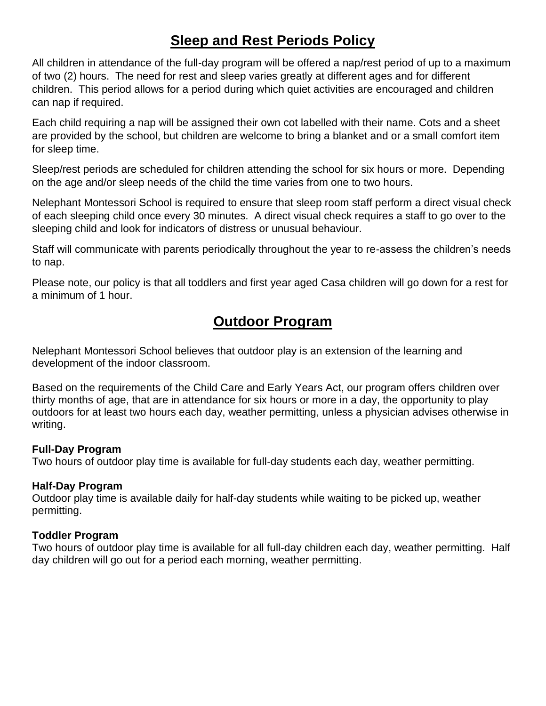## **Sleep and Rest Periods Policy**

All children in attendance of the full-day program will be offered a nap/rest period of up to a maximum of two (2) hours. The need for rest and sleep varies greatly at different ages and for different children. This period allows for a period during which quiet activities are encouraged and children can nap if required.

Each child requiring a nap will be assigned their own cot labelled with their name. Cots and a sheet are provided by the school, but children are welcome to bring a blanket and or a small comfort item for sleep time.

Sleep/rest periods are scheduled for children attending the school for six hours or more. Depending on the age and/or sleep needs of the child the time varies from one to two hours.

Nelephant Montessori School is required to ensure that sleep room staff perform a direct visual check of each sleeping child once every 30 minutes. A direct visual check requires a staff to go over to the sleeping child and look for indicators of distress or unusual behaviour.

Staff will communicate with parents periodically throughout the year to re-assess the children's needs to nap.

Please note, our policy is that all toddlers and first year aged Casa children will go down for a rest for a minimum of 1 hour.

## **Outdoor Program**

Nelephant Montessori School believes that outdoor play is an extension of the learning and development of the indoor classroom.

Based on the requirements of the Child Care and Early Years Act, our program offers children over thirty months of age, that are in attendance for six hours or more in a day, the opportunity to play outdoors for at least two hours each day, weather permitting, unless a physician advises otherwise in writing.

#### **Full-Day Program**

Two hours of outdoor play time is available for full-day students each day, weather permitting.

#### **Half-Day Program**

Outdoor play time is available daily for half-day students while waiting to be picked up, weather permitting.

#### **Toddler Program**

Two hours of outdoor play time is available for all full-day children each day, weather permitting. Half day children will go out for a period each morning, weather permitting.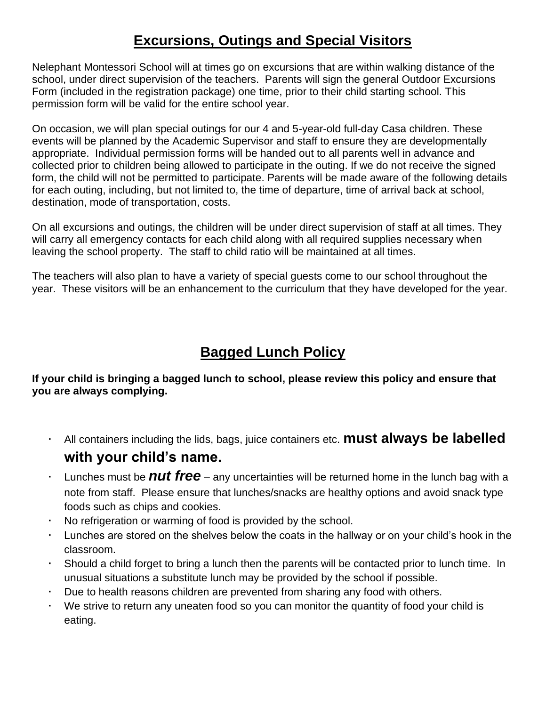## **Excursions, Outings and Special Visitors**

Nelephant Montessori School will at times go on excursions that are within walking distance of the school, under direct supervision of the teachers. Parents will sign the general Outdoor Excursions Form (included in the registration package) one time, prior to their child starting school. This permission form will be valid for the entire school year.

On occasion, we will plan special outings for our 4 and 5-year-old full-day Casa children. These events will be planned by the Academic Supervisor and staff to ensure they are developmentally appropriate. Individual permission forms will be handed out to all parents well in advance and collected prior to children being allowed to participate in the outing. If we do not receive the signed form, the child will not be permitted to participate. Parents will be made aware of the following details for each outing, including, but not limited to, the time of departure, time of arrival back at school, destination, mode of transportation, costs.

On all excursions and outings, the children will be under direct supervision of staff at all times. They will carry all emergency contacts for each child along with all required supplies necessary when leaving the school property. The staff to child ratio will be maintained at all times.

The teachers will also plan to have a variety of special guests come to our school throughout the year. These visitors will be an enhancement to the curriculum that they have developed for the year.

## **Bagged Lunch Policy**

**If your child is bringing a bagged lunch to school, please review this policy and ensure that you are always complying.** 

- All containers including the lids, bags, juice containers etc. **must always be labelled with your child's name.**
- Lunches must be *nut free* any uncertainties will be returned home in the lunch bag with a note from staff. Please ensure that lunches/snacks are healthy options and avoid snack type foods such as chips and cookies.
- No refrigeration or warming of food is provided by the school.
- Lunches are stored on the shelves below the coats in the hallway or on your child's hook in the classroom.
- Should a child forget to bring a lunch then the parents will be contacted prior to lunch time. In unusual situations a substitute lunch may be provided by the school if possible.
- Due to health reasons children are prevented from sharing any food with others.
- We strive to return any uneaten food so you can monitor the quantity of food your child is eating.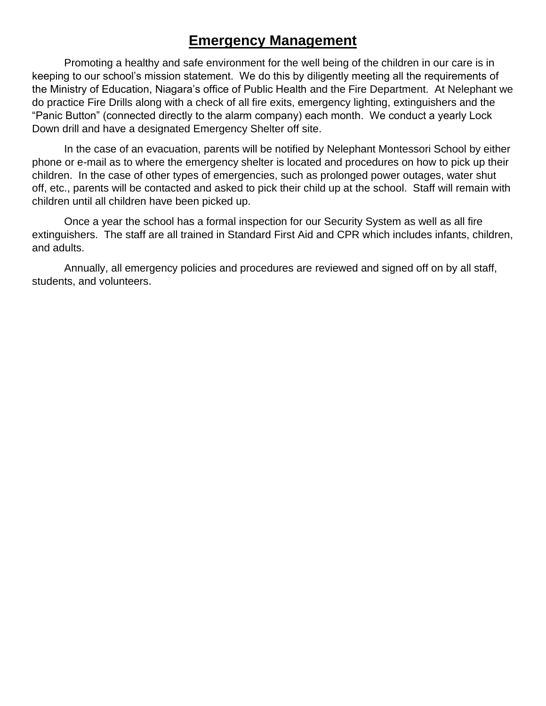## **Emergency Management**

Promoting a healthy and safe environment for the well being of the children in our care is in keeping to our school's mission statement. We do this by diligently meeting all the requirements of the Ministry of Education, Niagara's office of Public Health and the Fire Department. At Nelephant we do practice Fire Drills along with a check of all fire exits, emergency lighting, extinguishers and the "Panic Button" (connected directly to the alarm company) each month. We conduct a yearly Lock Down drill and have a designated Emergency Shelter off site.

In the case of an evacuation, parents will be notified by Nelephant Montessori School by either phone or e-mail as to where the emergency shelter is located and procedures on how to pick up their children. In the case of other types of emergencies, such as prolonged power outages, water shut off, etc., parents will be contacted and asked to pick their child up at the school. Staff will remain with children until all children have been picked up.

Once a year the school has a formal inspection for our Security System as well as all fire extinguishers. The staff are all trained in Standard First Aid and CPR which includes infants, children, and adults.

Annually, all emergency policies and procedures are reviewed and signed off on by all staff, students, and volunteers.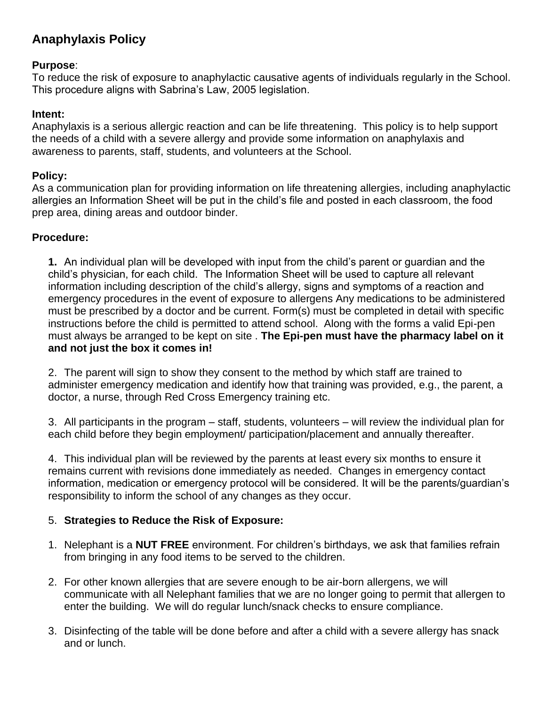### **Anaphylaxis Policy**

#### **Purpose**:

To reduce the risk of exposure to anaphylactic causative agents of individuals regularly in the School. This procedure aligns with Sabrina's Law, 2005 legislation.

#### **Intent:**

Anaphylaxis is a serious allergic reaction and can be life threatening. This policy is to help support the needs of a child with a severe allergy and provide some information on anaphylaxis and awareness to parents, staff, students, and volunteers at the School.

#### **Policy:**

As a communication plan for providing information on life threatening allergies, including anaphylactic allergies an Information Sheet will be put in the child's file and posted in each classroom, the food prep area, dining areas and outdoor binder.

#### **Procedure:**

**1.** An individual plan will be developed with input from the child's parent or guardian and the child's physician, for each child. The Information Sheet will be used to capture all relevant information including description of the child's allergy, signs and symptoms of a reaction and emergency procedures in the event of exposure to allergens Any medications to be administered must be prescribed by a doctor and be current. Form(s) must be completed in detail with specific instructions before the child is permitted to attend school. Along with the forms a valid Epi-pen must always be arranged to be kept on site . **The Epi-pen must have the pharmacy label on it and not just the box it comes in!**

2. The parent will sign to show they consent to the method by which staff are trained to administer emergency medication and identify how that training was provided, e.g., the parent, a doctor, a nurse, through Red Cross Emergency training etc.

3. All participants in the program – staff, students, volunteers – will review the individual plan for each child before they begin employment/ participation/placement and annually thereafter.

4. This individual plan will be reviewed by the parents at least every six months to ensure it remains current with revisions done immediately as needed. Changes in emergency contact information, medication or emergency protocol will be considered. It will be the parents/guardian's responsibility to inform the school of any changes as they occur.

#### 5. **Strategies to Reduce the Risk of Exposure:**

- 1. Nelephant is a **NUT FREE** environment. For children's birthdays, we ask that families refrain from bringing in any food items to be served to the children.
- 2. For other known allergies that are severe enough to be air-born allergens, we will communicate with all Nelephant families that we are no longer going to permit that allergen to enter the building. We will do regular lunch/snack checks to ensure compliance.
- 3. Disinfecting of the table will be done before and after a child with a severe allergy has snack and or lunch.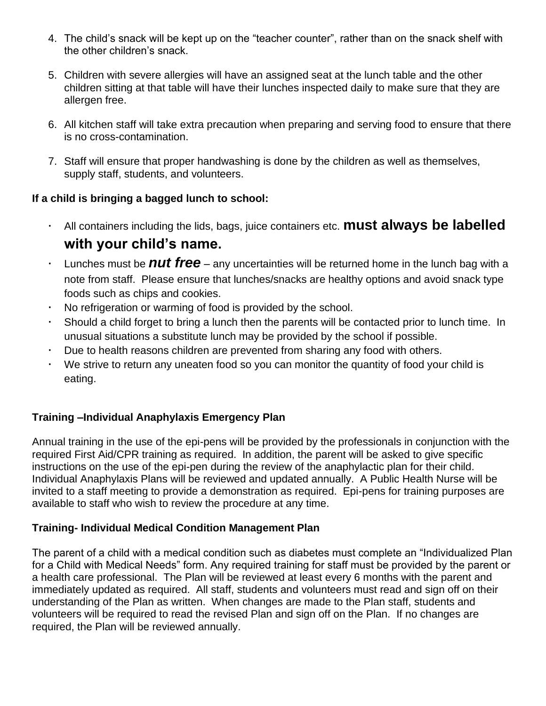- 4. The child's snack will be kept up on the "teacher counter", rather than on the snack shelf with the other children's snack.
- 5. Children with severe allergies will have an assigned seat at the lunch table and the other children sitting at that table will have their lunches inspected daily to make sure that they are allergen free.
- 6. All kitchen staff will take extra precaution when preparing and serving food to ensure that there is no cross-contamination.
- 7. Staff will ensure that proper handwashing is done by the children as well as themselves, supply staff, students, and volunteers.

#### **If a child is bringing a bagged lunch to school:**

- All containers including the lids, bags, juice containers etc. **must always be labelled with your child's name.**
- Lunches must be *nut free* any uncertainties will be returned home in the lunch bag with a note from staff. Please ensure that lunches/snacks are healthy options and avoid snack type foods such as chips and cookies.
- No refrigeration or warming of food is provided by the school.
- Should a child forget to bring a lunch then the parents will be contacted prior to lunch time. In unusual situations a substitute lunch may be provided by the school if possible.
- Due to health reasons children are prevented from sharing any food with others.
- We strive to return any uneaten food so you can monitor the quantity of food your child is eating.

#### **Training –Individual Anaphylaxis Emergency Plan**

Annual training in the use of the epi-pens will be provided by the professionals in conjunction with the required First Aid/CPR training as required. In addition, the parent will be asked to give specific instructions on the use of the epi-pen during the review of the anaphylactic plan for their child. Individual Anaphylaxis Plans will be reviewed and updated annually. A Public Health Nurse will be invited to a staff meeting to provide a demonstration as required. Epi-pens for training purposes are available to staff who wish to review the procedure at any time.

#### **Training- Individual Medical Condition Management Plan**

The parent of a child with a medical condition such as diabetes must complete an "Individualized Plan for a Child with Medical Needs" form. Any required training for staff must be provided by the parent or a health care professional. The Plan will be reviewed at least every 6 months with the parent and immediately updated as required. All staff, students and volunteers must read and sign off on their understanding of the Plan as written. When changes are made to the Plan staff, students and volunteers will be required to read the revised Plan and sign off on the Plan. If no changes are required, the Plan will be reviewed annually.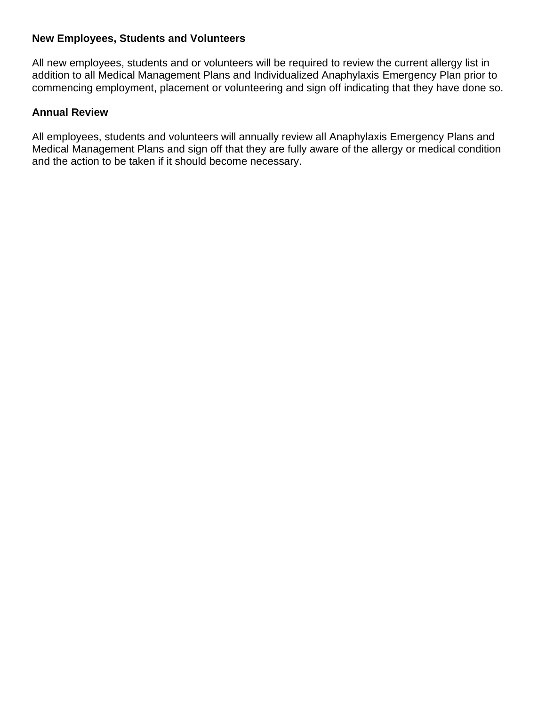#### **New Employees, Students and Volunteers**

All new employees, students and or volunteers will be required to review the current allergy list in addition to all Medical Management Plans and Individualized Anaphylaxis Emergency Plan prior to commencing employment, placement or volunteering and sign off indicating that they have done so.

#### **Annual Review**

All employees, students and volunteers will annually review all Anaphylaxis Emergency Plans and Medical Management Plans and sign off that they are fully aware of the allergy or medical condition and the action to be taken if it should become necessary.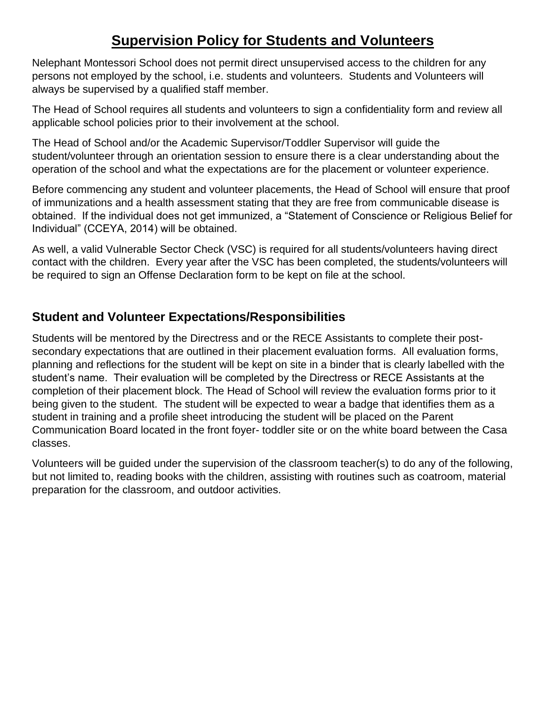# **Supervision Policy for Students and Volunteers**

Nelephant Montessori School does not permit direct unsupervised access to the children for any persons not employed by the school, i.e. students and volunteers. Students and Volunteers will always be supervised by a qualified staff member.

The Head of School requires all students and volunteers to sign a confidentiality form and review all applicable school policies prior to their involvement at the school.

The Head of School and/or the Academic Supervisor/Toddler Supervisor will guide the student/volunteer through an orientation session to ensure there is a clear understanding about the operation of the school and what the expectations are for the placement or volunteer experience.

Before commencing any student and volunteer placements, the Head of School will ensure that proof of immunizations and a health assessment stating that they are free from communicable disease is obtained. If the individual does not get immunized, a "Statement of Conscience or Religious Belief for Individual" (CCEYA, 2014) will be obtained.

As well, a valid Vulnerable Sector Check (VSC) is required for all students/volunteers having direct contact with the children. Every year after the VSC has been completed, the students/volunteers will be required to sign an Offense Declaration form to be kept on file at the school.

# **Student and Volunteer Expectations/Responsibilities**

Students will be mentored by the Directress and or the RECE Assistants to complete their postsecondary expectations that are outlined in their placement evaluation forms. All evaluation forms, planning and reflections for the student will be kept on site in a binder that is clearly labelled with the student's name. Their evaluation will be completed by the Directress or RECE Assistants at the completion of their placement block. The Head of School will review the evaluation forms prior to it being given to the student. The student will be expected to wear a badge that identifies them as a student in training and a profile sheet introducing the student will be placed on the Parent Communication Board located in the front foyer- toddler site or on the white board between the Casa classes.

Volunteers will be guided under the supervision of the classroom teacher(s) to do any of the following, but not limited to, reading books with the children, assisting with routines such as coatroom, material preparation for the classroom, and outdoor activities.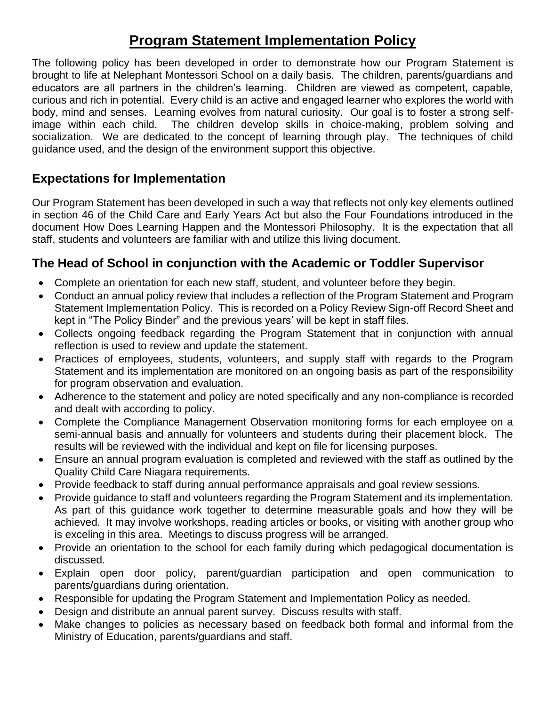# **Program Statement Implementation Policy**

The following policy has been developed in order to demonstrate how our Program Statement is brought to life at Nelephant Montessori School on a daily basis. The children, parents/guardians and educators are all partners in the children's learning. Children are viewed as competent, capable, curious and rich in potential. Every child is an active and engaged learner who explores the world with body, mind and senses. Learning evolves from natural curiosity. Our goal is to foster a strong selfimage within each child. The children develop skills in choice-making, problem solving and socialization. We are dedicated to the concept of learning through play. The techniques of child guidance used, and the design of the environment support this objective.

# **Expectations for Implementation**

Our Program Statement has been developed in such a way that reflects not only key elements outlined in section 46 of the Child Care and Early Years Act but also the Four Foundations introduced in the document How Does Learning Happen and the Montessori Philosophy. It is the expectation that all staff, students and volunteers are familiar with and utilize this living document.

# **The Head of School in conjunction with the Academic or Toddler Supervisor**

- Complete an orientation for each new staff, student, and volunteer before they begin.
- Conduct an annual policy review that includes a reflection of the Program Statement and Program Statement Implementation Policy. This is recorded on a Policy Review Sign-off Record Sheet and kept in "The Policy Binder" and the previous years' will be kept in staff files.
- Collects ongoing feedback regarding the Program Statement that in conjunction with annual reflection is used to review and update the statement.
- Practices of employees, students, volunteers, and supply staff with regards to the Program Statement and its implementation are monitored on an ongoing basis as part of the responsibility for program observation and evaluation.
- Adherence to the statement and policy are noted specifically and any non-compliance is recorded and dealt with according to policy.
- Complete the Compliance Management Observation monitoring forms for each employee on a semi-annual basis and annually for volunteers and students during their placement block. The results will be reviewed with the individual and kept on file for licensing purposes.
- Ensure an annual program evaluation is completed and reviewed with the staff as outlined by the Quality Child Care Niagara requirements.
- Provide feedback to staff during annual performance appraisals and goal review sessions.
- Provide guidance to staff and volunteers regarding the Program Statement and its implementation. As part of this guidance work together to determine measurable goals and how they will be achieved. It may involve workshops, reading articles or books, or visiting with another group who is exceling in this area. Meetings to discuss progress will be arranged.
- Provide an orientation to the school for each family during which pedagogical documentation is discussed.
- Explain open door policy, parent/guardian participation and open communication to parents/guardians during orientation.
- Responsible for updating the Program Statement and Implementation Policy as needed.
- Design and distribute an annual parent survey. Discuss results with staff.
- Make changes to policies as necessary based on feedback both formal and informal from the Ministry of Education, parents/guardians and staff.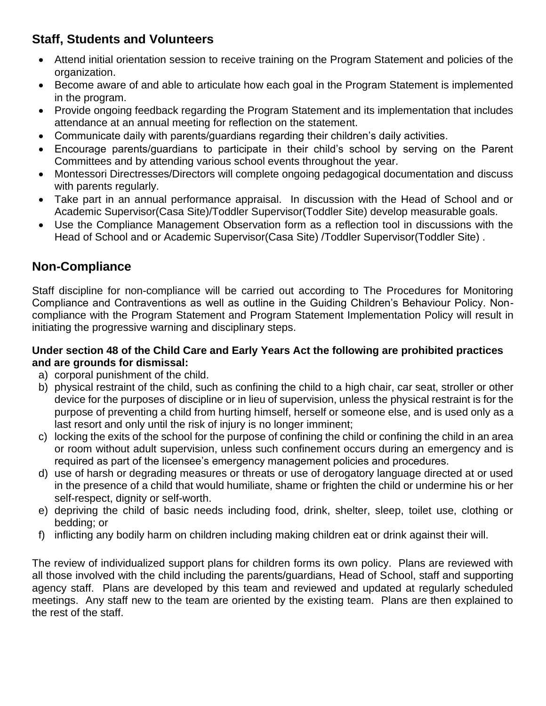# **Staff, Students and Volunteers**

- Attend initial orientation session to receive training on the Program Statement and policies of the organization.
- Become aware of and able to articulate how each goal in the Program Statement is implemented in the program.
- Provide ongoing feedback regarding the Program Statement and its implementation that includes attendance at an annual meeting for reflection on the statement.
- Communicate daily with parents/guardians regarding their children's daily activities.
- Encourage parents/guardians to participate in their child's school by serving on the Parent Committees and by attending various school events throughout the year.
- Montessori Directresses/Directors will complete ongoing pedagogical documentation and discuss with parents regularly.
- Take part in an annual performance appraisal. In discussion with the Head of School and or Academic Supervisor(Casa Site)/Toddler Supervisor(Toddler Site) develop measurable goals.
- Use the Compliance Management Observation form as a reflection tool in discussions with the Head of School and or Academic Supervisor(Casa Site) /Toddler Supervisor(Toddler Site) .

# **Non-Compliance**

Staff discipline for non-compliance will be carried out according to The Procedures for Monitoring Compliance and Contraventions as well as outline in the Guiding Children's Behaviour Policy. Noncompliance with the Program Statement and Program Statement Implementation Policy will result in initiating the progressive warning and disciplinary steps.

#### **Under section 48 of the Child Care and Early Years Act the following are prohibited practices and are grounds for dismissal:**

- a) corporal punishment of the child.
- b) physical restraint of the child, such as confining the child to a high chair, car seat, stroller or other device for the purposes of discipline or in lieu of supervision, unless the physical restraint is for the purpose of preventing a child from hurting himself, herself or someone else, and is used only as a last resort and only until the risk of injury is no longer imminent;
- c) locking the exits of the school for the purpose of confining the child or confining the child in an area or room without adult supervision, unless such confinement occurs during an emergency and is required as part of the licensee's emergency management policies and procedures.
- d) use of harsh or degrading measures or threats or use of derogatory language directed at or used in the presence of a child that would humiliate, shame or frighten the child or undermine his or her self-respect, dignity or self-worth.
- e) depriving the child of basic needs including food, drink, shelter, sleep, toilet use, clothing or bedding; or
- f) inflicting any bodily harm on children including making children eat or drink against their will.

The review of individualized support plans for children forms its own policy. Plans are reviewed with all those involved with the child including the parents/guardians, Head of School, staff and supporting agency staff. Plans are developed by this team and reviewed and updated at regularly scheduled meetings. Any staff new to the team are oriented by the existing team. Plans are then explained to the rest of the staff.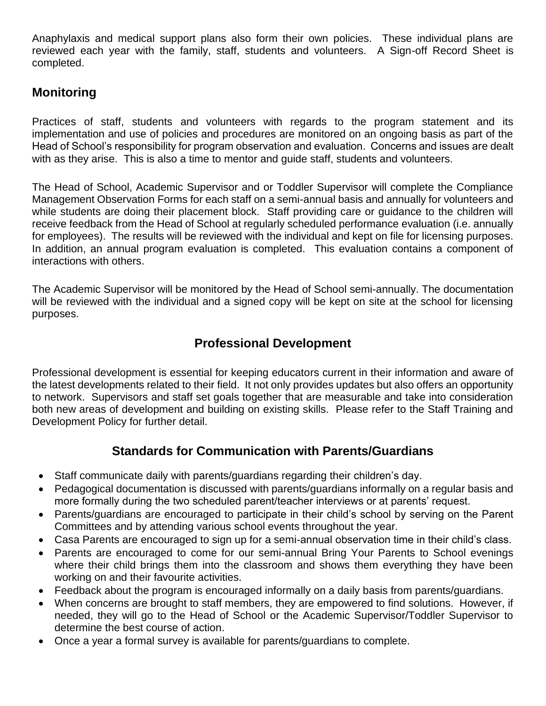Anaphylaxis and medical support plans also form their own policies. These individual plans are reviewed each year with the family, staff, students and volunteers. A Sign-off Record Sheet is completed.

# **Monitoring**

Practices of staff, students and volunteers with regards to the program statement and its implementation and use of policies and procedures are monitored on an ongoing basis as part of the Head of School's responsibility for program observation and evaluation. Concerns and issues are dealt with as they arise. This is also a time to mentor and guide staff, students and volunteers.

The Head of School, Academic Supervisor and or Toddler Supervisor will complete the Compliance Management Observation Forms for each staff on a semi-annual basis and annually for volunteers and while students are doing their placement block. Staff providing care or guidance to the children will receive feedback from the Head of School at regularly scheduled performance evaluation (i.e. annually for employees). The results will be reviewed with the individual and kept on file for licensing purposes. In addition, an annual program evaluation is completed. This evaluation contains a component of interactions with others.

The Academic Supervisor will be monitored by the Head of School semi-annually. The documentation will be reviewed with the individual and a signed copy will be kept on site at the school for licensing purposes.

# **Professional Development**

Professional development is essential for keeping educators current in their information and aware of the latest developments related to their field. It not only provides updates but also offers an opportunity to network. Supervisors and staff set goals together that are measurable and take into consideration both new areas of development and building on existing skills. Please refer to the Staff Training and Development Policy for further detail.

# **Standards for Communication with Parents/Guardians**

- Staff communicate daily with parents/guardians regarding their children's day.
- Pedagogical documentation is discussed with parents/guardians informally on a regular basis and more formally during the two scheduled parent/teacher interviews or at parents' request.
- Parents/guardians are encouraged to participate in their child's school by serving on the Parent Committees and by attending various school events throughout the year.
- Casa Parents are encouraged to sign up for a semi-annual observation time in their child's class.
- Parents are encouraged to come for our semi-annual Bring Your Parents to School evenings where their child brings them into the classroom and shows them everything they have been working on and their favourite activities.
- Feedback about the program is encouraged informally on a daily basis from parents/guardians.
- When concerns are brought to staff members, they are empowered to find solutions. However, if needed, they will go to the Head of School or the Academic Supervisor/Toddler Supervisor to determine the best course of action.
- Once a year a formal survey is available for parents/guardians to complete.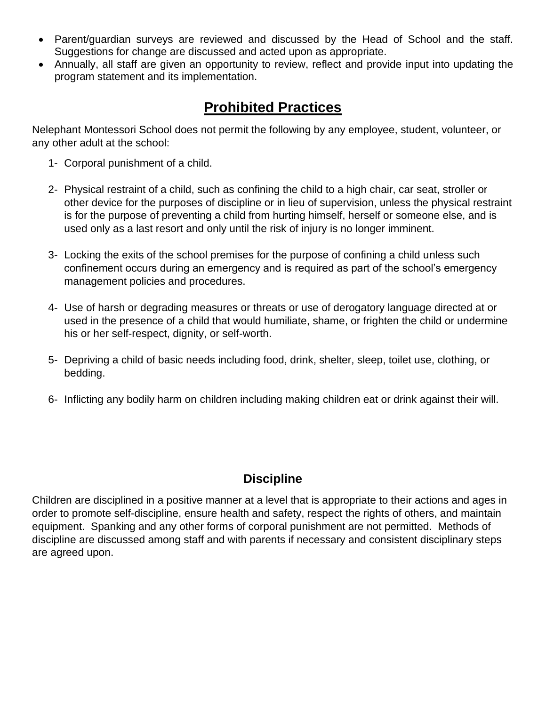- Parent/guardian surveys are reviewed and discussed by the Head of School and the staff. Suggestions for change are discussed and acted upon as appropriate.
- Annually, all staff are given an opportunity to review, reflect and provide input into updating the program statement and its implementation.

# **Prohibited Practices**

Nelephant Montessori School does not permit the following by any employee, student, volunteer, or any other adult at the school:

- 1- Corporal punishment of a child.
- 2- Physical restraint of a child, such as confining the child to a high chair, car seat, stroller or other device for the purposes of discipline or in lieu of supervision, unless the physical restraint is for the purpose of preventing a child from hurting himself, herself or someone else, and is used only as a last resort and only until the risk of injury is no longer imminent.
- 3- Locking the exits of the school premises for the purpose of confining a child unless such confinement occurs during an emergency and is required as part of the school's emergency management policies and procedures.
- 4- Use of harsh or degrading measures or threats or use of derogatory language directed at or used in the presence of a child that would humiliate, shame, or frighten the child or undermine his or her self-respect, dignity, or self-worth.
- 5- Depriving a child of basic needs including food, drink, shelter, sleep, toilet use, clothing, or bedding.
- 6- Inflicting any bodily harm on children including making children eat or drink against their will.

# **Discipline**

Children are disciplined in a positive manner at a level that is appropriate to their actions and ages in order to promote self-discipline, ensure health and safety, respect the rights of others, and maintain equipment. Spanking and any other forms of corporal punishment are not permitted. Methods of discipline are discussed among staff and with parents if necessary and consistent disciplinary steps are agreed upon.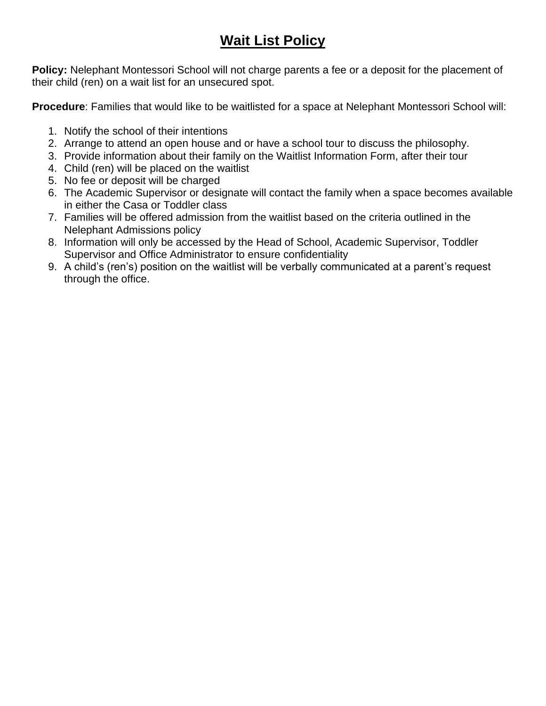# **Wait List Policy**

**Policy:** Nelephant Montessori School will not charge parents a fee or a deposit for the placement of their child (ren) on a wait list for an unsecured spot.

**Procedure**: Families that would like to be waitlisted for a space at Nelephant Montessori School will:

- 1. Notify the school of their intentions
- 2. Arrange to attend an open house and or have a school tour to discuss the philosophy.
- 3. Provide information about their family on the Waitlist Information Form, after their tour
- 4. Child (ren) will be placed on the waitlist
- 5. No fee or deposit will be charged
- 6. The Academic Supervisor or designate will contact the family when a space becomes available in either the Casa or Toddler class
- 7. Families will be offered admission from the waitlist based on the criteria outlined in the Nelephant Admissions policy
- 8. Information will only be accessed by the Head of School, Academic Supervisor, Toddler Supervisor and Office Administrator to ensure confidentiality
- 9. A child's (ren's) position on the waitlist will be verbally communicated at a parent's request through the office.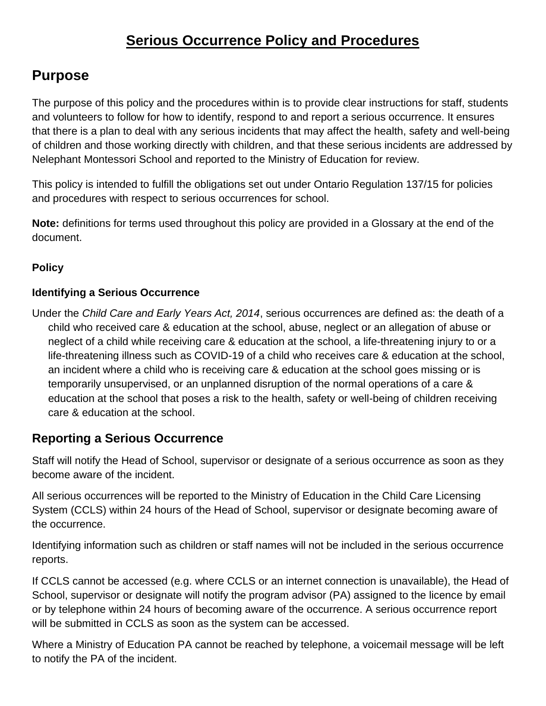# **Serious Occurrence Policy and Procedures**

# **Purpose**

The purpose of this policy and the procedures within is to provide clear instructions for staff, students and volunteers to follow for how to identify, respond to and report a serious occurrence. It ensures that there is a plan to deal with any serious incidents that may affect the health, safety and well-being of children and those working directly with children, and that these serious incidents are addressed by Nelephant Montessori School and reported to the Ministry of Education for review.

This policy is intended to fulfill the obligations set out under Ontario Regulation 137/15 for policies and procedures with respect to serious occurrences for school.

**Note:** definitions for terms used throughout this policy are provided in a Glossary at the end of the document.

# **Policy**

### **Identifying a Serious Occurrence**

Under the *Child Care and Early Years Act, 2014*, serious occurrences are defined as: the death of a child who received care & education at the school, abuse, neglect or an allegation of abuse or neglect of a child while receiving care & education at the school, a life-threatening injury to or a life-threatening illness such as COVID-19 of a child who receives care & education at the school, an incident where a child who is receiving care & education at the school goes missing or is temporarily unsupervised, or an unplanned disruption of the normal operations of a care & education at the school that poses a risk to the health, safety or well-being of children receiving care & education at the school.

# **Reporting a Serious Occurrence**

Staff will notify the Head of School, supervisor or designate of a serious occurrence as soon as they become aware of the incident.

All serious occurrences will be reported to the Ministry of Education in the Child Care Licensing System (CCLS) within 24 hours of the Head of School, supervisor or designate becoming aware of the occurrence.

Identifying information such as children or staff names will not be included in the serious occurrence reports.

If CCLS cannot be accessed (e.g. where CCLS or an internet connection is unavailable), the Head of School, supervisor or designate will notify the program advisor (PA) assigned to the licence by email or by telephone within 24 hours of becoming aware of the occurrence. A serious occurrence report will be submitted in CCLS as soon as the system can be accessed.

Where a Ministry of Education PA cannot be reached by telephone, a voicemail message will be left to notify the PA of the incident.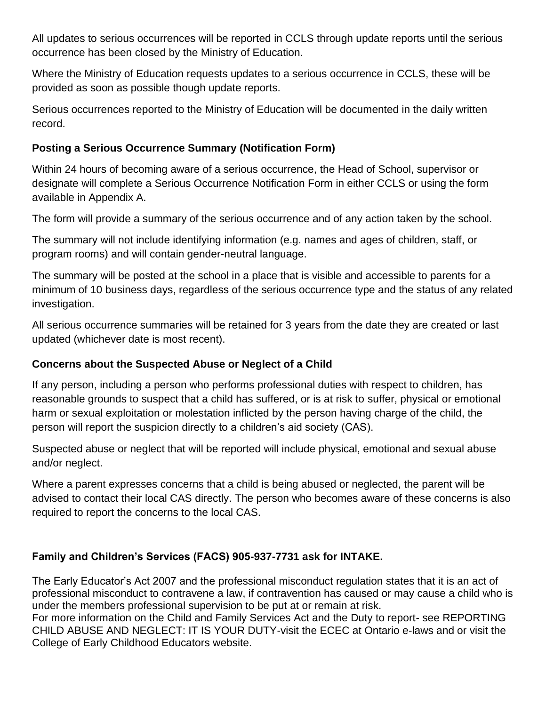All updates to serious occurrences will be reported in CCLS through update reports until the serious occurrence has been closed by the Ministry of Education.

Where the Ministry of Education requests updates to a serious occurrence in CCLS, these will be provided as soon as possible though update reports.

Serious occurrences reported to the Ministry of Education will be documented in the daily written record.

## **Posting a Serious Occurrence Summary (Notification Form)**

Within 24 hours of becoming aware of a serious occurrence, the Head of School, supervisor or designate will complete a Serious Occurrence Notification Form in either CCLS or using the form available in Appendix A.

The form will provide a summary of the serious occurrence and of any action taken by the school.

The summary will not include identifying information (e.g. names and ages of children, staff, or program rooms) and will contain gender-neutral language.

The summary will be posted at the school in a place that is visible and accessible to parents for a minimum of 10 business days, regardless of the serious occurrence type and the status of any related investigation.

All serious occurrence summaries will be retained for 3 years from the date they are created or last updated (whichever date is most recent).

# **Concerns about the Suspected Abuse or Neglect of a Child**

If any person, including a person who performs professional duties with respect to children, has reasonable grounds to suspect that a child has suffered, or is at risk to suffer, physical or emotional harm or sexual exploitation or molestation inflicted by the person having charge of the child, the person will report the suspicion directly to a children's aid society (CAS).

Suspected abuse or neglect that will be reported will include physical, emotional and sexual abuse and/or neglect.

Where a parent expresses concerns that a child is being abused or neglected, the parent will be advised to contact their local CAS directly. The person who becomes aware of these concerns is also required to report the concerns to the local CAS.

# **Family and Children's Services (FACS) 905-937-7731 ask for INTAKE.**

The Early Educator's Act 2007 and the professional misconduct regulation states that it is an act of professional misconduct to contravene a law, if contravention has caused or may cause a child who is under the members professional supervision to be put at or remain at risk.

For more information on the Child and Family Services Act and the Duty to report- see REPORTING CHILD ABUSE AND NEGLECT: IT IS YOUR DUTY-visit the ECEC at Ontario e-laws and or visit the College of Early Childhood Educators website.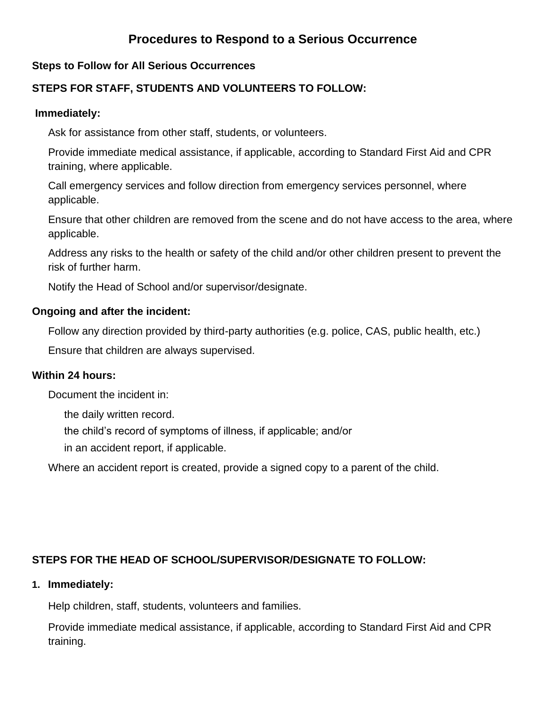# **Procedures to Respond to a Serious Occurrence**

#### **Steps to Follow for All Serious Occurrences**

### **STEPS FOR STAFF, STUDENTS AND VOLUNTEERS TO FOLLOW:**

#### **Immediately:**

Ask for assistance from other staff, students, or volunteers.

Provide immediate medical assistance, if applicable, according to Standard First Aid and CPR training, where applicable.

Call emergency services and follow direction from emergency services personnel, where applicable.

Ensure that other children are removed from the scene and do not have access to the area, where applicable.

Address any risks to the health or safety of the child and/or other children present to prevent the risk of further harm.

Notify the Head of School and/or supervisor/designate.

#### **Ongoing and after the incident:**

Follow any direction provided by third-party authorities (e.g. police, CAS, public health, etc.)

Ensure that children are always supervised.

#### **Within 24 hours:**

Document the incident in:

the daily written record.

the child's record of symptoms of illness, if applicable; and/or

in an accident report, if applicable.

Where an accident report is created, provide a signed copy to a parent of the child.

#### **STEPS FOR THE HEAD OF SCHOOL/SUPERVISOR/DESIGNATE TO FOLLOW:**

#### **1. Immediately:**

Help children, staff, students, volunteers and families.

Provide immediate medical assistance, if applicable, according to Standard First Aid and CPR training.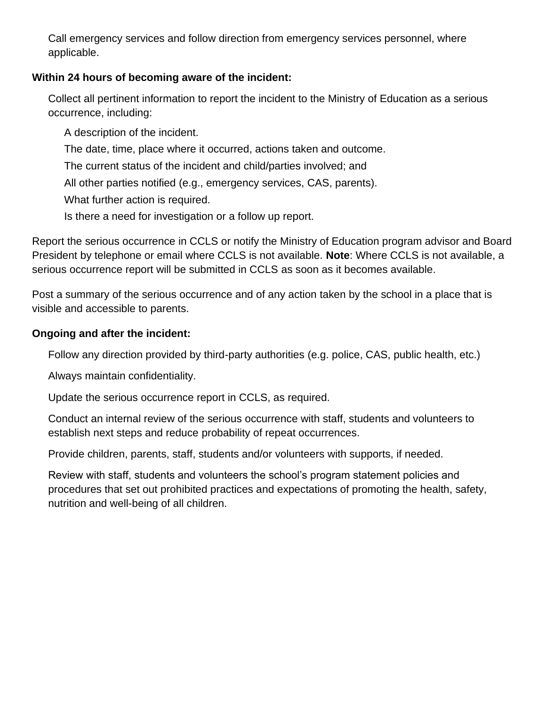Call emergency services and follow direction from emergency services personnel, where applicable.

# **Within 24 hours of becoming aware of the incident:**

Collect all pertinent information to report the incident to the Ministry of Education as a serious occurrence, including:

A description of the incident.

The date, time, place where it occurred, actions taken and outcome.

The current status of the incident and child/parties involved; and

All other parties notified (e.g., emergency services, CAS, parents).

What further action is required.

Is there a need for investigation or a follow up report.

Report the serious occurrence in CCLS or notify the Ministry of Education program advisor and Board President by telephone or email where CCLS is not available. **Note**: Where CCLS is not available, a serious occurrence report will be submitted in CCLS as soon as it becomes available.

Post a summary of the serious occurrence and of any action taken by the school in a place that is visible and accessible to parents.

### **Ongoing and after the incident:**

Follow any direction provided by third-party authorities (e.g. police, CAS, public health, etc.)

Always maintain confidentiality.

Update the serious occurrence report in CCLS, as required.

Conduct an internal review of the serious occurrence with staff, students and volunteers to establish next steps and reduce probability of repeat occurrences.

Provide children, parents, staff, students and/or volunteers with supports, if needed.

Review with staff, students and volunteers the school's program statement policies and procedures that set out prohibited practices and expectations of promoting the health, safety, nutrition and well-being of all children.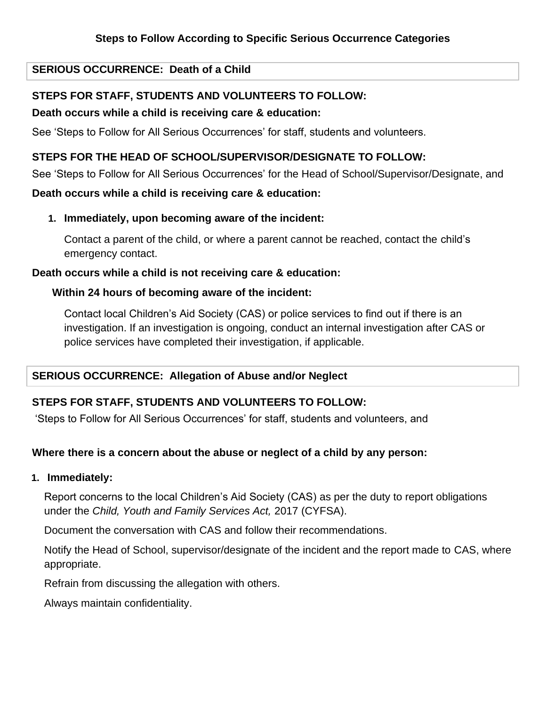#### **SERIOUS OCCURRENCE: Death of a Child**

#### **STEPS FOR STAFF, STUDENTS AND VOLUNTEERS TO FOLLOW:**

#### **Death occurs while a child is receiving care & education:**

See 'Steps to Follow for All Serious Occurrences' for staff, students and volunteers.

#### **STEPS FOR THE HEAD OF SCHOOL/SUPERVISOR/DESIGNATE TO FOLLOW:**

See 'Steps to Follow for All Serious Occurrences' for the Head of School/Supervisor/Designate, and

#### **Death occurs while a child is receiving care & education:**

**1. Immediately, upon becoming aware of the incident:**

Contact a parent of the child, or where a parent cannot be reached, contact the child's emergency contact.

#### **Death occurs while a child is not receiving care & education:**

#### **Within 24 hours of becoming aware of the incident:**

Contact local Children's Aid Society (CAS) or police services to find out if there is an investigation. If an investigation is ongoing, conduct an internal investigation after CAS or police services have completed their investigation, if applicable.

#### **SERIOUS OCCURRENCE: Allegation of Abuse and/or Neglect**

#### **STEPS FOR STAFF, STUDENTS AND VOLUNTEERS TO FOLLOW:**

'Steps to Follow for All Serious Occurrences' for staff, students and volunteers, and

#### **Where there is a concern about the abuse or neglect of a child by any person:**

#### **1. Immediately:**

Report concerns to the local Children's Aid Society (CAS) as per the duty to report obligations under the *Child, Youth and Family Services Act,* 2017 (CYFSA).

Document the conversation with CAS and follow their recommendations.

Notify the Head of School, supervisor/designate of the incident and the report made to CAS, where appropriate.

Refrain from discussing the allegation with others.

Always maintain confidentiality.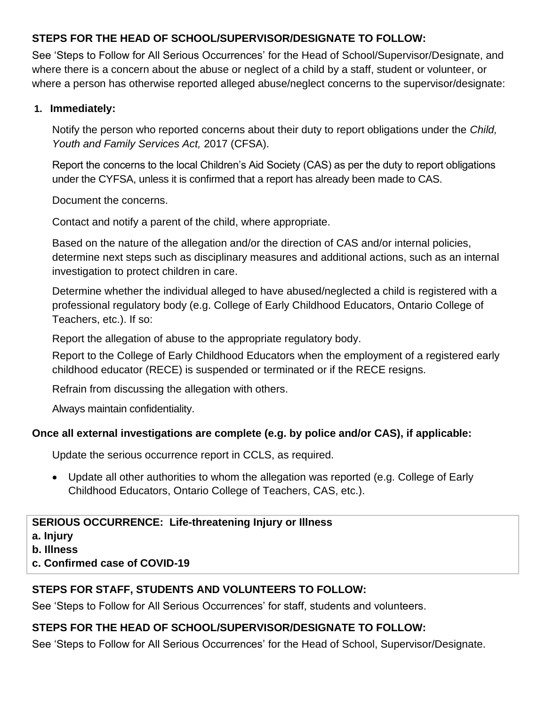# **STEPS FOR THE HEAD OF SCHOOL/SUPERVISOR/DESIGNATE TO FOLLOW:**

See 'Steps to Follow for All Serious Occurrences' for the Head of School/Supervisor/Designate, and where there is a concern about the abuse or neglect of a child by a staff, student or volunteer, or where a person has otherwise reported alleged abuse/neglect concerns to the supervisor/designate:

#### **1. Immediately:**

Notify the person who reported concerns about their duty to report obligations under the *Child, Youth and Family Services Act,* 2017 (CFSA).

Report the concerns to the local Children's Aid Society (CAS) as per the duty to report obligations under the CYFSA, unless it is confirmed that a report has already been made to CAS.

Document the concerns.

Contact and notify a parent of the child, where appropriate.

Based on the nature of the allegation and/or the direction of CAS and/or internal policies, determine next steps such as disciplinary measures and additional actions, such as an internal investigation to protect children in care.

Determine whether the individual alleged to have abused/neglected a child is registered with a professional regulatory body (e.g. College of Early Childhood Educators, Ontario College of Teachers, etc.). If so:

Report the allegation of abuse to the appropriate regulatory body.

Report to the College of Early Childhood Educators when the employment of a registered early childhood educator (RECE) is suspended or terminated or if the RECE resigns.

Refrain from discussing the allegation with others.

Always maintain confidentiality.

#### **Once all external investigations are complete (e.g. by police and/or CAS), if applicable:**

Update the serious occurrence report in CCLS, as required.

• Update all other authorities to whom the allegation was reported (e.g. College of Early Childhood Educators, Ontario College of Teachers, CAS, etc.).

#### **SERIOUS OCCURRENCE: Life-threatening Injury or Illness**

**a. Injury**

**b. Illness**

**c. Confirmed case of COVID-19**

#### **STEPS FOR STAFF, STUDENTS AND VOLUNTEERS TO FOLLOW:**

See 'Steps to Follow for All Serious Occurrences' for staff, students and volunteers.

# **STEPS FOR THE HEAD OF SCHOOL/SUPERVISOR/DESIGNATE TO FOLLOW:**

See 'Steps to Follow for All Serious Occurrences' for the Head of School, Supervisor/Designate.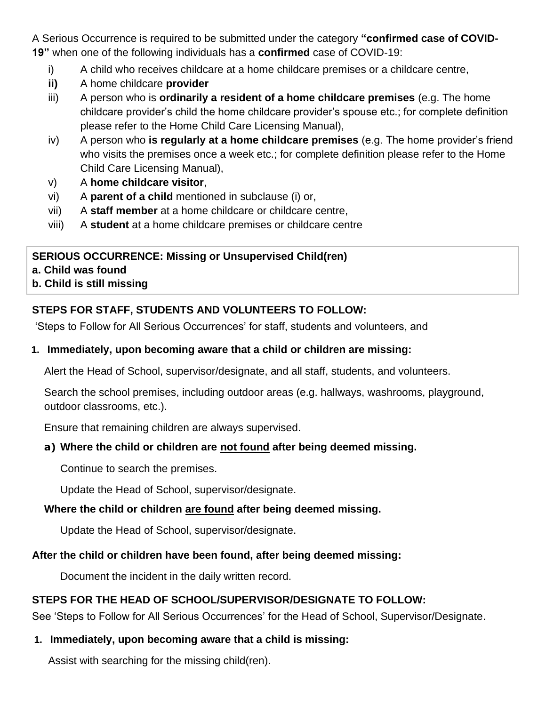A Serious Occurrence is required to be submitted under the category **"confirmed case of COVID-19"** when one of the following individuals has a **confirmed** case of COVID-19:

- i) A child who receives childcare at a home childcare premises or a childcare centre,
- **ii)** A home childcare **provider**
- iii) A person who is **ordinarily a resident of a home childcare premises** (e.g. The home childcare provider's child the home childcare provider's spouse etc.; for complete definition please refer to the Home Child Care Licensing Manual),
- iv) A person who **is regularly at a home childcare premises** (e.g. The home provider's friend who visits the premises once a week etc.; for complete definition please refer to the Home Child Care Licensing Manual),
- v) A **home childcare visitor**,
- vi) A **parent of a child** mentioned in subclause (i) or,
- vii) A **staff member** at a home childcare or childcare centre,
- viii) A **student** at a home childcare premises or childcare centre

# **SERIOUS OCCURRENCE: Missing or Unsupervised Child(ren) a. Child was found**

**b. Child is still missing**

# **STEPS FOR STAFF, STUDENTS AND VOLUNTEERS TO FOLLOW:**

'Steps to Follow for All Serious Occurrences' for staff, students and volunteers, and

### **1. Immediately, upon becoming aware that a child or children are missing:**

Alert the Head of School, supervisor/designate, and all staff, students, and volunteers.

Search the school premises, including outdoor areas (e.g. hallways, washrooms, playground, outdoor classrooms, etc.).

Ensure that remaining children are always supervised.

# **a) Where the child or children are not found after being deemed missing.**

Continue to search the premises.

Update the Head of School, supervisor/designate.

# **Where the child or children are found after being deemed missing.**

Update the Head of School, supervisor/designate.

# **After the child or children have been found, after being deemed missing:**

Document the incident in the daily written record.

# **STEPS FOR THE HEAD OF SCHOOL/SUPERVISOR/DESIGNATE TO FOLLOW:**

See 'Steps to Follow for All Serious Occurrences' for the Head of School, Supervisor/Designate.

# **1. Immediately, upon becoming aware that a child is missing:**

Assist with searching for the missing child(ren).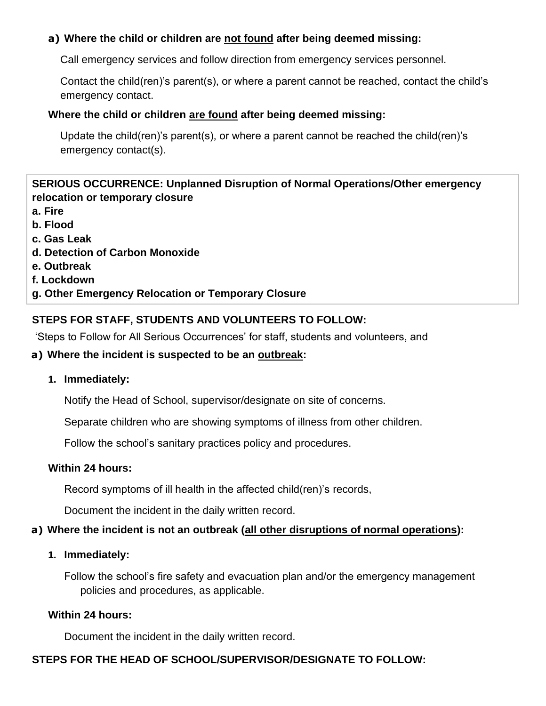### **a) Where the child or children are not found after being deemed missing:**

Call emergency services and follow direction from emergency services personnel.

Contact the child(ren)'s parent(s), or where a parent cannot be reached, contact the child's emergency contact.

#### **Where the child or children are found after being deemed missing:**

Update the child(ren)'s parent(s), or where a parent cannot be reached the child(ren)'s emergency contact(s).

## **SERIOUS OCCURRENCE: Unplanned Disruption of Normal Operations/Other emergency relocation or temporary closure**

- **a. Fire**
- **b. Flood**
- **c. Gas Leak**
- **d. Detection of Carbon Monoxide**
- **e. Outbreak**
- **f. Lockdown**
- **g. Other Emergency Relocation or Temporary Closure**

# **STEPS FOR STAFF, STUDENTS AND VOLUNTEERS TO FOLLOW:**

'Steps to Follow for All Serious Occurrences' for staff, students and volunteers, and

### **a) Where the incident is suspected to be an outbreak:**

#### **1. Immediately:**

Notify the Head of School, supervisor/designate on site of concerns.

Separate children who are showing symptoms of illness from other children.

Follow the school's sanitary practices policy and procedures.

#### **Within 24 hours:**

Record symptoms of ill health in the affected child(ren)'s records,

Document the incident in the daily written record.

# **a) Where the incident is not an outbreak (all other disruptions of normal operations):**

#### **1. Immediately:**

Follow the school's fire safety and evacuation plan and/or the emergency management policies and procedures, as applicable.

# **Within 24 hours:**

Document the incident in the daily written record.

# **STEPS FOR THE HEAD OF SCHOOL/SUPERVISOR/DESIGNATE TO FOLLOW:**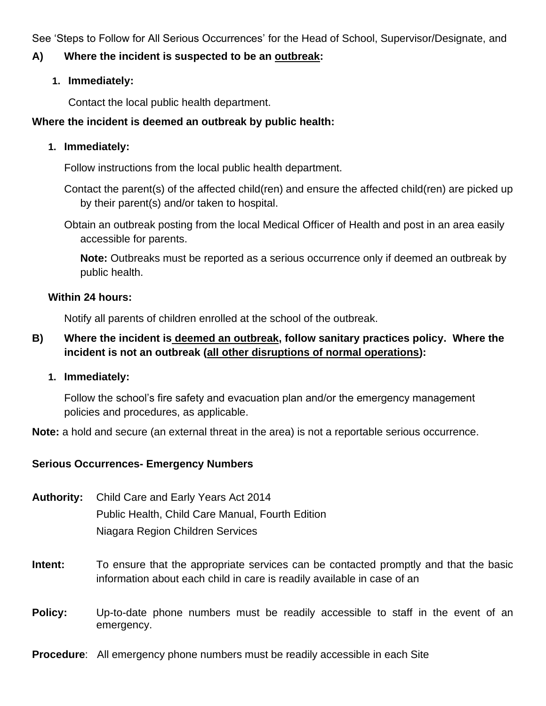See 'Steps to Follow for All Serious Occurrences' for the Head of School, Supervisor/Designate, and

#### **A) Where the incident is suspected to be an outbreak:**

#### **1. Immediately:**

Contact the local public health department.

#### **Where the incident is deemed an outbreak by public health:**

#### **1. Immediately:**

Follow instructions from the local public health department.

Contact the parent(s) of the affected child(ren) and ensure the affected child(ren) are picked up by their parent(s) and/or taken to hospital.

Obtain an outbreak posting from the local Medical Officer of Health and post in an area easily accessible for parents.

**Note:** Outbreaks must be reported as a serious occurrence only if deemed an outbreak by public health.

#### **Within 24 hours:**

Notify all parents of children enrolled at the school of the outbreak.

### **B) Where the incident is deemed an outbreak, follow sanitary practices policy. Where the incident is not an outbreak (all other disruptions of normal operations):**

**1. Immediately:**

Follow the school's fire safety and evacuation plan and/or the emergency management policies and procedures, as applicable.

**Note:** a hold and secure (an external threat in the area) is not a reportable serious occurrence.

#### **Serious Occurrences- Emergency Numbers**

**Authority:** Child Care and Early Years Act 2014 Public Health, Child Care Manual, Fourth Edition Niagara Region Children Services

- **Intent:** To ensure that the appropriate services can be contacted promptly and that the basic information about each child in care is readily available in case of an
- **Policy:** Up-to-date phone numbers must be readily accessible to staff in the event of an emergency.
- **Procedure**:All emergency phone numbers must be readily accessible in each Site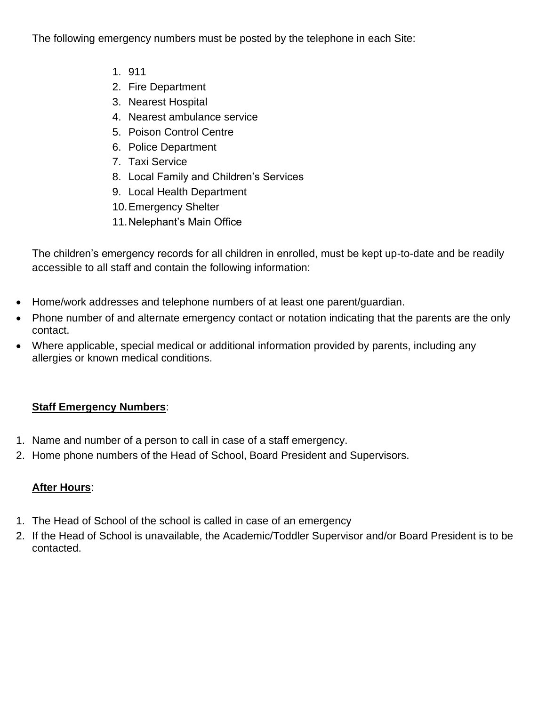The following emergency numbers must be posted by the telephone in each Site:

- 1. 911
- 2. Fire Department
- 3. Nearest Hospital
- 4. Nearest ambulance service
- 5. Poison Control Centre
- 6. Police Department
- 7. Taxi Service
- 8. Local Family and Children's Services
- 9. Local Health Department
- 10.Emergency Shelter
- 11.Nelephant's Main Office

The children's emergency records for all children in enrolled, must be kept up-to-date and be readily accessible to all staff and contain the following information:

- Home/work addresses and telephone numbers of at least one parent/guardian.
- Phone number of and alternate emergency contact or notation indicating that the parents are the only contact.
- Where applicable, special medical or additional information provided by parents, including any allergies or known medical conditions.

# **Staff Emergency Numbers**:

- 1. Name and number of a person to call in case of a staff emergency.
- 2. Home phone numbers of the Head of School, Board President and Supervisors.

# **After Hours**:

- 1. The Head of School of the school is called in case of an emergency
- 2. If the Head of School is unavailable, the Academic/Toddler Supervisor and/or Board President is to be contacted.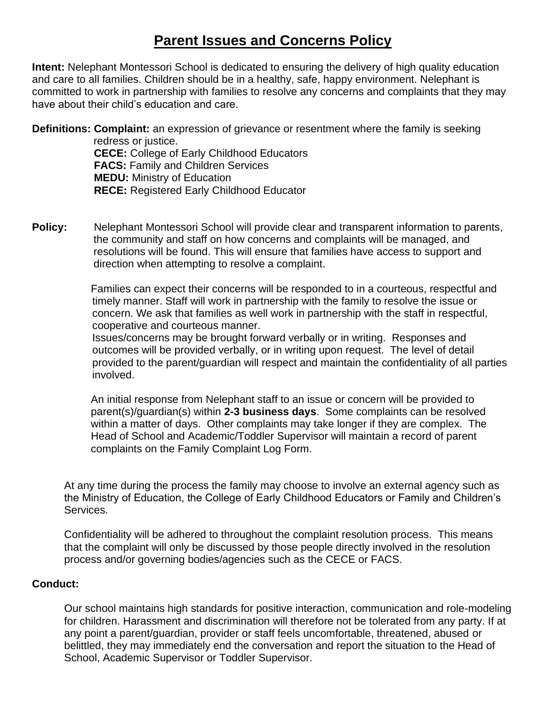# **Parent Issues and Concerns Policy**

**Intent:** Nelephant Montessori School is dedicated to ensuring the delivery of high quality education and care to all families. Children should be in a healthy, safe, happy environment. Nelephant is committed to work in partnership with families to resolve any concerns and complaints that they may have about their child's education and care.

**Definitions: Complaint:** an expression of grievance or resentment where the family is seeking redress or justice. **CECE:** College of Early Childhood Educators **FACS:** Family and Children Services **MEDU:** Ministry of Education **RECE:** Registered Early Childhood Educator

**Policy:** Nelephant Montessori School will provide clear and transparent information to parents, the community and staff on how concerns and complaints will be managed, and resolutions will be found. This will ensure that families have access to support and direction when attempting to resolve a complaint.

> Families can expect their concerns will be responded to in a courteous, respectful and timely manner. Staff will work in partnership with the family to resolve the issue or concern. We ask that families as well work in partnership with the staff in respectful, cooperative and courteous manner.

Issues/concerns may be brought forward verbally or in writing. Responses and outcomes will be provided verbally, or in writing upon request. The level of detail provided to the parent/guardian will respect and maintain the confidentiality of all parties involved.

An initial response from Nelephant staff to an issue or concern will be provided to parent(s)/guardian(s) within **2-3 business days**. Some complaints can be resolved within a matter of days. Other complaints may take longer if they are complex. The Head of School and Academic/Toddler Supervisor will maintain a record of parent complaints on the Family Complaint Log Form.

At any time during the process the family may choose to involve an external agency such as the Ministry of Education, the College of Early Childhood Educators or Family and Children's Services.

Confidentiality will be adhered to throughout the complaint resolution process. This means that the complaint will only be discussed by those people directly involved in the resolution process and/or governing bodies/agencies such as the CECE or FACS.

#### **Conduct:**

Our school maintains high standards for positive interaction, communication and role-modeling for children. Harassment and discrimination will therefore not be tolerated from any party. If at any point a parent/guardian, provider or staff feels uncomfortable, threatened, abused or belittled, they may immediately end the conversation and report the situation to the Head of School, Academic Supervisor or Toddler Supervisor.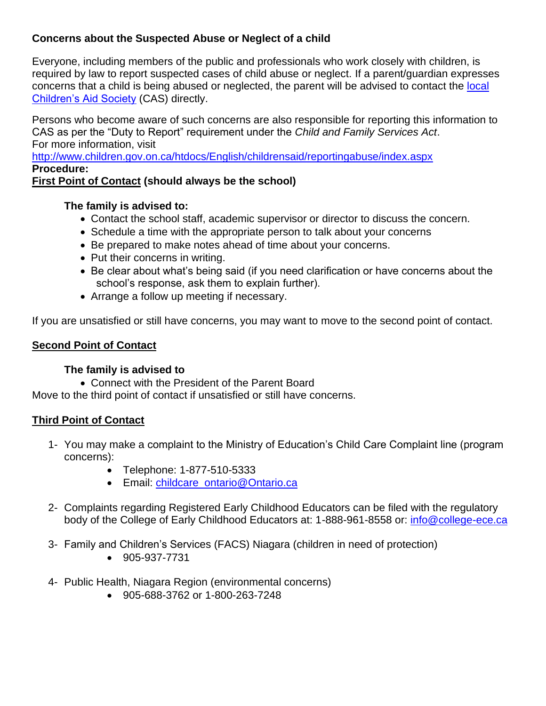# **Concerns about the Suspected Abuse or Neglect of a child**

Everyone, including members of the public and professionals who work closely with children, is required by law to report suspected cases of child abuse or neglect. If a parent/guardian expresses concerns that a child is being abused or neglected, the parent will be advised to contact the local [Children's Aid Society](http://www.children.gov.on.ca/htdocs/English/childrensaid/reportingabuse/CASLocations.aspx) (CAS) directly.

Persons who become aware of such concerns are also responsible for reporting this information to CAS as per the "Duty to Report" requirement under the *Child and Family Services Act*. For more information, visit

<http://www.children.gov.on.ca/htdocs/English/childrensaid/reportingabuse/index.aspx> **Procedure:**

# **First Point of Contact (should always be the school)**

### **The family is advised to:**

- Contact the school staff, academic supervisor or director to discuss the concern.
- Schedule a time with the appropriate person to talk about your concerns
- Be prepared to make notes ahead of time about your concerns.
- Put their concerns in writing.
- Be clear about what's being said (if you need clarification or have concerns about the school's response, ask them to explain further).
- Arrange a follow up meeting if necessary.

If you are unsatisfied or still have concerns, you may want to move to the second point of contact.

### **Second Point of Contact**

# **The family is advised to**

• Connect with the President of the Parent Board

Move to the third point of contact if unsatisfied or still have concerns.

# **Third Point of Contact**

- 1- You may make a complaint to the Ministry of Education's Child Care Complaint line (program concerns):
	- Telephone: 1-877-510-5333
	- Email: [childcare\\_ontario@Ontario.ca](mailto:childcare_ontario@Ontario.ca)
- 2- Complaints regarding Registered Early Childhood Educators can be filed with the regulatory body of the College of Early Childhood Educators at: 1-888-961-8558 or: [info@college-ece.ca](mailto:info@college-ece.ca)
- 3- Family and Children's Services (FACS) Niagara (children in need of protection)
	- 905-937-7731
- 4- Public Health, Niagara Region (environmental concerns)
	- 905-688-3762 or 1-800-263-7248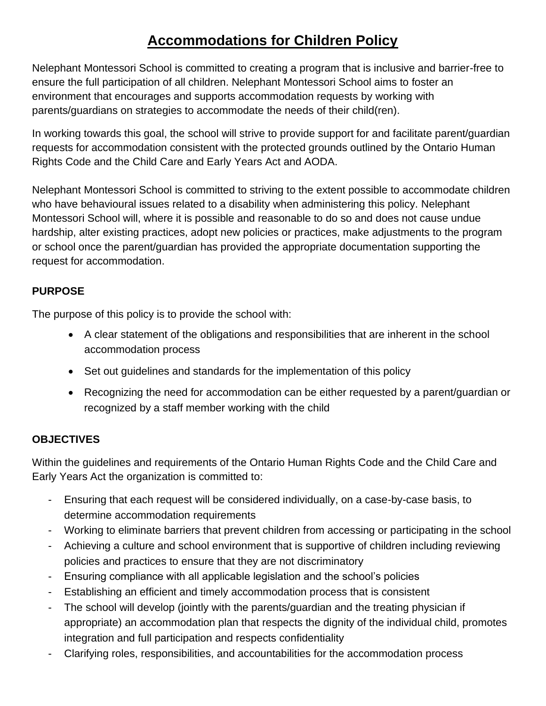# **Accommodations for Children Policy**

Nelephant Montessori School is committed to creating a program that is inclusive and barrier-free to ensure the full participation of all children. Nelephant Montessori School aims to foster an environment that encourages and supports accommodation requests by working with parents/guardians on strategies to accommodate the needs of their child(ren).

In working towards this goal, the school will strive to provide support for and facilitate parent/guardian requests for accommodation consistent with the protected grounds outlined by the Ontario Human Rights Code and the Child Care and Early Years Act and AODA.

Nelephant Montessori School is committed to striving to the extent possible to accommodate children who have behavioural issues related to a disability when administering this policy. Nelephant Montessori School will, where it is possible and reasonable to do so and does not cause undue hardship, alter existing practices, adopt new policies or practices, make adjustments to the program or school once the parent/guardian has provided the appropriate documentation supporting the request for accommodation.

# **PURPOSE**

The purpose of this policy is to provide the school with:

- A clear statement of the obligations and responsibilities that are inherent in the school accommodation process
- Set out guidelines and standards for the implementation of this policy
- Recognizing the need for accommodation can be either requested by a parent/guardian or recognized by a staff member working with the child

# **OBJECTIVES**

Within the guidelines and requirements of the Ontario Human Rights Code and the Child Care and Early Years Act the organization is committed to:

- Ensuring that each request will be considered individually, on a case-by-case basis, to determine accommodation requirements
- Working to eliminate barriers that prevent children from accessing or participating in the school
- Achieving a culture and school environment that is supportive of children including reviewing policies and practices to ensure that they are not discriminatory
- Ensuring compliance with all applicable legislation and the school's policies
- Establishing an efficient and timely accommodation process that is consistent
- The school will develop (jointly with the parents/guardian and the treating physician if appropriate) an accommodation plan that respects the dignity of the individual child, promotes integration and full participation and respects confidentiality
- Clarifying roles, responsibilities, and accountabilities for the accommodation process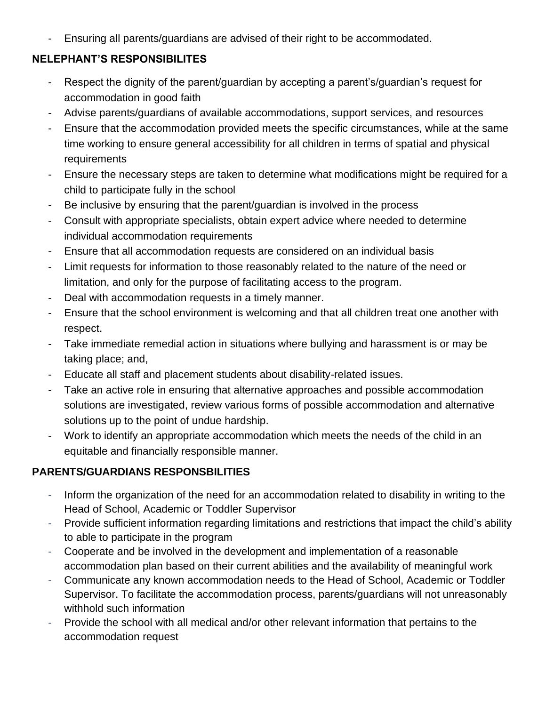Ensuring all parents/guardians are advised of their right to be accommodated.

# **NELEPHANT'S RESPONSIBILITES**

- Respect the dignity of the parent/guardian by accepting a parent's/guardian's request for accommodation in good faith
- Advise parents/guardians of available accommodations, support services, and resources
- Ensure that the accommodation provided meets the specific circumstances, while at the same time working to ensure general accessibility for all children in terms of spatial and physical requirements
- Ensure the necessary steps are taken to determine what modifications might be required for a child to participate fully in the school
- Be inclusive by ensuring that the parent/guardian is involved in the process
- Consult with appropriate specialists, obtain expert advice where needed to determine individual accommodation requirements
- Ensure that all accommodation requests are considered on an individual basis
- Limit requests for information to those reasonably related to the nature of the need or limitation, and only for the purpose of facilitating access to the program.
- Deal with accommodation requests in a timely manner.
- Ensure that the school environment is welcoming and that all children treat one another with respect.
- Take immediate remedial action in situations where bullying and harassment is or may be taking place; and,
- Educate all staff and placement students about disability-related issues.
- Take an active role in ensuring that alternative approaches and possible accommodation solutions are investigated, review various forms of possible accommodation and alternative solutions up to the point of undue hardship.
- Work to identify an appropriate accommodation which meets the needs of the child in an equitable and financially responsible manner.

# **PARENTS/GUARDIANS RESPONSBILITIES**

- Inform the organization of the need for an accommodation related to disability in writing to the Head of School, Academic or Toddler Supervisor
- Provide sufficient information regarding limitations and restrictions that impact the child's ability to able to participate in the program
- Cooperate and be involved in the development and implementation of a reasonable accommodation plan based on their current abilities and the availability of meaningful work
- Communicate any known accommodation needs to the Head of School, Academic or Toddler Supervisor. To facilitate the accommodation process, parents/guardians will not unreasonably withhold such information
- Provide the school with all medical and/or other relevant information that pertains to the accommodation request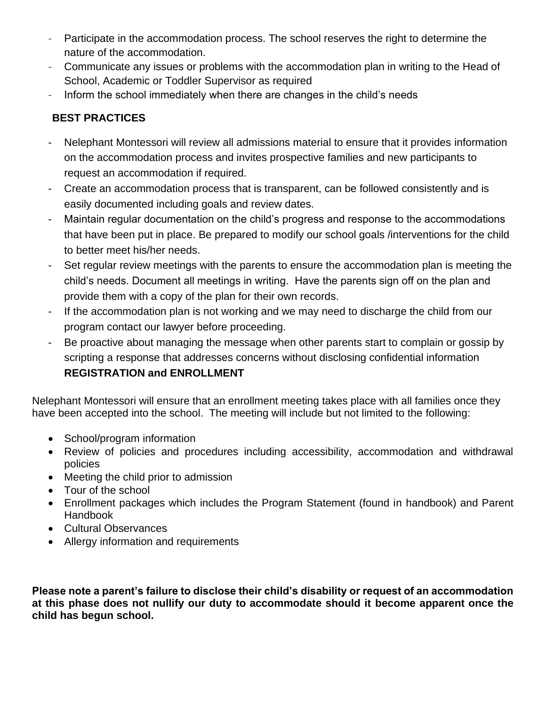- Participate in the accommodation process. The school reserves the right to determine the nature of the accommodation.
- Communicate any issues or problems with the accommodation plan in writing to the Head of School, Academic or Toddler Supervisor as required
- Inform the school immediately when there are changes in the child's needs

# **BEST PRACTICES**

- Nelephant Montessori will review all admissions material to ensure that it provides information on the accommodation process and invites prospective families and new participants to request an accommodation if required.
- Create an accommodation process that is transparent, can be followed consistently and is easily documented including goals and review dates.
- Maintain regular documentation on the child's progress and response to the accommodations that have been put in place. Be prepared to modify our school goals /interventions for the child to better meet his/her needs.
- Set regular review meetings with the parents to ensure the accommodation plan is meeting the child's needs. Document all meetings in writing. Have the parents sign off on the plan and provide them with a copy of the plan for their own records.
- If the accommodation plan is not working and we may need to discharge the child from our program contact our lawyer before proceeding.
- Be proactive about managing the message when other parents start to complain or gossip by scripting a response that addresses concerns without disclosing confidential information **REGISTRATION and ENROLLMENT**

Nelephant Montessori will ensure that an enrollment meeting takes place with all families once they have been accepted into the school. The meeting will include but not limited to the following:

- School/program information
- Review of policies and procedures including accessibility, accommodation and withdrawal policies
- Meeting the child prior to admission
- Tour of the school
- Enrollment packages which includes the Program Statement (found in handbook) and Parent Handbook
- Cultural Observances
- Allergy information and requirements

**Please note a parent's failure to disclose their child's disability or request of an accommodation at this phase does not nullify our duty to accommodate should it become apparent once the child has begun school.**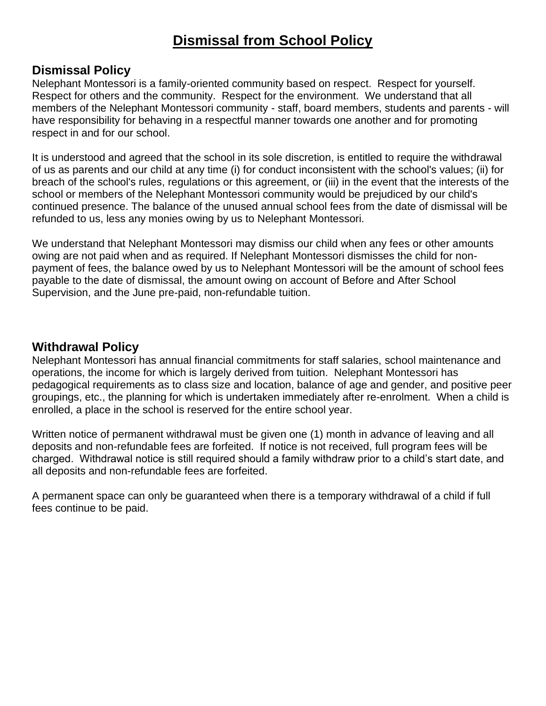# **Dismissal from School Policy**

# **Dismissal Policy**

Nelephant Montessori is a family-oriented community based on respect. Respect for yourself. Respect for others and the community. Respect for the environment. We understand that all members of the Nelephant Montessori community - staff, board members, students and parents - will have responsibility for behaving in a respectful manner towards one another and for promoting respect in and for our school.

It is understood and agreed that the school in its sole discretion, is entitled to require the withdrawal of us as parents and our child at any time (i) for conduct inconsistent with the school's values; (ii) for breach of the school's rules, regulations or this agreement, or (iii) in the event that the interests of the school or members of the Nelephant Montessori community would be prejudiced by our child's continued presence. The balance of the unused annual school fees from the date of dismissal will be refunded to us, less any monies owing by us to Nelephant Montessori.

We understand that Nelephant Montessori may dismiss our child when any fees or other amounts owing are not paid when and as required. If Nelephant Montessori dismisses the child for nonpayment of fees, the balance owed by us to Nelephant Montessori will be the amount of school fees payable to the date of dismissal, the amount owing on account of Before and After School Supervision, and the June pre-paid, non-refundable tuition.

# **Withdrawal Policy**

Nelephant Montessori has annual financial commitments for staff salaries, school maintenance and operations, the income for which is largely derived from tuition. Nelephant Montessori has pedagogical requirements as to class size and location, balance of age and gender, and positive peer groupings, etc., the planning for which is undertaken immediately after re-enrolment. When a child is enrolled, a place in the school is reserved for the entire school year.

Written notice of permanent withdrawal must be given one (1) month in advance of leaving and all deposits and non-refundable fees are forfeited. If notice is not received, full program fees will be charged. Withdrawal notice is still required should a family withdraw prior to a child's start date, and all deposits and non-refundable fees are forfeited.

A permanent space can only be guaranteed when there is a temporary withdrawal of a child if full fees continue to be paid.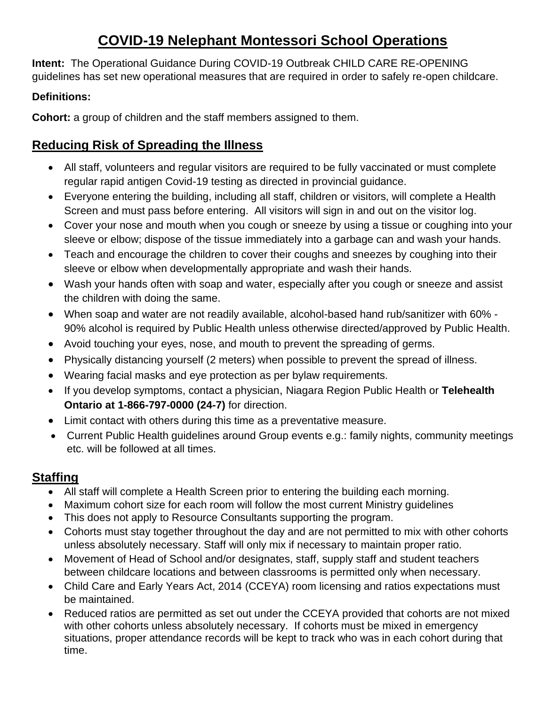# **COVID-19 Nelephant Montessori School Operations**

**Intent:** The Operational Guidance During COVID-19 Outbreak CHILD CARE RE-OPENING guidelines has set new operational measures that are required in order to safely re-open childcare.

# **Definitions:**

**Cohort:** a group of children and the staff members assigned to them.

# **Reducing Risk of Spreading the Illness**

- All staff, volunteers and regular visitors are required to be fully vaccinated or must complete regular rapid antigen Covid-19 testing as directed in provincial guidance.
- Everyone entering the building, including all staff, children or visitors, will complete a Health Screen and must pass before entering. All visitors will sign in and out on the visitor log.
- Cover your nose and mouth when you cough or sneeze by using a tissue or coughing into your sleeve or elbow; dispose of the tissue immediately into a garbage can and wash your hands.
- Teach and encourage the children to cover their coughs and sneezes by coughing into their sleeve or elbow when developmentally appropriate and wash their hands.
- Wash your hands often with soap and water, especially after you cough or sneeze and assist the children with doing the same.
- When soap and water are not readily available, alcohol-based hand rub/sanitizer with 60% 90% alcohol is required by Public Health unless otherwise directed/approved by Public Health.
- Avoid touching your eyes, nose, and mouth to prevent the spreading of germs.
- Physically distancing yourself (2 meters) when possible to prevent the spread of illness.
- Wearing facial masks and eye protection as per bylaw requirements.
- If you develop symptoms, contact a physician, Niagara Region Public Health or **Telehealth Ontario at 1-866-797-0000 (24-7)** for direction.
- Limit contact with others during this time as a preventative measure.
- Current Public Health guidelines around Group events e.g.: family nights, community meetings etc. will be followed at all times.

# **Staffing**

- All staff will complete a Health Screen prior to entering the building each morning.
- Maximum cohort size for each room will follow the most current Ministry guidelines
- This does not apply to Resource Consultants supporting the program.
- Cohorts must stay together throughout the day and are not permitted to mix with other cohorts unless absolutely necessary. Staff will only mix if necessary to maintain proper ratio.
- Movement of Head of School and/or designates, staff, supply staff and student teachers between childcare locations and between classrooms is permitted only when necessary.
- Child Care and Early Years Act, 2014 (CCEYA) room licensing and ratios expectations must be maintained.
- Reduced ratios are permitted as set out under the CCEYA provided that cohorts are not mixed with other cohorts unless absolutely necessary. If cohorts must be mixed in emergency situations, proper attendance records will be kept to track who was in each cohort during that time.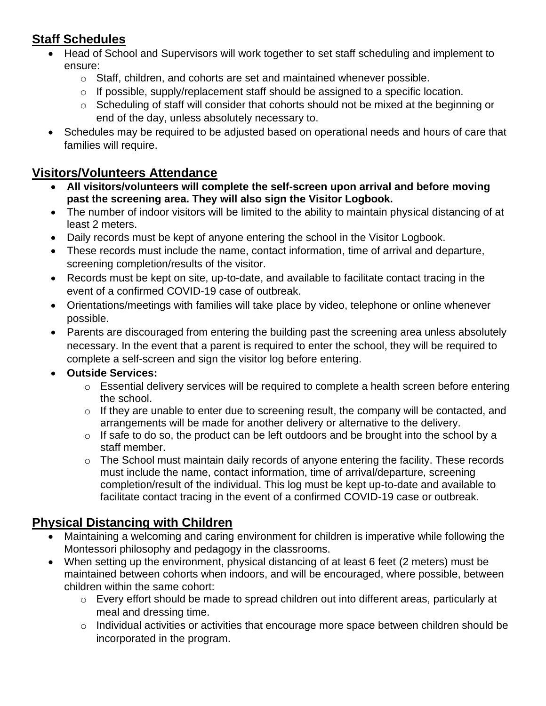# **Staff Schedules**

- Head of School and Supervisors will work together to set staff scheduling and implement to ensure:
	- o Staff, children, and cohorts are set and maintained whenever possible.
	- o If possible, supply/replacement staff should be assigned to a specific location.
	- o Scheduling of staff will consider that cohorts should not be mixed at the beginning or end of the day, unless absolutely necessary to.
- Schedules may be required to be adjusted based on operational needs and hours of care that families will require.

# **Visitors/Volunteers Attendance**

- **All visitors/volunteers will complete the self-screen upon arrival and before moving past the screening area. They will also sign the Visitor Logbook.**
- The number of indoor visitors will be limited to the ability to maintain physical distancing of at least 2 meters.
- Daily records must be kept of anyone entering the school in the Visitor Logbook.
- These records must include the name, contact information, time of arrival and departure, screening completion/results of the visitor.
- Records must be kept on site, up-to-date, and available to facilitate contact tracing in the event of a confirmed COVID-19 case of outbreak.
- Orientations/meetings with families will take place by video, telephone or online whenever possible.
- Parents are discouraged from entering the building past the screening area unless absolutely necessary. In the event that a parent is required to enter the school, they will be required to complete a self-screen and sign the visitor log before entering.

# • **Outside Services:**

- $\circ$  Essential delivery services will be required to complete a health screen before entering the school.
- $\circ$  If they are unable to enter due to screening result, the company will be contacted, and arrangements will be made for another delivery or alternative to the delivery.
- $\circ$  If safe to do so, the product can be left outdoors and be brought into the school by a staff member.
- o The School must maintain daily records of anyone entering the facility. These records must include the name, contact information, time of arrival/departure, screening completion/result of the individual. This log must be kept up-to-date and available to facilitate contact tracing in the event of a confirmed COVID-19 case or outbreak.

# **Physical Distancing with Children**

- Maintaining a welcoming and caring environment for children is imperative while following the Montessori philosophy and pedagogy in the classrooms.
- When setting up the environment, physical distancing of at least 6 feet (2 meters) must be maintained between cohorts when indoors, and will be encouraged, where possible, between children within the same cohort:
	- o Every effort should be made to spread children out into different areas, particularly at meal and dressing time.
	- $\circ$  Individual activities or activities that encourage more space between children should be incorporated in the program.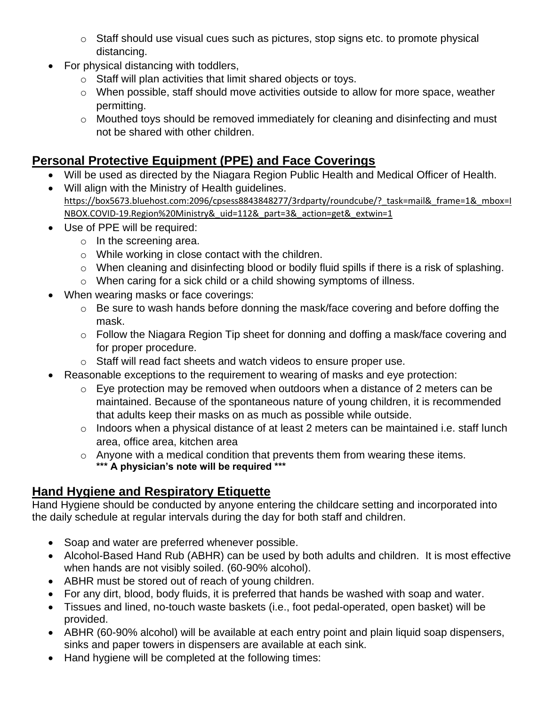- o Staff should use visual cues such as pictures, stop signs etc. to promote physical distancing.
- For physical distancing with toddlers,
	- o Staff will plan activities that limit shared objects or toys.
	- o When possible, staff should move activities outside to allow for more space, weather permitting.
	- o Mouthed toys should be removed immediately for cleaning and disinfecting and must not be shared with other children.

# **Personal Protective Equipment (PPE) and Face Coverings**

- Will be used as directed by the Niagara Region Public Health and Medical Officer of Health.
- Will align with the Ministry of Health guidelines. https://box5673.bluehost.com:2096/cpsess8843848277/3rdparty/roundcube/? task=mail& frame=1& mbox=I [NBOX.COVID-19.Region%20Ministry&\\_uid=112&\\_part=3&\\_action=get&\\_extwin=1](https://box5673.bluehost.com:2096/cpsess8843848277/3rdparty/roundcube/?_task=mail&_frame=1&_mbox=INBOX.COVID-19.Region%20Ministry&_uid=112&_part=3&_action=get&_extwin=1)
- Use of PPE will be required:
	- $\circ$  In the screening area.
	- o While working in close contact with the children.
	- o When cleaning and disinfecting blood or bodily fluid spills if there is a risk of splashing.
	- o When caring for a sick child or a child showing symptoms of illness.
- When wearing masks or face coverings:
	- o Be sure to wash hands before donning the mask/face covering and before doffing the mask.
	- o Follow the Niagara Region Tip sheet for donning and doffing a mask/face covering and for proper procedure.
	- o Staff will read fact sheets and watch videos to ensure proper use.
- Reasonable exceptions to the requirement to wearing of masks and eye protection:
	- $\circ$  Eye protection may be removed when outdoors when a distance of 2 meters can be maintained. Because of the spontaneous nature of young children, it is recommended that adults keep their masks on as much as possible while outside.
	- o Indoors when a physical distance of at least 2 meters can be maintained i.e. staff lunch area, office area, kitchen area
	- o Anyone with a medical condition that prevents them from wearing these items. **\*\*\* A physician's note will be required \*\*\***

# **Hand Hygiene and Respiratory Etiquette**

Hand Hygiene should be conducted by anyone entering the childcare setting and incorporated into the daily schedule at regular intervals during the day for both staff and children.

- Soap and water are preferred whenever possible.
- Alcohol-Based Hand Rub (ABHR) can be used by both adults and children. It is most effective when hands are not visibly soiled. (60-90% alcohol).
- ABHR must be stored out of reach of young children.
- For any dirt, blood, body fluids, it is preferred that hands be washed with soap and water.
- Tissues and lined, no-touch waste baskets (i.e., foot pedal-operated, open basket) will be provided.
- ABHR (60-90% alcohol) will be available at each entry point and plain liquid soap dispensers, sinks and paper towers in dispensers are available at each sink.
- Hand hygiene will be completed at the following times: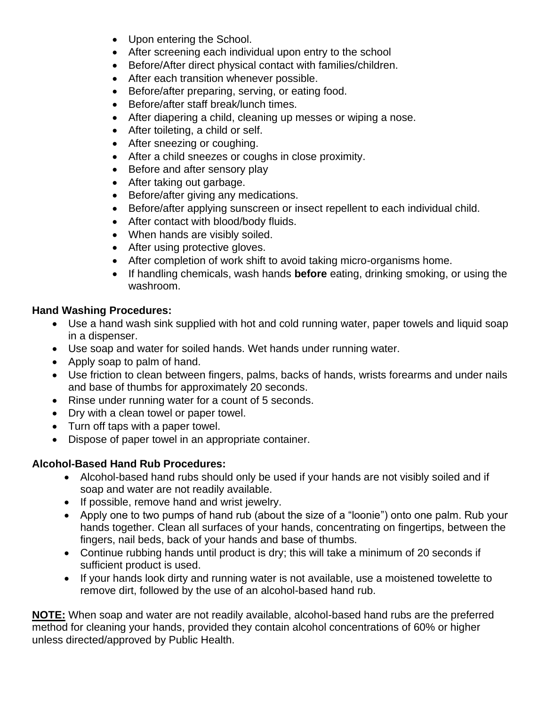- Upon entering the School.
- After screening each individual upon entry to the school
- Before/After direct physical contact with families/children.
- After each transition whenever possible.
- Before/after preparing, serving, or eating food.
- Before/after staff break/lunch times.
- After diapering a child, cleaning up messes or wiping a nose.
- After toileting, a child or self.
- After sneezing or coughing.
- After a child sneezes or coughs in close proximity.
- Before and after sensory play
- After taking out garbage.
- Before/after giving any medications.
- Before/after applying sunscreen or insect repellent to each individual child.
- After contact with blood/body fluids.
- When hands are visibly soiled.
- After using protective gloves.
- After completion of work shift to avoid taking micro-organisms home.
- If handling chemicals, wash hands **before** eating, drinking smoking, or using the washroom.

#### **Hand Washing Procedures:**

- Use a hand wash sink supplied with hot and cold running water, paper towels and liquid soap in a dispenser.
- Use soap and water for soiled hands. Wet hands under running water.
- Apply soap to palm of hand.
- Use friction to clean between fingers, palms, backs of hands, wrists forearms and under nails and base of thumbs for approximately 20 seconds.
- Rinse under running water for a count of 5 seconds.
- Dry with a clean towel or paper towel.
- Turn off taps with a paper towel.
- Dispose of paper towel in an appropriate container.

#### **Alcohol-Based Hand Rub Procedures:**

- Alcohol-based hand rubs should only be used if your hands are not visibly soiled and if soap and water are not readily available.
- If possible, remove hand and wrist jewelry.
- Apply one to two pumps of hand rub (about the size of a "loonie") onto one palm. Rub your hands together. Clean all surfaces of your hands, concentrating on fingertips, between the fingers, nail beds, back of your hands and base of thumbs.
- Continue rubbing hands until product is dry; this will take a minimum of 20 seconds if sufficient product is used.
- If your hands look dirty and running water is not available, use a moistened towelette to remove dirt, followed by the use of an alcohol-based hand rub.

**NOTE:** When soap and water are not readily available, alcohol-based hand rubs are the preferred method for cleaning your hands, provided they contain alcohol concentrations of 60% or higher unless directed/approved by Public Health.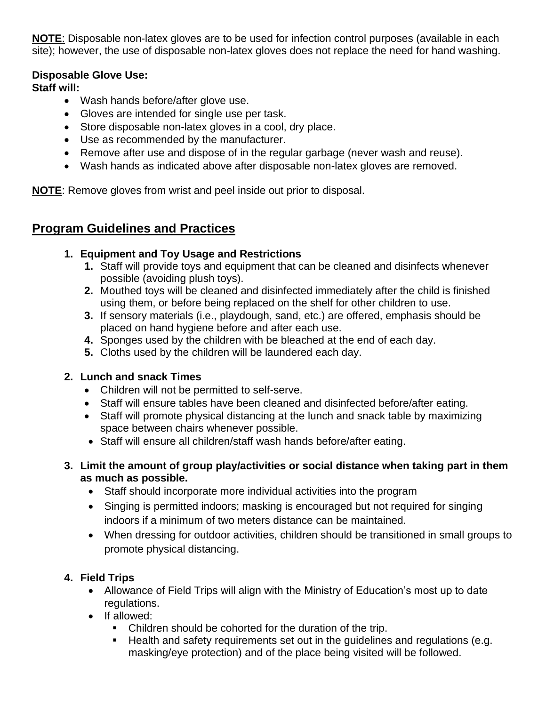**NOTE**: Disposable non-latex gloves are to be used for infection control purposes (available in each site); however, the use of disposable non-latex gloves does not replace the need for hand washing.

#### **Disposable Glove Use:**

## **Staff will:**

- Wash hands before/after glove use.
- Gloves are intended for single use per task.
- Store disposable non-latex gloves in a cool, dry place.
- Use as recommended by the manufacturer.
- Remove after use and dispose of in the regular garbage (never wash and reuse).
- Wash hands as indicated above after disposable non-latex gloves are removed.

**NOTE**: Remove gloves from wrist and peel inside out prior to disposal.

# **Program Guidelines and Practices**

# **1. Equipment and Toy Usage and Restrictions**

- **1.** Staff will provide toys and equipment that can be cleaned and disinfects whenever possible (avoiding plush toys).
- **2.** Mouthed toys will be cleaned and disinfected immediately after the child is finished using them, or before being replaced on the shelf for other children to use.
- **3.** If sensory materials (i.e., playdough, sand, etc.) are offered, emphasis should be placed on hand hygiene before and after each use.
- **4.** Sponges used by the children with be bleached at the end of each day.
- **5.** Cloths used by the children will be laundered each day.

# **2. Lunch and snack Times**

- Children will not be permitted to self-serve.
- Staff will ensure tables have been cleaned and disinfected before/after eating.
- Staff will promote physical distancing at the lunch and snack table by maximizing space between chairs whenever possible.
- Staff will ensure all children/staff wash hands before/after eating.
- **3. Limit the amount of group play/activities or social distance when taking part in them as much as possible.** 
	- Staff should incorporate more individual activities into the program
	- Singing is permitted indoors; masking is encouraged but not required for singing indoors if a minimum of two meters distance can be maintained.
	- When dressing for outdoor activities, children should be transitioned in small groups to promote physical distancing.

# **4. Field Trips**

- Allowance of Field Trips will align with the Ministry of Education's most up to date regulations.
- If allowed:
	- Children should be cohorted for the duration of the trip.
	- Health and safety requirements set out in the guidelines and regulations (e.g. masking/eye protection) and of the place being visited will be followed.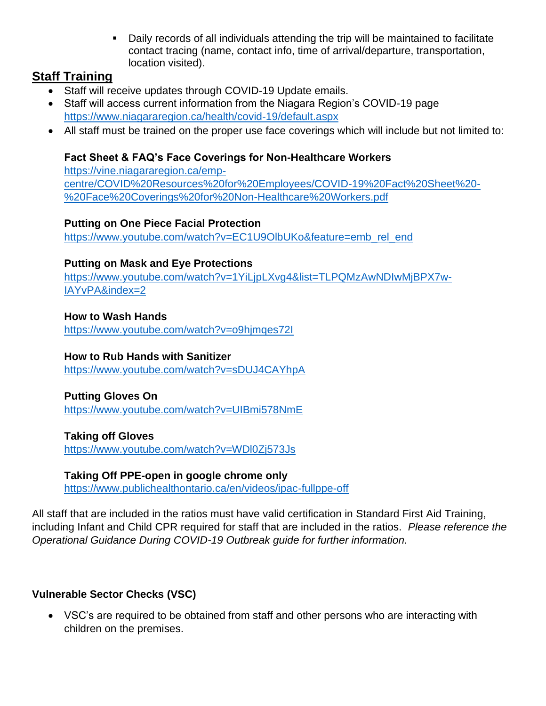**•** Daily records of all individuals attending the trip will be maintained to facilitate contact tracing (name, contact info, time of arrival/departure, transportation, location visited).

# **Staff Training**

- Staff will receive updates through COVID-19 Update emails.
- Staff will access current information from the Niagara Region's COVID-19 page <https://www.niagararegion.ca/health/covid-19/default.aspx>
- All staff must be trained on the proper use face coverings which will include but not limited to:

### **Fact Sheet & FAQ's Face Coverings for Non-Healthcare Workers**

[https://vine.niagararegion.ca/emp](https://vine.niagararegion.ca/emp-centre/COVID%20Resources%20for%20Employees/COVID-19%20Fact%20Sheet%20-%20Face%20Coverings%20for%20Non-Healthcare%20Workers.pdf)[centre/COVID%20Resources%20for%20Employees/COVID-19%20Fact%20Sheet%20-](https://vine.niagararegion.ca/emp-centre/COVID%20Resources%20for%20Employees/COVID-19%20Fact%20Sheet%20-%20Face%20Coverings%20for%20Non-Healthcare%20Workers.pdf) [%20Face%20Coverings%20for%20Non-Healthcare%20Workers.pdf](https://vine.niagararegion.ca/emp-centre/COVID%20Resources%20for%20Employees/COVID-19%20Fact%20Sheet%20-%20Face%20Coverings%20for%20Non-Healthcare%20Workers.pdf)

#### **Putting on One Piece Facial Protection**

[https://www.youtube.com/watch?v=EC1U9OlbUKo&feature=emb\\_rel\\_end](https://www.youtube.com/watch?v=EC1U9OlbUKo&feature=emb_rel_end)

#### **Putting on Mask and Eye Protections**

[https://www.youtube.com/watch?v=1YiLjpLXvg4&list=TLPQMzAwNDIwMjBPX7w-](https://www.youtube.com/watch?v=1YiLjpLXvg4&list=TLPQMzAwNDIwMjBPX7w-IAYvPA&index=2)[IAYvPA&index=2](https://www.youtube.com/watch?v=1YiLjpLXvg4&list=TLPQMzAwNDIwMjBPX7w-IAYvPA&index=2)

#### **How to Wash Hands**

<https://www.youtube.com/watch?v=o9hjmqes72I>

#### **How to Rub Hands with Sanitizer**

<https://www.youtube.com/watch?v=sDUJ4CAYhpA>

#### **Putting Gloves On**

<https://www.youtube.com/watch?v=UIBmi578NmE>

#### **Taking off Gloves**

<https://www.youtube.com/watch?v=WDl0Zj573Js>

#### **Taking Off PPE-open in google chrome only**

[https://www.publichealthontario.ca/en/videos/ipac-fullppe-off](https://www.publichealthontario.ca/en/videos/ipac-fullppe-off#_blank)

All staff that are included in the ratios must have valid certification in Standard First Aid Training, including Infant and Child CPR required for staff that are included in the ratios. *Please reference the Operational Guidance During COVID-19 Outbreak guide for further information.*

#### **Vulnerable Sector Checks (VSC)**

• VSC's are required to be obtained from staff and other persons who are interacting with children on the premises.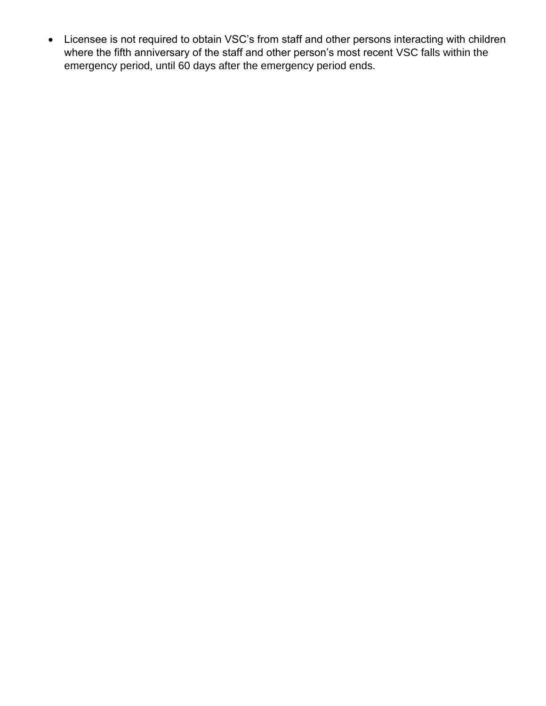• Licensee is not required to obtain VSC's from staff and other persons interacting with children where the fifth anniversary of the staff and other person's most recent VSC falls within the emergency period, until 60 days after the emergency period ends.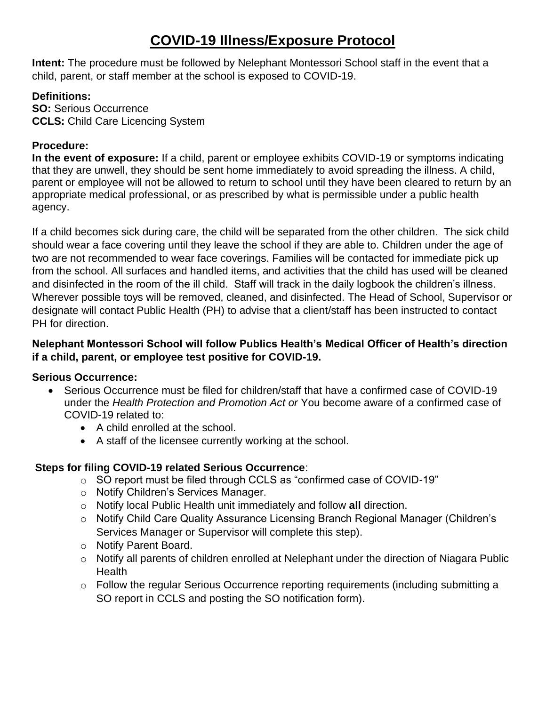# **COVID-19 Illness/Exposure Protocol**

**Intent:** The procedure must be followed by Nelephant Montessori School staff in the event that a child, parent, or staff member at the school is exposed to COVID-19.

### **Definitions:**

**SO:** Serious Occurrence **CCLS:** Child Care Licencing System

## **Procedure:**

**In the event of exposure:** If a child, parent or employee exhibits COVID-19 or symptoms indicating that they are unwell, they should be sent home immediately to avoid spreading the illness. A child, parent or employee will not be allowed to return to school until they have been cleared to return by an appropriate medical professional, or as prescribed by what is permissible under a public health agency.

If a child becomes sick during care, the child will be separated from the other children. The sick child should wear a face covering until they leave the school if they are able to. Children under the age of two are not recommended to wear face coverings. Families will be contacted for immediate pick up from the school. All surfaces and handled items, and activities that the child has used will be cleaned and disinfected in the room of the ill child. Staff will track in the daily logbook the children's illness. Wherever possible toys will be removed, cleaned, and disinfected. The Head of School, Supervisor or designate will contact Public Health (PH) to advise that a client/staff has been instructed to contact PH for direction.

#### **Nelephant Montessori School will follow Publics Health's Medical Officer of Health's direction if a child, parent, or employee test positive for COVID-19.**

#### **Serious Occurrence:**

- Serious Occurrence must be filed for children/staff that have a confirmed case of COVID-19 under the *Health Protection and Promotion Act or* You become aware of a confirmed case of COVID-19 related to:
	- A child enrolled at the school.
	- A staff of the licensee currently working at the school.

#### **Steps for filing COVID-19 related Serious Occurrence**:

- o SO report must be filed through CCLS as "confirmed case of COVID-19"
- o Notify Children's Services Manager.
- o Notify local Public Health unit immediately and follow **all** direction.
- o Notify Child Care Quality Assurance Licensing Branch Regional Manager (Children's Services Manager or Supervisor will complete this step).
- o Notify Parent Board.
- o Notify all parents of children enrolled at Nelephant under the direction of Niagara Public **Health**
- o Follow the regular Serious Occurrence reporting requirements (including submitting a SO report in CCLS and posting the SO notification form).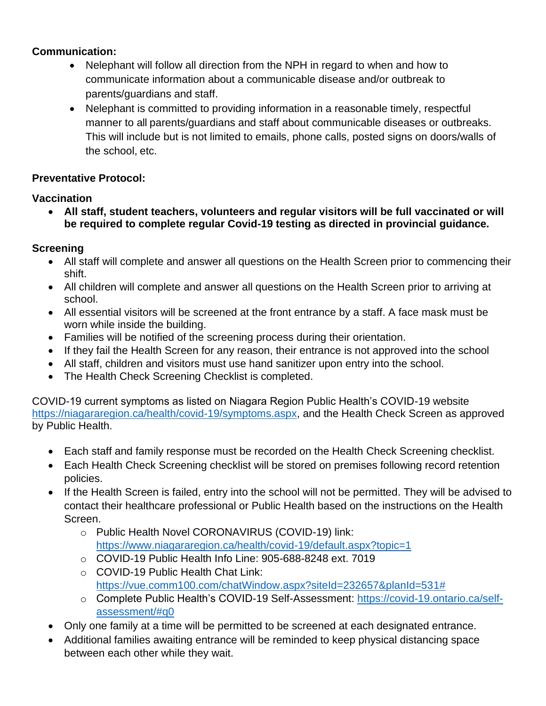## **Communication:**

- Nelephant will follow all direction from the NPH in regard to when and how to communicate information about a communicable disease and/or outbreak to parents/guardians and staff.
- Nelephant is committed to providing information in a reasonable timely, respectful manner to all parents/guardians and staff about communicable diseases or outbreaks. This will include but is not limited to emails, phone calls, posted signs on doors/walls of the school, etc.

### **Preventative Protocol:**

### **Vaccination**

• **All staff, student teachers, volunteers and regular visitors will be full vaccinated or will be required to complete regular Covid-19 testing as directed in provincial guidance.**

# **Screening**

- All staff will complete and answer all questions on the Health Screen prior to commencing their shift.
- All children will complete and answer all questions on the Health Screen prior to arriving at school.
- All essential visitors will be screened at the front entrance by a staff. A face mask must be worn while inside the building.
- Families will be notified of the screening process during their orientation.
- If they fail the Health Screen for any reason, their entrance is not approved into the school
- All staff, children and visitors must use hand sanitizer upon entry into the school.
- The Health Check Screening Checklist is completed.

COVID-19 current symptoms as listed on Niagara Region Public Health's COVID-19 website [https://niagararegion.ca/health/covid-19/symptoms.aspx,](https://niagararegion.ca/health/covid-19/symptoms.aspx) and the Health Check Screen as approved by Public Health.

- Each staff and family response must be recorded on the Health Check Screening checklist.
- Each Health Check Screening checklist will be stored on premises following record retention policies.
- If the Health Screen is failed, entry into the school will not be permitted. They will be advised to contact their healthcare professional or Public Health based on the instructions on the Health Screen.
	- o Public Health Novel CORONAVIRUS (COVID-19) link: <https://www.niagararegion.ca/health/covid-19/default.aspx?topic=1>
	- o COVID-19 Public Health Info Line: 905-688-8248 ext. 7019
	- o COVID-19 Public Health Chat Link: [https://vue.comm100.com/chatWindow.aspx?siteId=232657&planId=531#](https://vue.comm100.com/chatWindow.aspx?siteId=232657&planId=531)
	- o Complete Public Health's COVID-19 Self-Assessment: [https://covid-19.ontario.ca/self](https://covid-19.ontario.ca/self-assessment/#q0)[assessment/#q0](https://covid-19.ontario.ca/self-assessment/#q0)
- Only one family at a time will be permitted to be screened at each designated entrance.
- Additional families awaiting entrance will be reminded to keep physical distancing space between each other while they wait.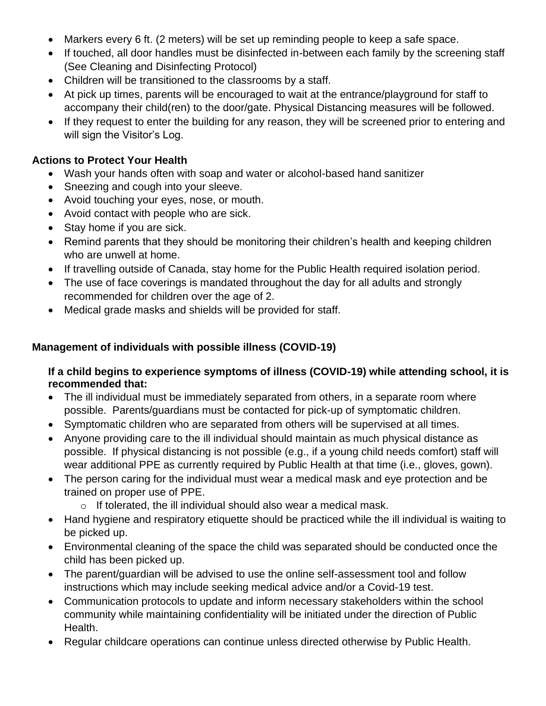- Markers every 6 ft. (2 meters) will be set up reminding people to keep a safe space.
- If touched, all door handles must be disinfected in-between each family by the screening staff (See Cleaning and Disinfecting Protocol)
- Children will be transitioned to the classrooms by a staff.
- At pick up times, parents will be encouraged to wait at the entrance/playground for staff to accompany their child(ren) to the door/gate. Physical Distancing measures will be followed.
- If they request to enter the building for any reason, they will be screened prior to entering and will sign the Visitor's Log.

### **Actions to Protect Your Health**

- Wash your hands often with soap and water or alcohol-based hand sanitizer
- Sneezing and cough into your sleeve.
- Avoid touching your eyes, nose, or mouth.
- Avoid contact with people who are sick.
- Stay home if you are sick.
- Remind parents that they should be monitoring their children's health and keeping children who are unwell at home.
- If travelling outside of Canada, stay home for the Public Health required isolation period.
- The use of face coverings is mandated throughout the day for all adults and strongly recommended for children over the age of 2.
- Medical grade masks and shields will be provided for staff.

## **Management of individuals with possible illness (COVID-19)**

#### **If a child begins to experience symptoms of illness (COVID-19) while attending school, it is recommended that:**

- The ill individual must be immediately separated from others, in a separate room where possible. Parents/guardians must be contacted for pick-up of symptomatic children.
- Symptomatic children who are separated from others will be supervised at all times.
- Anyone providing care to the ill individual should maintain as much physical distance as possible. If physical distancing is not possible (e.g., if a young child needs comfort) staff will wear additional PPE as currently required by Public Health at that time (i.e., gloves, gown).
- The person caring for the individual must wear a medical mask and eye protection and be trained on proper use of PPE.
	- o If tolerated, the ill individual should also wear a medical mask.
- Hand hygiene and respiratory etiquette should be practiced while the ill individual is waiting to be picked up.
- Environmental cleaning of the space the child was separated should be conducted once the child has been picked up.
- The parent/quardian will be advised to use the online self-assessment tool and follow instructions which may include seeking medical advice and/or a Covid-19 test.
- Communication protocols to update and inform necessary stakeholders within the school community while maintaining confidentiality will be initiated under the direction of Public Health.
- Regular childcare operations can continue unless directed otherwise by Public Health.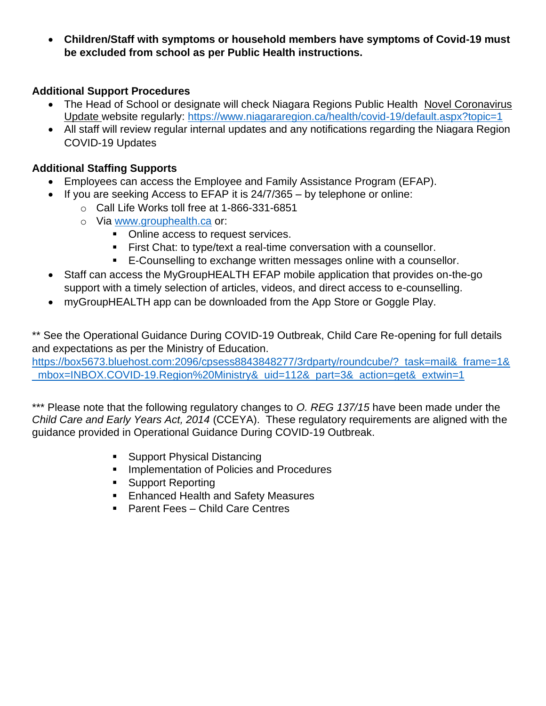• **Children/Staff with symptoms or household members have symptoms of Covid-19 must be excluded from school as per Public Health instructions.** 

### **Additional Support Procedures**

- The Head of School or designate will check Niagara Regions Public Health Novel Coronavirus Update website regularly:<https://www.niagararegion.ca/health/covid-19/default.aspx?topic=1>
- All staff will review regular internal updates and any notifications regarding the Niagara Region COVID-19 Updates

# **Additional Staffing Supports**

- Employees can access the Employee and Family Assistance Program (EFAP).
- If you are seeking Access to EFAP it is 24/7/365 by telephone or online:
	- o Call Life Works toll free at 1-866-331-6851
	- o Via [www.grouphealth.ca](http://www.grouphealth.ca/) or:
		- Online access to request services.
		- **EXECOME:** to type/text a real-time conversation with a counsellor.
		- E-Counselling to exchange written messages online with a counsellor.
- Staff can access the MyGroupHEALTH EFAP mobile application that provides on-the-go support with a timely selection of articles, videos, and direct access to e-counselling.
- myGroupHEALTH app can be downloaded from the App Store or Goggle Play.

\*\* See the Operational Guidance During COVID-19 Outbreak, Child Care Re-opening for full details and expectations as per the Ministry of Education.

https://box5673.bluehost.com:2096/cpsess8843848277/3rdparty/roundcube/? task=mail& frame=1& mbox=INBOX.COVID-19.Region%20Ministry&\_uid=112&\_part=3&\_action=get&\_extwin=1

\*\*\* Please note that the following regulatory changes to *O. REG 137/15* have been made under the *Child Care and Early Years Act, 2014* (CCEYA). These regulatory requirements are aligned with the guidance provided in Operational Guidance During COVID-19 Outbreak.

- Support Physical Distancing
- **EXEDEM** Implementation of Policies and Procedures
- Support Reporting
- Enhanced Health and Safety Measures
- Parent Fees Child Care Centres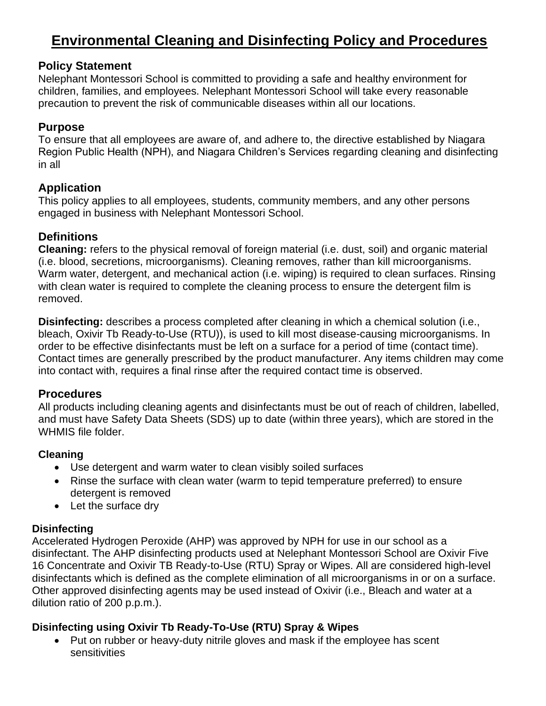# **Environmental Cleaning and Disinfecting Policy and Procedures**

### **Policy Statement**

Nelephant Montessori School is committed to providing a safe and healthy environment for children, families, and employees. Nelephant Montessori School will take every reasonable precaution to prevent the risk of communicable diseases within all our locations.

## **Purpose**

To ensure that all employees are aware of, and adhere to, the directive established by Niagara Region Public Health (NPH), and Niagara Children's Services regarding cleaning and disinfecting in all

# **Application**

This policy applies to all employees, students, community members, and any other persons engaged in business with Nelephant Montessori School.

# **Definitions**

**Cleaning:** refers to the physical removal of foreign material (i.e. dust, soil) and organic material (i.e. blood, secretions, microorganisms). Cleaning removes, rather than kill microorganisms. Warm water, detergent, and mechanical action (i.e. wiping) is required to clean surfaces. Rinsing with clean water is required to complete the cleaning process to ensure the detergent film is removed.

**Disinfecting:** describes a process completed after cleaning in which a chemical solution (i.e., bleach, Oxivir Tb Ready-to-Use (RTU)), is used to kill most disease-causing microorganisms. In order to be effective disinfectants must be left on a surface for a period of time (contact time). Contact times are generally prescribed by the product manufacturer. Any items children may come into contact with, requires a final rinse after the required contact time is observed.

#### **Procedures**

All products including cleaning agents and disinfectants must be out of reach of children, labelled, and must have Safety Data Sheets (SDS) up to date (within three years), which are stored in the WHMIS file folder.

# **Cleaning**

- Use detergent and warm water to clean visibly soiled surfaces
- Rinse the surface with clean water (warm to tepid temperature preferred) to ensure detergent is removed
- Let the surface dry

# **Disinfecting**

Accelerated Hydrogen Peroxide (AHP) was approved by NPH for use in our school as a disinfectant. The AHP disinfecting products used at Nelephant Montessori School are Oxivir Five 16 Concentrate and Oxivir TB Ready-to-Use (RTU) Spray or Wipes. All are considered high-level disinfectants which is defined as the complete elimination of all microorganisms in or on a surface. Other approved disinfecting agents may be used instead of Oxivir (i.e., Bleach and water at a dilution ratio of 200 p.p.m.).

# **Disinfecting using Oxivir Tb Ready-To-Use (RTU) Spray & Wipes**

• Put on rubber or heavy-duty nitrile gloves and mask if the employee has scent sensitivities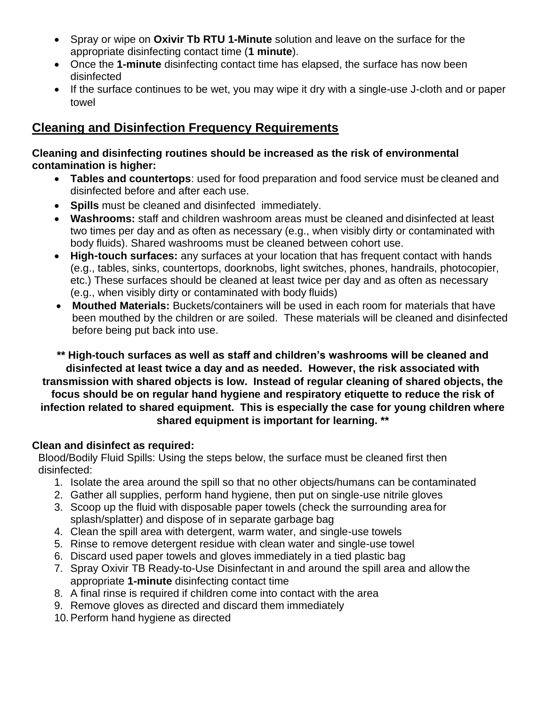- Spray or wipe on **Oxivir Tb RTU 1-Minute** solution and leave on the surface for the appropriate disinfecting contact time (**1 minute**).
- Once the **1-minute** disinfecting contact time has elapsed, the surface has now been disinfected
- If the surface continues to be wet, you may wipe it dry with a single-use J-cloth and or paper towel

# **Cleaning and Disinfection Frequency Requirements**

#### **Cleaning and disinfecting routines should be increased as the risk of environmental contamination is higher:**

- **Tables and countertops**: used for food preparation and food service must be cleaned and disinfected before and after each use.
- **Spills** must be cleaned and disinfected immediately.
- **Washrooms:** staff and children washroom areas must be cleaned and disinfected at least two times per day and as often as necessary (e.g., when visibly dirty or contaminated with body fluids). Shared washrooms must be cleaned between cohort use.
- **High-touch surfaces:** any surfaces at your location that has frequent contact with hands (e.g., tables, sinks, countertops, doorknobs, light switches, phones, handrails, photocopier, etc.) These surfaces should be cleaned at least twice per day and as often as necessary (e.g., when visibly dirty or contaminated with body fluids)
- **Mouthed Materials:** Buckets/containers will be used in each room for materials that have been mouthed by the children or are soiled. These materials will be cleaned and disinfected before being put back into use.

**\*\* High-touch surfaces as well as staff and children's washrooms will be cleaned and disinfected at least twice a day and as needed. However, the risk associated with transmission with shared objects is low. Instead of regular cleaning of shared objects, the focus should be on regular hand hygiene and respiratory etiquette to reduce the risk of infection related to shared equipment. This is especially the case for young children where shared equipment is important for learning. \*\***

#### **Clean and disinfect as required:**

Blood/Bodily Fluid Spills: Using the steps below, the surface must be cleaned first then disinfected:

- 1. Isolate the area around the spill so that no other objects/humans can be contaminated
- 2. Gather all supplies, perform hand hygiene, then put on single-use nitrile gloves
- 3. Scoop up the fluid with disposable paper towels (check the surrounding area for splash/splatter) and dispose of in separate garbage bag
- 4. Clean the spill area with detergent, warm water, and single-use towels
- 5. Rinse to remove detergent residue with clean water and single-use towel
- 6. Discard used paper towels and gloves immediately in a tied plastic bag
- 7. Spray Oxivir TB Ready-to-Use Disinfectant in and around the spill area and allow the appropriate **1-minute** disinfecting contact time
- 8. A final rinse is required if children come into contact with the area
- 9. Remove gloves as directed and discard them immediately
- 10.Perform hand hygiene as directed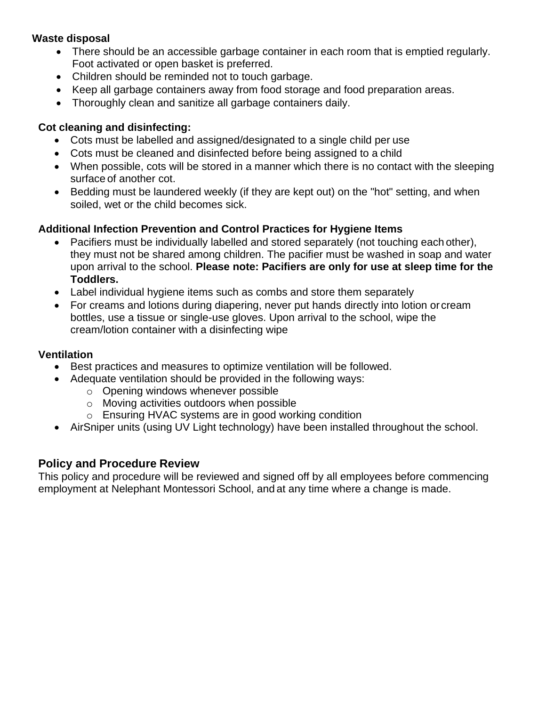## **Waste disposal**

- There should be an accessible garbage container in each room that is emptied regularly. Foot activated or open basket is preferred.
- Children should be reminded not to touch garbage.
- Keep all garbage containers away from food storage and food preparation areas.
- Thoroughly clean and sanitize all garbage containers daily.

## **Cot cleaning and disinfecting:**

- Cots must be labelled and assigned/designated to a single child per use
- Cots must be cleaned and disinfected before being assigned to a child
- When possible, cots will be stored in a manner which there is no contact with the sleeping surface of another cot.
- Bedding must be laundered weekly (if they are kept out) on the "hot" setting, and when soiled, wet or the child becomes sick.

## **Additional Infection Prevention and Control Practices for Hygiene Items**

- Pacifiers must be individually labelled and stored separately (not touching each other), they must not be shared among children. The pacifier must be washed in soap and water upon arrival to the school. **Please note: Pacifiers are only for use at sleep time for the Toddlers.**
- Label individual hygiene items such as combs and store them separately
- For creams and lotions during diapering, never put hands directly into lotion or cream bottles, use a tissue or single-use gloves. Upon arrival to the school, wipe the cream/lotion container with a disinfecting wipe

### **Ventilation**

- Best practices and measures to optimize ventilation will be followed.
- Adequate ventilation should be provided in the following ways:
	- o Opening windows whenever possible
	- o Moving activities outdoors when possible
	- o Ensuring HVAC systems are in good working condition
- AirSniper units (using UV Light technology) have been installed throughout the school.

### **Policy and Procedure Review**

This policy and procedure will be reviewed and signed off by all employees before commencing employment at Nelephant Montessori School, and at any time where a change is made.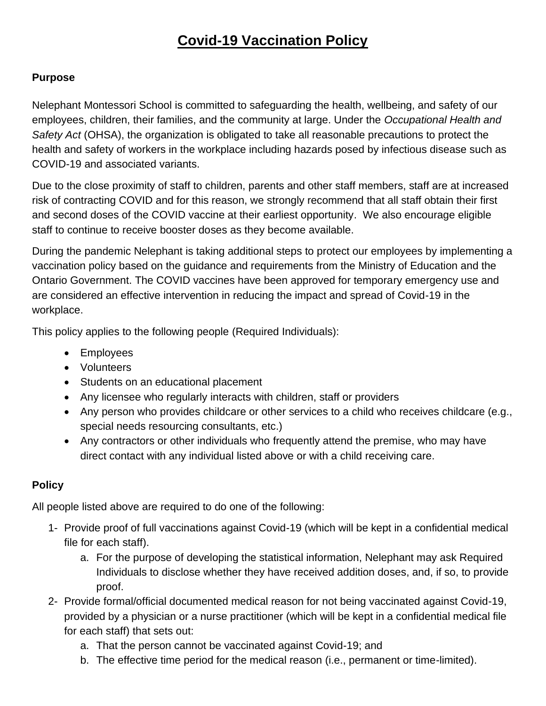# **Covid-19 Vaccination Policy**

# **Purpose**

Nelephant Montessori School is committed to safeguarding the health, wellbeing, and safety of our employees, children, their families, and the community at large. Under the *Occupational Health and Safety Act* (OHSA), the organization is obligated to take all reasonable precautions to protect the health and safety of workers in the workplace including hazards posed by infectious disease such as COVID-19 and associated variants.

Due to the close proximity of staff to children, parents and other staff members, staff are at increased risk of contracting COVID and for this reason, we strongly recommend that all staff obtain their first and second doses of the COVID vaccine at their earliest opportunity. We also encourage eligible staff to continue to receive booster doses as they become available.

During the pandemic Nelephant is taking additional steps to protect our employees by implementing a vaccination policy based on the guidance and requirements from the Ministry of Education and the Ontario Government. The COVID vaccines have been approved for temporary emergency use and are considered an effective intervention in reducing the impact and spread of Covid-19 in the workplace.

This policy applies to the following people (Required Individuals):

- Employees
- Volunteers
- Students on an educational placement
- Any licensee who regularly interacts with children, staff or providers
- Any person who provides childcare or other services to a child who receives childcare (e.g., special needs resourcing consultants, etc.)
- Any contractors or other individuals who frequently attend the premise, who may have direct contact with any individual listed above or with a child receiving care.

# **Policy**

All people listed above are required to do one of the following:

- 1- Provide proof of full vaccinations against Covid-19 (which will be kept in a confidential medical file for each staff).
	- a. For the purpose of developing the statistical information, Nelephant may ask Required Individuals to disclose whether they have received addition doses, and, if so, to provide proof.
- 2- Provide formal/official documented medical reason for not being vaccinated against Covid-19, provided by a physician or a nurse practitioner (which will be kept in a confidential medical file for each staff) that sets out:
	- a. That the person cannot be vaccinated against Covid-19; and
	- b. The effective time period for the medical reason (i.e., permanent or time-limited).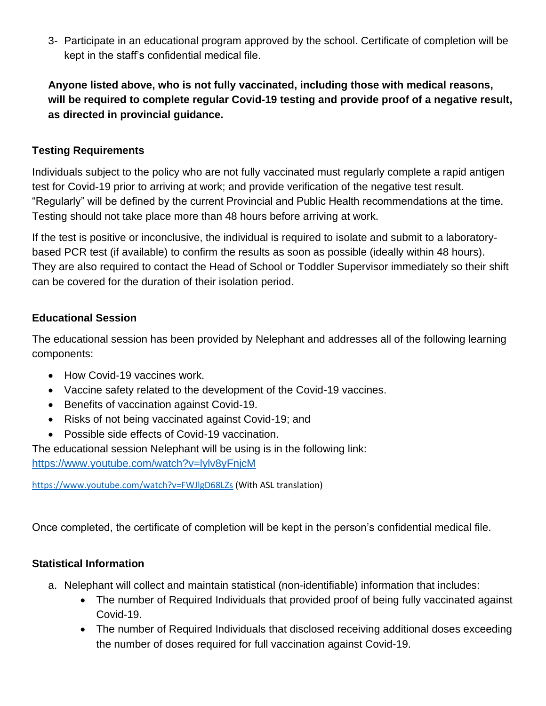3- Participate in an educational program approved by the school. Certificate of completion will be kept in the staff's confidential medical file.

**Anyone listed above, who is not fully vaccinated, including those with medical reasons, will be required to complete regular Covid-19 testing and provide proof of a negative result, as directed in provincial guidance.** 

## **Testing Requirements**

Individuals subject to the policy who are not fully vaccinated must regularly complete a rapid antigen test for Covid-19 prior to arriving at work; and provide verification of the negative test result. "Regularly" will be defined by the current Provincial and Public Health recommendations at the time. Testing should not take place more than 48 hours before arriving at work.

If the test is positive or inconclusive, the individual is required to isolate and submit to a laboratorybased PCR test (if available) to confirm the results as soon as possible (ideally within 48 hours). They are also required to contact the Head of School or Toddler Supervisor immediately so their shift can be covered for the duration of their isolation period.

## **Educational Session**

The educational session has been provided by Nelephant and addresses all of the following learning components:

- How Covid-19 vaccines work.
- Vaccine safety related to the development of the Covid-19 vaccines.
- Benefits of vaccination against Covid-19.
- Risks of not being vaccinated against Covid-19; and
- Possible side effects of Covid-19 vaccination.

The educational session Nelephant will be using is in the following link: <https://www.youtube.com/watch?v=lylv8yFnjcM>

<https://www.youtube.com/watch?v=FWJlgD68LZs> (With ASL translation)

Once completed, the certificate of completion will be kept in the person's confidential medical file.

# **Statistical Information**

- a. Nelephant will collect and maintain statistical (non-identifiable) information that includes:
	- The number of Required Individuals that provided proof of being fully vaccinated against Covid-19.
	- The number of Required Individuals that disclosed receiving additional doses exceeding the number of doses required for full vaccination against Covid-19.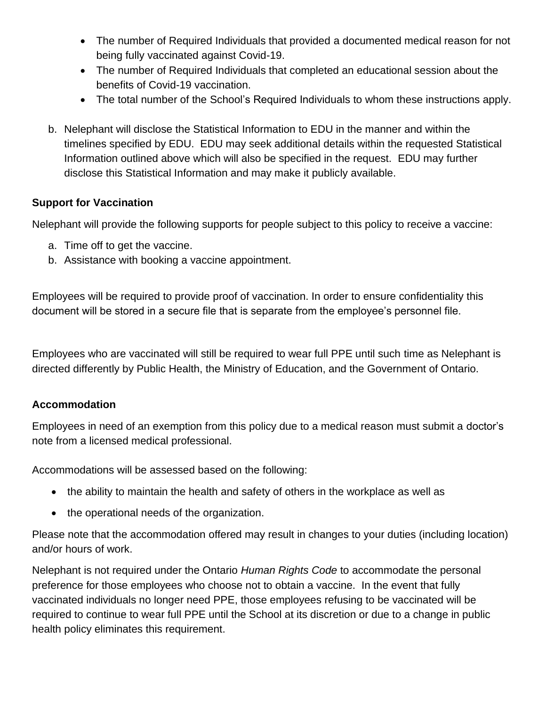- The number of Required Individuals that provided a documented medical reason for not being fully vaccinated against Covid-19.
- The number of Required Individuals that completed an educational session about the benefits of Covid-19 vaccination.
- The total number of the School's Required Individuals to whom these instructions apply.
- b. Nelephant will disclose the Statistical Information to EDU in the manner and within the timelines specified by EDU. EDU may seek additional details within the requested Statistical Information outlined above which will also be specified in the request. EDU may further disclose this Statistical Information and may make it publicly available.

## **Support for Vaccination**

Nelephant will provide the following supports for people subject to this policy to receive a vaccine:

- a. Time off to get the vaccine.
- b. Assistance with booking a vaccine appointment.

Employees will be required to provide proof of vaccination. In order to ensure confidentiality this document will be stored in a secure file that is separate from the employee's personnel file.

Employees who are vaccinated will still be required to wear full PPE until such time as Nelephant is directed differently by Public Health, the Ministry of Education, and the Government of Ontario.

# **Accommodation**

Employees in need of an exemption from this policy due to a medical reason must submit a doctor's note from a licensed medical professional.

Accommodations will be assessed based on the following:

- the ability to maintain the health and safety of others in the workplace as well as
- the operational needs of the organization.

Please note that the accommodation offered may result in changes to your duties (including location) and/or hours of work.

Nelephant is not required under the Ontario *Human Rights Code* to accommodate the personal preference for those employees who choose not to obtain a vaccine. In the event that fully vaccinated individuals no longer need PPE, those employees refusing to be vaccinated will be required to continue to wear full PPE until the School at its discretion or due to a change in public health policy eliminates this requirement.